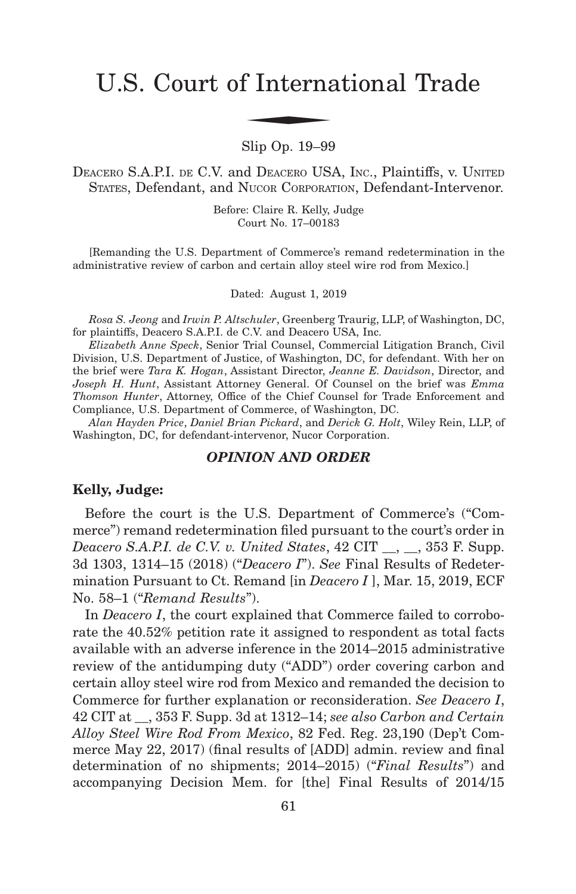# U.S. Court of International Trade f Interna

Slip Op. 19–99

DEACERO S.A.P.I. DE C.V. and DEACERO USA, INC., Plaintiffs, v. UNITED STATES, Defendant, and NUCOR CORPORATION, Defendant-Intervenor.

> Before: Claire R. Kelly, Judge Court No. 17–00183

[Remanding the U.S. Department of Commerce's remand redetermination in the administrative review of carbon and certain alloy steel wire rod from Mexico.]

Dated: August 1, 2019

*Rosa S. Jeong* and *Irwin P. Altschuler*, Greenberg Traurig, LLP, of Washington, DC, for plaintiffs, Deacero S.A.P.I. de C.V. and Deacero USA, Inc.

*Elizabeth Anne Speck*, Senior Trial Counsel, Commercial Litigation Branch, Civil Division, U.S. Department of Justice, of Washington, DC, for defendant. With her on the brief were *Tara K. Hogan*, Assistant Director, *Jeanne E. Davidson*, Director, and *Joseph H. Hunt*, Assistant Attorney General. Of Counsel on the brief was *Emma Thomson Hunter*, Attorney, Office of the Chief Counsel for Trade Enforcement and Compliance, U.S. Department of Commerce, of Washington, DC.

*Alan Hayden Price*, *Daniel Brian Pickard*, and *Derick G. Holt*, Wiley Rein, LLP, of Washington, DC, for defendant-intervenor, Nucor Corporation.

## *OPINION AND ORDER*

## **Kelly, Judge:**

Before the court is the U.S. Department of Commerce's ("Commerce") remand redetermination filed pursuant to the court's order in *Deacero S.A.P.I. de C.V. v. United States*, 42 CIT \_\_, \_\_, 353 F. Supp. 3d 1303, 1314–15 (2018) ("*Deacero I*"). *See* Final Results of Redetermination Pursuant to Ct. Remand [in *Deacero I* ], Mar. 15, 2019, ECF No. 58–1 ("*Remand Results*").

In *Deacero I*, the court explained that Commerce failed to corroborate the 40.52% petition rate it assigned to respondent as total facts available with an adverse inference in the 2014–2015 administrative review of the antidumping duty ("ADD") order covering carbon and certain alloy steel wire rod from Mexico and remanded the decision to Commerce for further explanation or reconsideration. *See Deacero I*, 42 CIT at \_\_, 353 F. Supp. 3d at 1312–14; *see also Carbon and Certain Alloy Steel Wire Rod From Mexico*, 82 Fed. Reg. 23,190 (Dep't Commerce May 22, 2017) (final results of [ADD] admin. review and final determination of no shipments; 2014–2015) ("*Final Results*") and accompanying Decision Mem. for [the] Final Results of 2014/15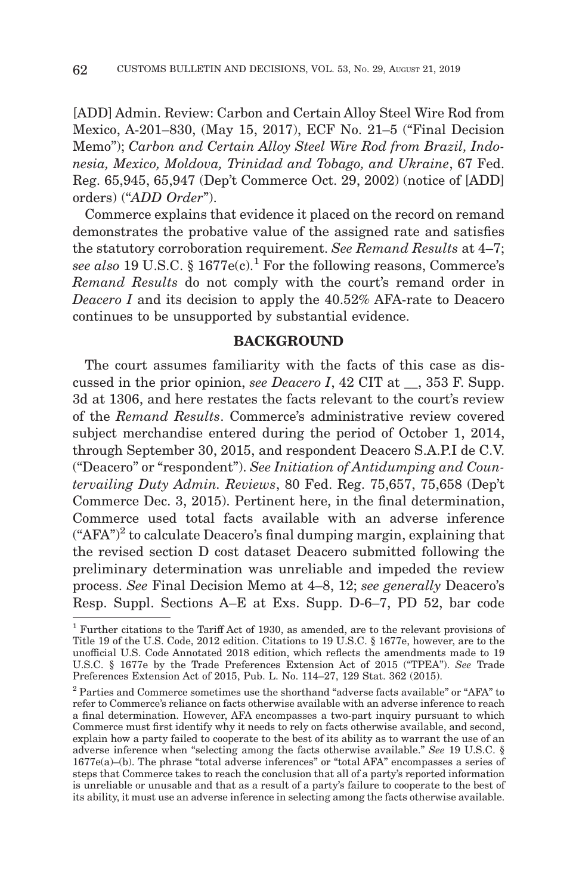[ADD] Admin. Review: Carbon and Certain Alloy Steel Wire Rod from Mexico, A-201–830, (May 15, 2017), ECF No. 21–5 ("Final Decision Memo"); *Carbon and Certain Alloy Steel Wire Rod from Brazil, Indonesia, Mexico, Moldova, Trinidad and Tobago, and Ukraine*, 67 Fed. Reg. 65,945, 65,947 (Dep't Commerce Oct. 29, 2002) (notice of [ADD] orders) ("*ADD Order*").

Commerce explains that evidence it placed on the record on remand demonstrates the probative value of the assigned rate and satisfies the statutory corroboration requirement. *See Remand Results* at 4–7; *see also* 19 U.S.C. § 1677e(c).<sup>1</sup> For the following reasons, Commerce's *Remand Results* do not comply with the court's remand order in *Deacero I* and its decision to apply the 40.52% AFA-rate to Deacero continues to be unsupported by substantial evidence.

## **BACKGROUND**

The court assumes familiarity with the facts of this case as discussed in the prior opinion, *see Deacero I*, 42 CIT at , 353 F. Supp. 3d at 1306, and here restates the facts relevant to the court's review of the *Remand Results*. Commerce's administrative review covered subject merchandise entered during the period of October 1, 2014, through September 30, 2015, and respondent Deacero S.A.P.I de C.V. ("Deacero" or "respondent"). *See Initiation of Antidumping and Countervailing Duty Admin. Reviews*, 80 Fed. Reg. 75,657, 75,658 (Dep't Commerce Dec. 3, 2015). Pertinent here, in the final determination, Commerce used total facts available with an adverse inference  $(*AFA")^2$  to calculate Deacero's final dumping margin, explaining that the revised section D cost dataset Deacero submitted following the preliminary determination was unreliable and impeded the review process. *See* Final Decision Memo at 4–8, 12; *see generally* Deacero's Resp. Suppl. Sections A–E at Exs. Supp. D-6–7, PD 52, bar code

<sup>1</sup> Further citations to the Tariff Act of 1930, as amended, are to the relevant provisions of Title 19 of the U.S. Code, 2012 edition. Citations to 19 U.S.C. § 1677e, however, are to the unofficial U.S. Code Annotated 2018 edition, which reflects the amendments made to 19 U.S.C. § 1677e by the Trade Preferences Extension Act of 2015 ("TPEA"). *See* Trade Preferences Extension Act of 2015, Pub. L. No. 114–27, 129 Stat. 362 (2015).

<sup>2</sup> Parties and Commerce sometimes use the shorthand "adverse facts available" or "AFA" to refer to Commerce's reliance on facts otherwise available with an adverse inference to reach a final determination. However, AFA encompasses a two-part inquiry pursuant to which Commerce must first identify why it needs to rely on facts otherwise available, and second, explain how a party failed to cooperate to the best of its ability as to warrant the use of an adverse inference when "selecting among the facts otherwise available." *See* 19 U.S.C. § 1677e(a)–(b). The phrase "total adverse inferences" or "total AFA" encompasses a series of steps that Commerce takes to reach the conclusion that all of a party's reported information is unreliable or unusable and that as a result of a party's failure to cooperate to the best of its ability, it must use an adverse inference in selecting among the facts otherwise available.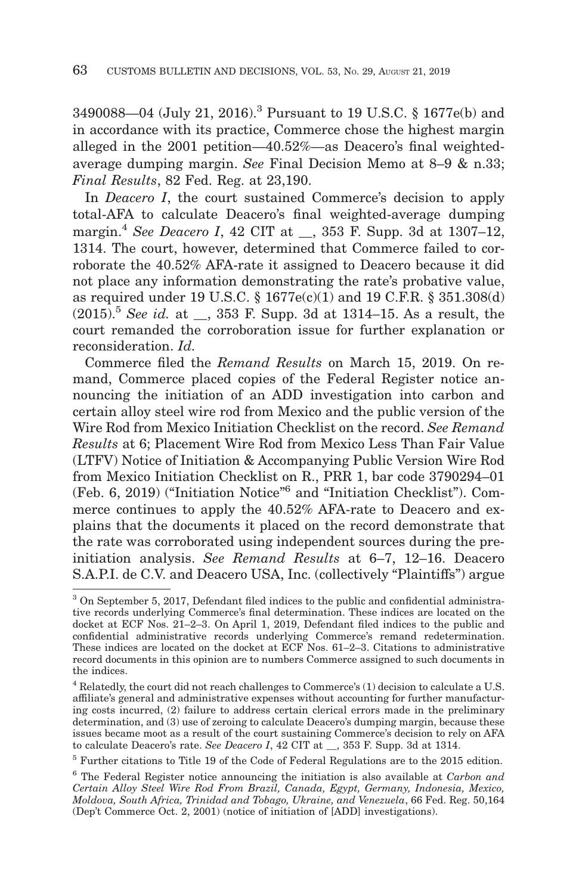3490088—04 (July 21, 2016).3 Pursuant to 19 U.S.C. § 1677e(b) and in accordance with its practice, Commerce chose the highest margin alleged in the 2001 petition—40.52%—as Deacero's final weightedaverage dumping margin. *See* Final Decision Memo at 8–9 & n.33; *Final Results*, 82 Fed. Reg. at 23,190.

In *Deacero I*, the court sustained Commerce's decision to apply total-AFA to calculate Deacero's final weighted-average dumping margin.4 *See Deacero I*, 42 CIT at \_\_, 353 F. Supp. 3d at 1307–12, 1314. The court, however, determined that Commerce failed to corroborate the 40.52% AFA-rate it assigned to Deacero because it did not place any information demonstrating the rate's probative value, as required under 19 U.S.C. § 1677e(c)(1) and 19 C.F.R. § 351.308(d) (2015).5 *See id.* at \_\_, 353 F. Supp. 3d at 1314–15. As a result, the court remanded the corroboration issue for further explanation or reconsideration. *Id.*

Commerce filed the *Remand Results* on March 15, 2019. On remand, Commerce placed copies of the Federal Register notice announcing the initiation of an ADD investigation into carbon and certain alloy steel wire rod from Mexico and the public version of the Wire Rod from Mexico Initiation Checklist on the record. *See Remand Results* at 6; Placement Wire Rod from Mexico Less Than Fair Value (LTFV) Notice of Initiation & Accompanying Public Version Wire Rod from Mexico Initiation Checklist on R., PRR 1, bar code 3790294–01 (Feb. 6, 2019) ("Initiation Notice"6 and "Initiation Checklist"). Commerce continues to apply the 40.52% AFA-rate to Deacero and explains that the documents it placed on the record demonstrate that the rate was corroborated using independent sources during the preinitiation analysis. *See Remand Results* at 6–7, 12–16. Deacero S.A.P.I. de C.V. and Deacero USA, Inc. (collectively "Plaintiffs") argue

<sup>3</sup> On September 5, 2017, Defendant filed indices to the public and confidential administrative records underlying Commerce's final determination. These indices are located on the docket at ECF Nos. 21–2–3. On April 1, 2019, Defendant filed indices to the public and confidential administrative records underlying Commerce's remand redetermination. These indices are located on the docket at ECF Nos. 61–2–3. Citations to administrative record documents in this opinion are to numbers Commerce assigned to such documents in the indices.

<sup>4</sup> Relatedly, the court did not reach challenges to Commerce's (1) decision to calculate a U.S. affiliate's general and administrative expenses without accounting for further manufacturing costs incurred, (2) failure to address certain clerical errors made in the preliminary determination, and (3) use of zeroing to calculate Deacero's dumping margin, because these issues became moot as a result of the court sustaining Commerce's decision to rely on AFA to calculate Deacero's rate. *See Deacero I*, 42 CIT at \_\_, 353 F. Supp. 3d at 1314.

<sup>5</sup> Further citations to Title 19 of the Code of Federal Regulations are to the 2015 edition.

<sup>6</sup> The Federal Register notice announcing the initiation is also available at *Carbon and Certain Alloy Steel Wire Rod From Brazil, Canada, Egypt, Germany, Indonesia, Mexico, Moldova, South Africa, Trinidad and Tobago, Ukraine, and Venezuela*, 66 Fed. Reg. 50,164 (Dep't Commerce Oct. 2, 2001) (notice of initiation of [ADD] investigations).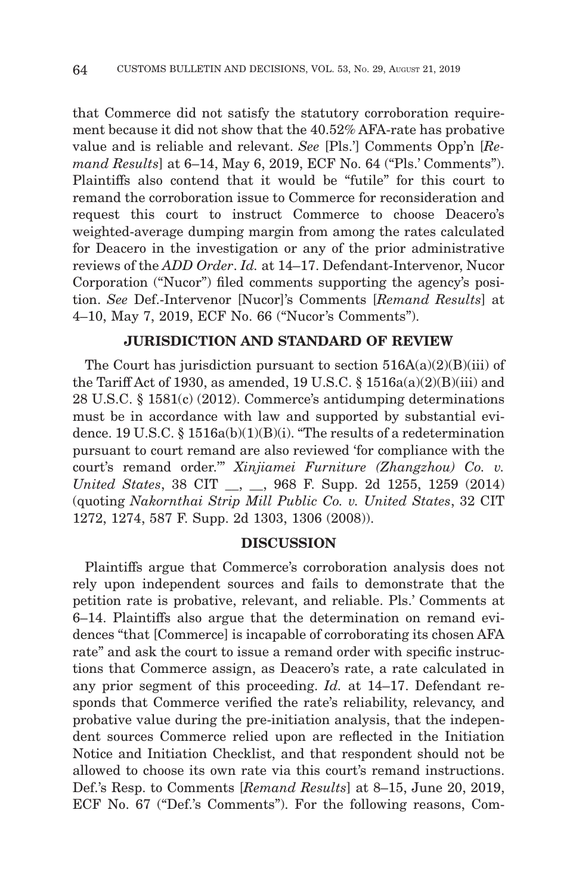that Commerce did not satisfy the statutory corroboration requirement because it did not show that the 40.52% AFA-rate has probative value and is reliable and relevant. *See* [Pls.'] Comments Opp'n [*Remand Results*] at 6–14, May 6, 2019, ECF No. 64 ("Pls.' Comments"). Plaintiffs also contend that it would be "futile" for this court to remand the corroboration issue to Commerce for reconsideration and request this court to instruct Commerce to choose Deacero's weighted-average dumping margin from among the rates calculated for Deacero in the investigation or any of the prior administrative reviews of the *ADD Order*. *Id.* at 14–17. Defendant-Intervenor, Nucor Corporation ("Nucor") filed comments supporting the agency's position. *See* Def.-Intervenor [Nucor]'s Comments [*Remand Results*] at 4–10, May 7, 2019, ECF No. 66 ("Nucor's Comments").

# **JURISDICTION AND STANDARD OF REVIEW**

The Court has jurisdiction pursuant to section  $516A(a)(2)(B)(iii)$  of the Tariff Act of 1930, as amended, 19 U.S.C.  $\S$  1516a(a)(2)(B)(iii) and 28 U.S.C. § 1581(c) (2012). Commerce's antidumping determinations must be in accordance with law and supported by substantial evidence. 19 U.S.C. § 1516a(b)(1)(B)(i). "The results of a redetermination pursuant to court remand are also reviewed 'for compliance with the court's remand order.'" *Xinjiamei Furniture (Zhangzhou) Co. v. United States*, 38 CIT . . . 968 F. Supp. 2d 1255, 1259 (2014) (quoting *Nakornthai Strip Mill Public Co. v. United States*, 32 CIT 1272, 1274, 587 F. Supp. 2d 1303, 1306 (2008)).

## **DISCUSSION**

Plaintiffs argue that Commerce's corroboration analysis does not rely upon independent sources and fails to demonstrate that the petition rate is probative, relevant, and reliable. Pls.' Comments at 6–14. Plaintiffs also argue that the determination on remand evidences "that [Commerce] is incapable of corroborating its chosen AFA rate" and ask the court to issue a remand order with specific instructions that Commerce assign, as Deacero's rate, a rate calculated in any prior segment of this proceeding. *Id.* at 14–17. Defendant responds that Commerce verified the rate's reliability, relevancy, and probative value during the pre-initiation analysis, that the independent sources Commerce relied upon are reflected in the Initiation Notice and Initiation Checklist, and that respondent should not be allowed to choose its own rate via this court's remand instructions. Def.'s Resp. to Comments [*Remand Results*] at 8–15, June 20, 2019, ECF No. 67 ("Def.'s Comments"). For the following reasons, Com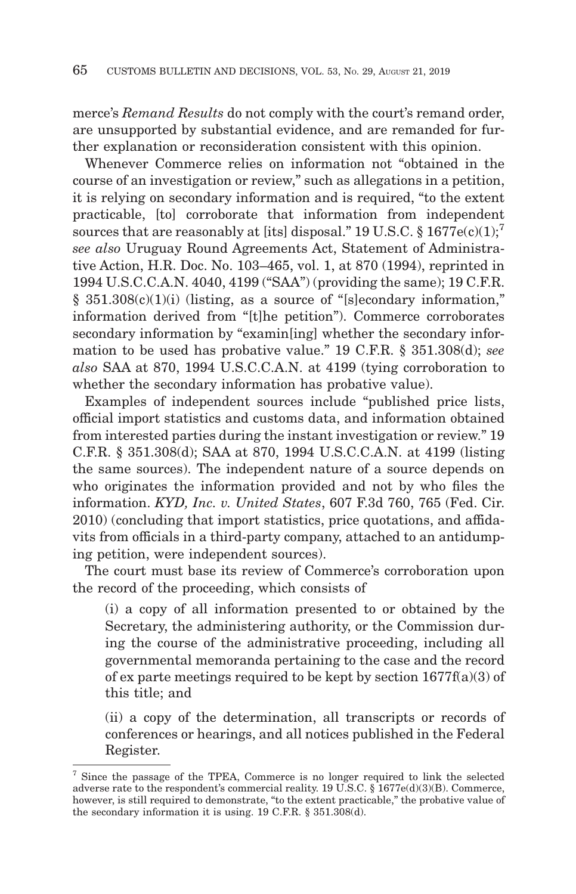merce's *Remand Results* do not comply with the court's remand order, are unsupported by substantial evidence, and are remanded for further explanation or reconsideration consistent with this opinion.

Whenever Commerce relies on information not "obtained in the course of an investigation or review," such as allegations in a petition, it is relying on secondary information and is required, "to the extent practicable, [to] corroborate that information from independent sources that are reasonably at [its] disposal." 19 U.S.C.  $\S 1677e(c)(1);$ <sup>7</sup> *see also* Uruguay Round Agreements Act, Statement of Administrative Action, H.R. Doc. No. 103–465, vol. 1, at 870 (1994), reprinted in 1994 U.S.C.C.A.N. 4040, 4199 ("SAA") (providing the same); 19 C.F.R. § 351.308(c)(1)(i) (listing, as a source of "[s]econdary information," information derived from "[t]he petition"). Commerce corroborates secondary information by "examin[ing] whether the secondary information to be used has probative value." 19 C.F.R. § 351.308(d); *see also* SAA at 870, 1994 U.S.C.C.A.N. at 4199 (tying corroboration to whether the secondary information has probative value).

Examples of independent sources include "published price lists, official import statistics and customs data, and information obtained from interested parties during the instant investigation or review." 19 C.F.R. § 351.308(d); SAA at 870, 1994 U.S.C.C.A.N. at 4199 (listing the same sources). The independent nature of a source depends on who originates the information provided and not by who files the information. *KYD, Inc. v. United States*, 607 F.3d 760, 765 (Fed. Cir. 2010) (concluding that import statistics, price quotations, and affidavits from officials in a third-party company, attached to an antidumping petition, were independent sources).

The court must base its review of Commerce's corroboration upon the record of the proceeding, which consists of

(i) a copy of all information presented to or obtained by the Secretary, the administering authority, or the Commission during the course of the administrative proceeding, including all governmental memoranda pertaining to the case and the record of ex parte meetings required to be kept by section 1677f(a)(3) of this title; and

(ii) a copy of the determination, all transcripts or records of conferences or hearings, and all notices published in the Federal Register.

<sup>7</sup> Since the passage of the TPEA, Commerce is no longer required to link the selected adverse rate to the respondent's commercial reality. 19 U.S.C. § 1677e(d)(3)(B). Commerce, however, is still required to demonstrate, "to the extent practicable," the probative value of the secondary information it is using. 19 C.F.R. § 351.308(d).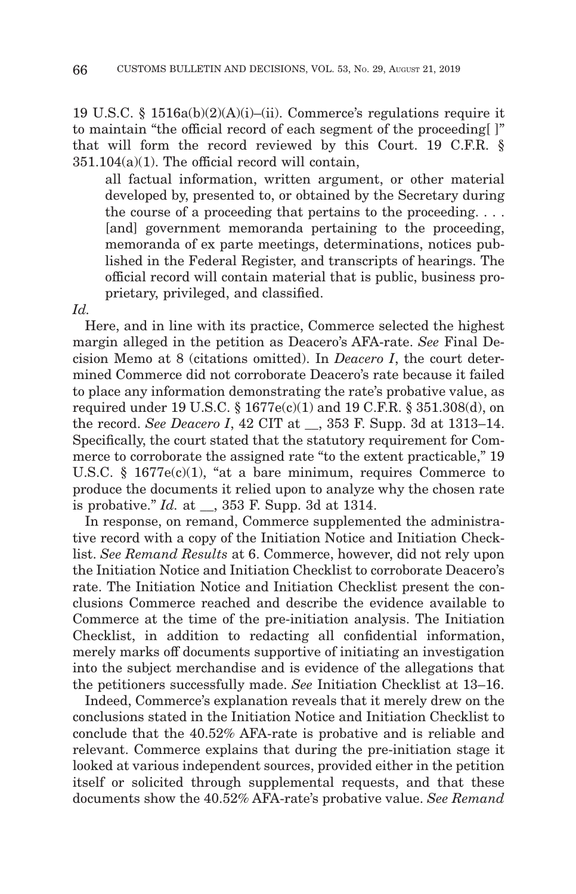19 U.S.C. § 1516a(b)(2)(A)(i)–(ii). Commerce's regulations require it to maintain "the official record of each segment of the proceeding[ ]" that will form the record reviewed by this Court. 19 C.F.R. §  $351.104(a)(1)$ . The official record will contain,

all factual information, written argument, or other material developed by, presented to, or obtained by the Secretary during the course of a proceeding that pertains to the proceeding.... [and] government memoranda pertaining to the proceeding, memoranda of ex parte meetings, determinations, notices published in the Federal Register, and transcripts of hearings. The official record will contain material that is public, business proprietary, privileged, and classified.

*Id.*

Here, and in line with its practice, Commerce selected the highest margin alleged in the petition as Deacero's AFA-rate. *See* Final Decision Memo at 8 (citations omitted). In *Deacero I*, the court determined Commerce did not corroborate Deacero's rate because it failed to place any information demonstrating the rate's probative value, as required under 19 U.S.C. § 1677e(c)(1) and 19 C.F.R. § 351.308(d), on the record. *See Deacero I*, 42 CIT at \_\_, 353 F. Supp. 3d at 1313–14. Specifically, the court stated that the statutory requirement for Commerce to corroborate the assigned rate "to the extent practicable," 19 U.S.C. §  $1677e(c)(1)$ , "at a bare minimum, requires Commerce to produce the documents it relied upon to analyze why the chosen rate is probative." *Id.* at \_\_, 353 F. Supp. 3d at 1314.

In response, on remand, Commerce supplemented the administrative record with a copy of the Initiation Notice and Initiation Checklist. *See Remand Results* at 6. Commerce, however, did not rely upon the Initiation Notice and Initiation Checklist to corroborate Deacero's rate. The Initiation Notice and Initiation Checklist present the conclusions Commerce reached and describe the evidence available to Commerce at the time of the pre-initiation analysis. The Initiation Checklist, in addition to redacting all confidential information, merely marks off documents supportive of initiating an investigation into the subject merchandise and is evidence of the allegations that the petitioners successfully made. *See* Initiation Checklist at 13–16.

Indeed, Commerce's explanation reveals that it merely drew on the conclusions stated in the Initiation Notice and Initiation Checklist to conclude that the 40.52% AFA-rate is probative and is reliable and relevant. Commerce explains that during the pre-initiation stage it looked at various independent sources, provided either in the petition itself or solicited through supplemental requests, and that these documents show the 40.52% AFA-rate's probative value. *See Remand*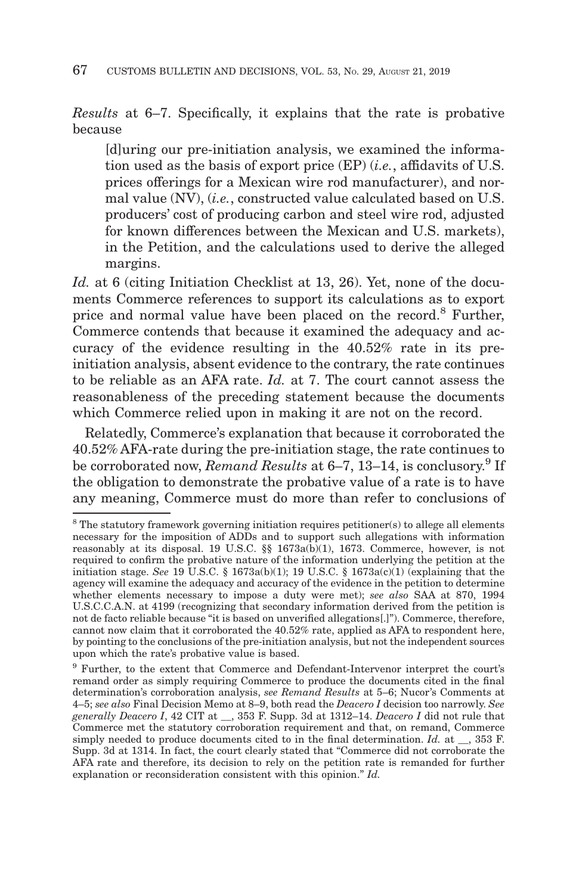*Results* at 6–7. Specifically, it explains that the rate is probative because

[d]uring our pre-initiation analysis, we examined the information used as the basis of export price (EP) (*i.e.*, affidavits of U.S. prices offerings for a Mexican wire rod manufacturer), and normal value (NV), (*i.e.*, constructed value calculated based on U.S. producers' cost of producing carbon and steel wire rod, adjusted for known differences between the Mexican and U.S. markets), in the Petition, and the calculations used to derive the alleged margins.

Id. at 6 (citing Initiation Checklist at 13, 26). Yet, none of the documents Commerce references to support its calculations as to export price and normal value have been placed on the record.8 Further, Commerce contends that because it examined the adequacy and accuracy of the evidence resulting in the 40.52% rate in its preinitiation analysis, absent evidence to the contrary, the rate continues to be reliable as an AFA rate. *Id.* at 7. The court cannot assess the reasonableness of the preceding statement because the documents which Commerce relied upon in making it are not on the record.

Relatedly, Commerce's explanation that because it corroborated the 40.52% AFA-rate during the pre-initiation stage, the rate continues to be corroborated now, *Remand Results* at 6–7, 13–14, is conclusory.<sup>9</sup> If the obligation to demonstrate the probative value of a rate is to have any meaning, Commerce must do more than refer to conclusions of

<sup>&</sup>lt;sup>8</sup> The statutory framework governing initiation requires petitioner(s) to allege all elements necessary for the imposition of ADDs and to support such allegations with information reasonably at its disposal. 19 U.S.C. §§ 1673a(b)(1), 1673. Commerce, however, is not required to confirm the probative nature of the information underlying the petition at the initiation stage. *See* 19 U.S.C. § 1673a(b)(1); 19 U.S.C. § 1673a(c)(1) (explaining that the agency will examine the adequacy and accuracy of the evidence in the petition to determine whether elements necessary to impose a duty were met); *see also* SAA at 870, 1994 U.S.C.C.A.N. at 4199 (recognizing that secondary information derived from the petition is not de facto reliable because "it is based on unverified allegations[.]"). Commerce, therefore, cannot now claim that it corroborated the 40.52% rate, applied as AFA to respondent here, by pointing to the conclusions of the pre-initiation analysis, but not the independent sources upon which the rate's probative value is based.

<sup>9</sup> Further, to the extent that Commerce and Defendant-Intervenor interpret the court's remand order as simply requiring Commerce to produce the documents cited in the final determination's corroboration analysis, *see Remand Results* at 5–6; Nucor's Comments at 4–5; *see also* Final Decision Memo at 8–9, both read the *Deacero I* decision too narrowly. *See generally Deacero I*, 42 CIT at \_\_, 353 F. Supp. 3d at 1312–14. *Deacero I* did not rule that Commerce met the statutory corroboration requirement and that, on remand, Commerce simply needed to produce documents cited to in the final determination. *Id.* at \_\_, 353 F. Supp. 3d at 1314. In fact, the court clearly stated that "Commerce did not corroborate the AFA rate and therefore, its decision to rely on the petition rate is remanded for further explanation or reconsideration consistent with this opinion." *Id.*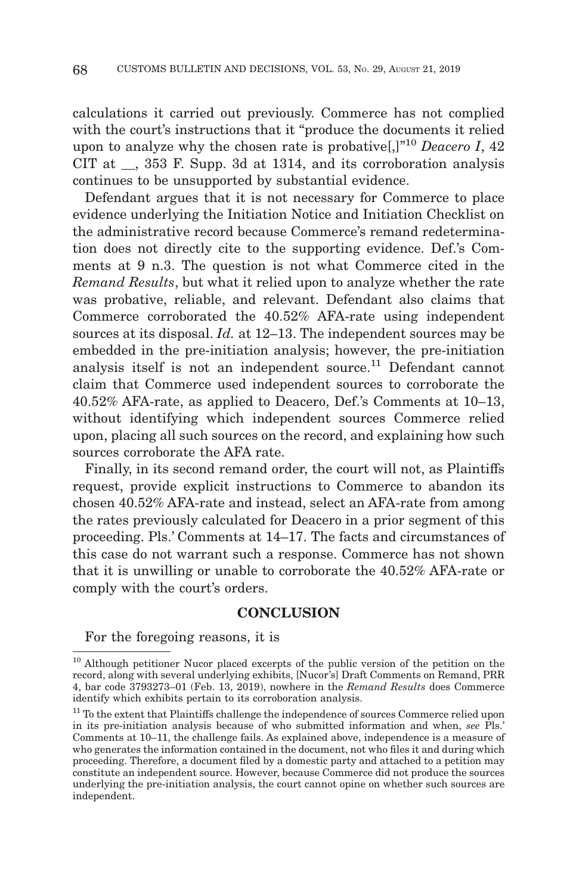calculations it carried out previously. Commerce has not complied with the court's instructions that it "produce the documents it relied upon to analyze why the chosen rate is probative[,]"10 *Deacero I*, 42 CIT at  $\,$ , 353 F. Supp. 3d at 1314, and its corroboration analysis continues to be unsupported by substantial evidence.

Defendant argues that it is not necessary for Commerce to place evidence underlying the Initiation Notice and Initiation Checklist on the administrative record because Commerce's remand redetermination does not directly cite to the supporting evidence. Def.'s Comments at 9 n.3. The question is not what Commerce cited in the *Remand Results*, but what it relied upon to analyze whether the rate was probative, reliable, and relevant. Defendant also claims that Commerce corroborated the 40.52% AFA-rate using independent sources at its disposal. *Id.* at 12–13. The independent sources may be embedded in the pre-initiation analysis; however, the pre-initiation analysis itself is not an independent source.<sup>11</sup> Defendant cannot claim that Commerce used independent sources to corroborate the 40.52% AFA-rate, as applied to Deacero, Def.'s Comments at 10–13, without identifying which independent sources Commerce relied upon, placing all such sources on the record, and explaining how such sources corroborate the AFA rate.

Finally, in its second remand order, the court will not, as Plaintiffs request, provide explicit instructions to Commerce to abandon its chosen 40.52% AFA-rate and instead, select an AFA-rate from among the rates previously calculated for Deacero in a prior segment of this proceeding. Pls.' Comments at 14–17. The facts and circumstances of this case do not warrant such a response. Commerce has not shown that it is unwilling or unable to corroborate the 40.52% AFA-rate or comply with the court's orders.

## **CONCLUSION**

For the foregoing reasons, it is

<sup>&</sup>lt;sup>10</sup> Although petitioner Nucor placed excerpts of the public version of the petition on the record, along with several underlying exhibits, [Nucor's] Draft Comments on Remand, PRR 4, bar code 3793273–01 (Feb. 13, 2019), nowhere in the *Remand Results* does Commerce identify which exhibits pertain to its corroboration analysis.

<sup>&</sup>lt;sup>11</sup> To the extent that Plaintiffs challenge the independence of sources Commerce relied upon in its pre-initiation analysis because of who submitted information and when, *see* Pls.' Comments at 10–11, the challenge fails. As explained above, independence is a measure of who generates the information contained in the document, not who files it and during which proceeding. Therefore, a document filed by a domestic party and attached to a petition may constitute an independent source. However, because Commerce did not produce the sources underlying the pre-initiation analysis, the court cannot opine on whether such sources are independent.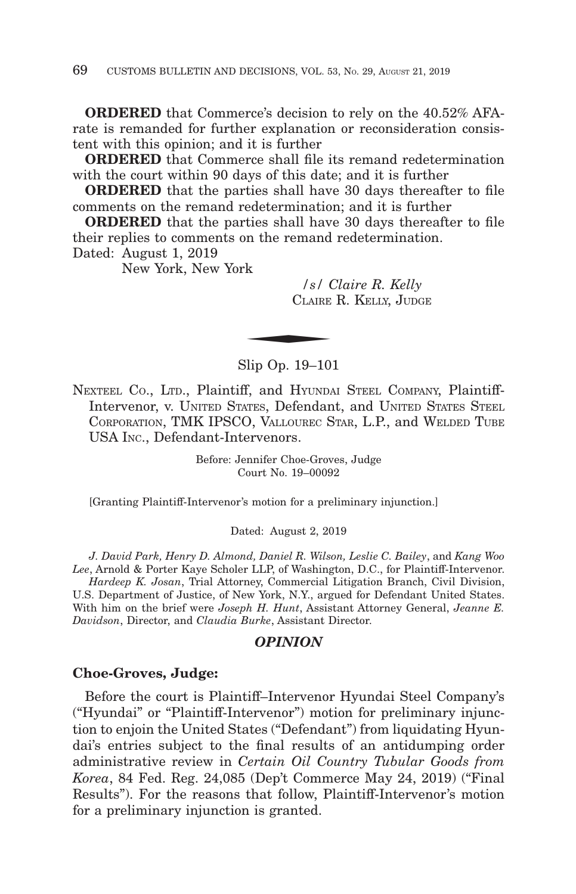**ORDERED** that Commerce's decision to rely on the 40.52% AFArate is remanded for further explanation or reconsideration consistent with this opinion; and it is further

**ORDERED** that Commerce shall file its remand redetermination with the court within 90 days of this date; and it is further

**ORDERED** that the parties shall have 30 days thereafter to file comments on the remand redetermination; and it is further

**ORDERED** that the parties shall have 30 days thereafter to file their replies to comments on the remand redetermination.

Dated: August 1, 2019

New York, New York

*/s/ Claire R. Kelly* CLAIRE R. KELLY, JUDGE  $\frac{1}{s}$  /  $\frac{s}{s}$  /  $\frac{s}{s}$ 

Slip Op. 19–101

NEXTEEL CO., LTD., Plaintiff, and HYUNDAI STEEL COMPANY, Plaintiff-Intervenor, v. UNITED STATES, Defendant, and UNITED STATES STEEL CORPORATION, TMK IPSCO, VALLOUREC STAR, L.P., and WELDED TUBE USA INC., Defendant-Intervenors.

> Before: Jennifer Choe-Groves, Judge Court No. 19–00092

[Granting Plaintiff-Intervenor's motion for a preliminary injunction.]

Dated: August 2, 2019

*J. David Park, Henry D. Almond, Daniel R. Wilson, Leslie C. Bailey*, and *Kang Woo Lee*, Arnold & Porter Kaye Scholer LLP, of Washington, D.C., for Plaintiff-Intervenor. *Hardeep K. Josan*, Trial Attorney, Commercial Litigation Branch, Civil Division, U.S. Department of Justice, of New York, N.Y., argued for Defendant United States. With him on the brief were *Joseph H. Hunt*, Assistant Attorney General, *Jeanne E. Davidson*, Director, and *Claudia Burke*, Assistant Director.

#### *OPINION*

#### **Choe-Groves, Judge:**

Before the court is Plaintiff–Intervenor Hyundai Steel Company's ("Hyundai" or "Plaintiff-Intervenor") motion for preliminary injunction to enjoin the United States ("Defendant") from liquidating Hyundai's entries subject to the final results of an antidumping order administrative review in *Certain Oil Country Tubular Goods from Korea*, 84 Fed. Reg. 24,085 (Dep't Commerce May 24, 2019) ("Final Results"). For the reasons that follow, Plaintiff-Intervenor's motion for a preliminary injunction is granted.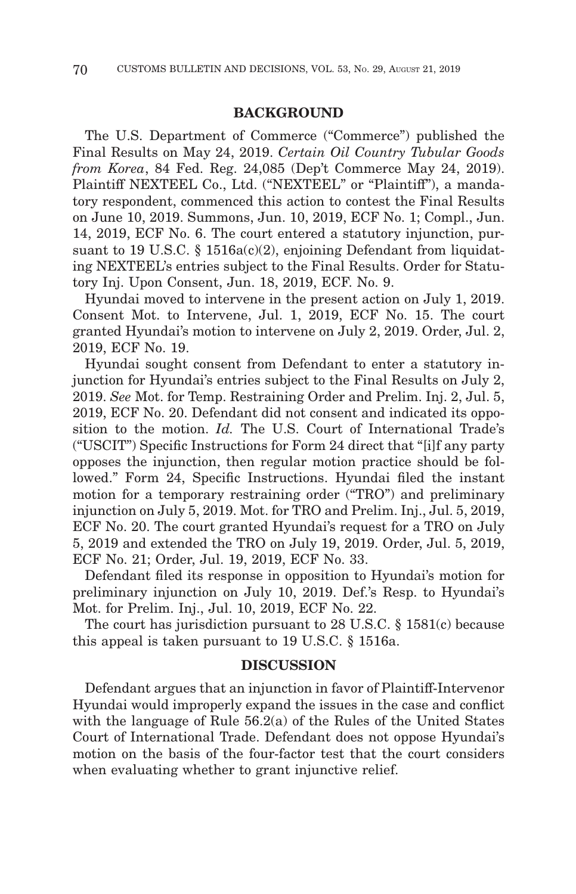## **BACKGROUND**

The U.S. Department of Commerce ("Commerce") published the Final Results on May 24, 2019. *Certain Oil Country Tubular Goods from Korea*, 84 Fed. Reg. 24,085 (Dep't Commerce May 24, 2019). Plaintiff NEXTEEL Co., Ltd. ("NEXTEEL" or "Plaintiff"), a mandatory respondent, commenced this action to contest the Final Results on June 10, 2019. Summons, Jun. 10, 2019, ECF No. 1; Compl., Jun. 14, 2019, ECF No. 6. The court entered a statutory injunction, pursuant to 19 U.S.C. § 1516a(c)(2), enjoining Defendant from liquidating NEXTEEL's entries subject to the Final Results. Order for Statutory Inj. Upon Consent, Jun. 18, 2019, ECF. No. 9.

Hyundai moved to intervene in the present action on July 1, 2019. Consent Mot. to Intervene, Jul. 1, 2019, ECF No. 15. The court granted Hyundai's motion to intervene on July 2, 2019. Order, Jul. 2, 2019, ECF No. 19.

Hyundai sought consent from Defendant to enter a statutory injunction for Hyundai's entries subject to the Final Results on July 2, 2019. *See* Mot. for Temp. Restraining Order and Prelim. Inj. 2, Jul. 5, 2019, ECF No. 20. Defendant did not consent and indicated its opposition to the motion. *Id.* The U.S. Court of International Trade's ("USCIT") Specific Instructions for Form 24 direct that "[i]f any party opposes the injunction, then regular motion practice should be followed." Form 24, Specific Instructions. Hyundai filed the instant motion for a temporary restraining order ("TRO") and preliminary injunction on July 5, 2019. Mot. for TRO and Prelim. Inj., Jul. 5, 2019, ECF No. 20. The court granted Hyundai's request for a TRO on July 5, 2019 and extended the TRO on July 19, 2019. Order, Jul. 5, 2019, ECF No. 21; Order, Jul. 19, 2019, ECF No. 33.

Defendant filed its response in opposition to Hyundai's motion for preliminary injunction on July 10, 2019. Def.'s Resp. to Hyundai's Mot. for Prelim. Inj., Jul. 10, 2019, ECF No. 22.

The court has jurisdiction pursuant to 28 U.S.C. § 1581(c) because this appeal is taken pursuant to 19 U.S.C. § 1516a.

#### **DISCUSSION**

Defendant argues that an injunction in favor of Plaintiff-Intervenor Hyundai would improperly expand the issues in the case and conflict with the language of Rule 56.2(a) of the Rules of the United States Court of International Trade. Defendant does not oppose Hyundai's motion on the basis of the four-factor test that the court considers when evaluating whether to grant injunctive relief.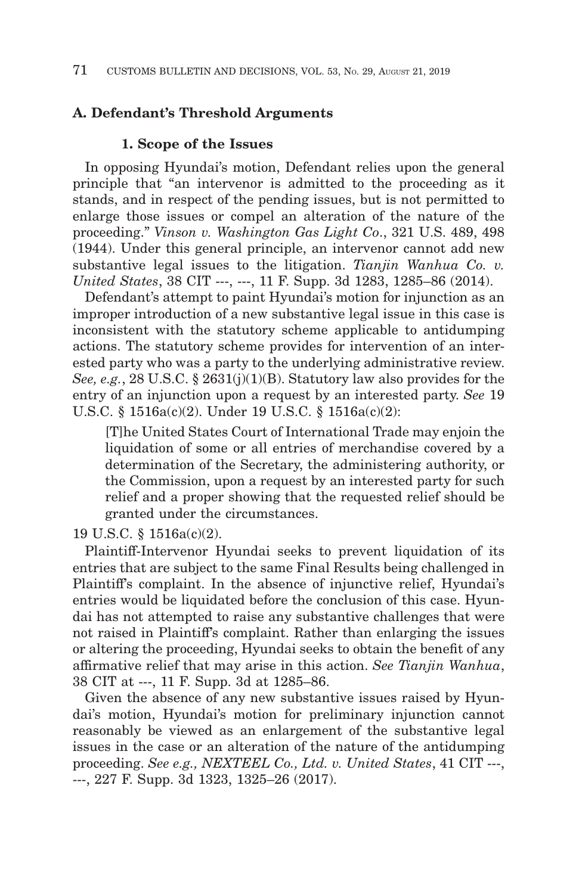# **A. Defendant's Threshold Arguments**

## **1. Scope of the Issues**

In opposing Hyundai's motion, Defendant relies upon the general principle that "an intervenor is admitted to the proceeding as it stands, and in respect of the pending issues, but is not permitted to enlarge those issues or compel an alteration of the nature of the proceeding." *Vinson v. Washington Gas Light Co*., 321 U.S. 489, 498 (1944). Under this general principle, an intervenor cannot add new substantive legal issues to the litigation. *Tianjin Wanhua Co. v. United States*, 38 CIT ---, ---, 11 F. Supp. 3d 1283, 1285–86 (2014).

Defendant's attempt to paint Hyundai's motion for injunction as an improper introduction of a new substantive legal issue in this case is inconsistent with the statutory scheme applicable to antidumping actions. The statutory scheme provides for intervention of an interested party who was a party to the underlying administrative review. *See, e.g.*, 28 U.S.C. § 2631(j)(1)(B). Statutory law also provides for the entry of an injunction upon a request by an interested party. *See* 19 U.S.C. § 1516a(c)(2). Under 19 U.S.C. § 1516a(c)(2):

[T]he United States Court of International Trade may enjoin the liquidation of some or all entries of merchandise covered by a determination of the Secretary, the administering authority, or the Commission, upon a request by an interested party for such relief and a proper showing that the requested relief should be granted under the circumstances.

19 U.S.C. § 1516a(c)(2).

Plaintiff-Intervenor Hyundai seeks to prevent liquidation of its entries that are subject to the same Final Results being challenged in Plaintiff's complaint. In the absence of injunctive relief, Hyundai's entries would be liquidated before the conclusion of this case. Hyundai has not attempted to raise any substantive challenges that were not raised in Plaintiff's complaint. Rather than enlarging the issues or altering the proceeding, Hyundai seeks to obtain the benefit of any affirmative relief that may arise in this action. *See Tianjin Wanhua*, 38 CIT at ---, 11 F. Supp. 3d at 1285–86.

Given the absence of any new substantive issues raised by Hyundai's motion, Hyundai's motion for preliminary injunction cannot reasonably be viewed as an enlargement of the substantive legal issues in the case or an alteration of the nature of the antidumping proceeding. *See e.g., NEXTEEL Co., Ltd. v. United States*, 41 CIT ---, ---, 227 F. Supp. 3d 1323, 1325–26 (2017).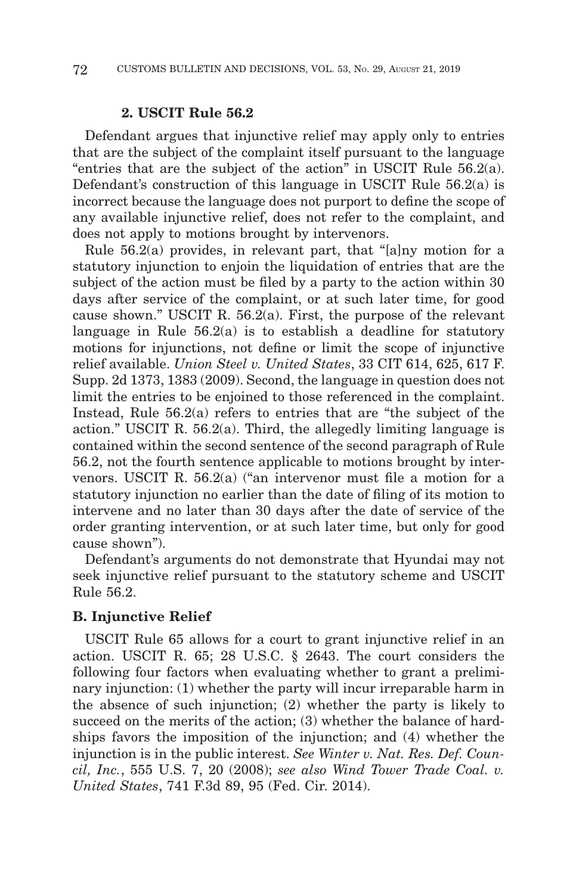## **2. USCIT Rule 56.2**

Defendant argues that injunctive relief may apply only to entries that are the subject of the complaint itself pursuant to the language "entries that are the subject of the action" in USCIT Rule 56.2(a). Defendant's construction of this language in USCIT Rule 56.2(a) is incorrect because the language does not purport to define the scope of any available injunctive relief, does not refer to the complaint, and does not apply to motions brought by intervenors.

Rule 56.2(a) provides, in relevant part, that "[a]ny motion for a statutory injunction to enjoin the liquidation of entries that are the subject of the action must be filed by a party to the action within 30 days after service of the complaint, or at such later time, for good cause shown." USCIT R. 56.2(a). First, the purpose of the relevant language in Rule 56.2(a) is to establish a deadline for statutory motions for injunctions, not define or limit the scope of injunctive relief available. *Union Steel v. United States*, 33 CIT 614, 625, 617 F. Supp. 2d 1373, 1383 (2009). Second, the language in question does not limit the entries to be enjoined to those referenced in the complaint. Instead, Rule 56.2(a) refers to entries that are "the subject of the action." USCIT R. 56.2(a). Third, the allegedly limiting language is contained within the second sentence of the second paragraph of Rule 56.2, not the fourth sentence applicable to motions brought by intervenors. USCIT R. 56.2(a) ("an intervenor must file a motion for a statutory injunction no earlier than the date of filing of its motion to intervene and no later than 30 days after the date of service of the order granting intervention, or at such later time, but only for good cause shown").

Defendant's arguments do not demonstrate that Hyundai may not seek injunctive relief pursuant to the statutory scheme and USCIT Rule 56.2.

# **B. Injunctive Relief**

USCIT Rule 65 allows for a court to grant injunctive relief in an action. USCIT R. 65; 28 U.S.C. § 2643. The court considers the following four factors when evaluating whether to grant a preliminary injunction: (1) whether the party will incur irreparable harm in the absence of such injunction; (2) whether the party is likely to succeed on the merits of the action; (3) whether the balance of hardships favors the imposition of the injunction; and (4) whether the injunction is in the public interest. *See Winter v. Nat. Res. Def. Council, Inc.*, 555 U.S. 7, 20 (2008); *see also Wind Tower Trade Coal. v. United States*, 741 F.3d 89, 95 (Fed. Cir. 2014).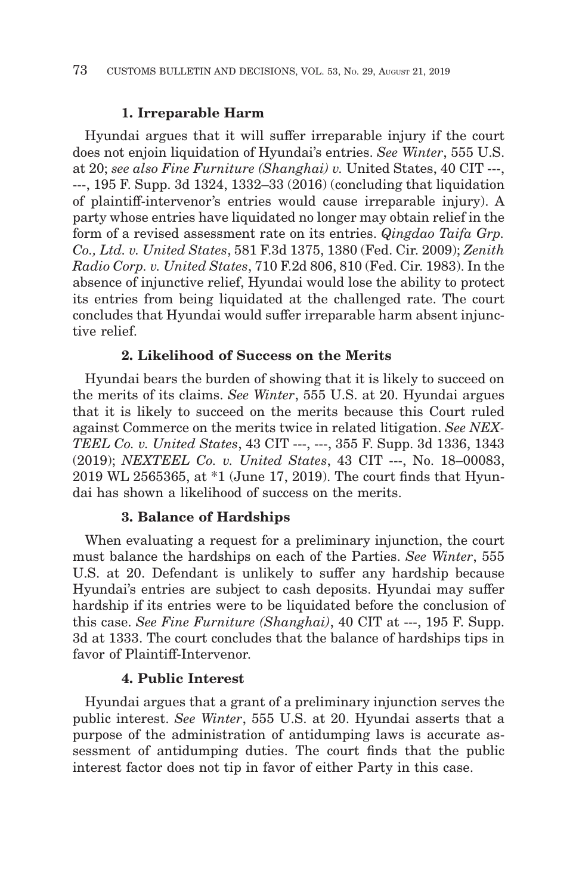# **1. Irreparable Harm**

Hyundai argues that it will suffer irreparable injury if the court does not enjoin liquidation of Hyundai's entries. *See Winter*, 555 U.S. at 20; *see also Fine Furniture (Shanghai) v.* United States, 40 CIT ---, ---, 195 F. Supp. 3d 1324, 1332–33 (2016) (concluding that liquidation of plaintiff-intervenor's entries would cause irreparable injury). A party whose entries have liquidated no longer may obtain relief in the form of a revised assessment rate on its entries. *Qingdao Taifa Grp. Co., Ltd. v. United States*, 581 F.3d 1375, 1380 (Fed. Cir. 2009); *Zenith Radio Corp. v. United States*, 710 F.2d 806, 810 (Fed. Cir. 1983). In the absence of injunctive relief, Hyundai would lose the ability to protect its entries from being liquidated at the challenged rate. The court concludes that Hyundai would suffer irreparable harm absent injunctive relief.

# **2. Likelihood of Success on the Merits**

Hyundai bears the burden of showing that it is likely to succeed on the merits of its claims. *See Winter*, 555 U.S. at 20. Hyundai argues that it is likely to succeed on the merits because this Court ruled against Commerce on the merits twice in related litigation. *See NEX-TEEL Co. v. United States*, 43 CIT ---, ---, 355 F. Supp. 3d 1336, 1343 (2019); *NEXTEEL Co. v. United States*, 43 CIT ---, No. 18–00083, 2019 WL 2565365, at \*1 (June 17, 2019). The court finds that Hyundai has shown a likelihood of success on the merits.

# **3. Balance of Hardships**

When evaluating a request for a preliminary injunction, the court must balance the hardships on each of the Parties. *See Winter*, 555 U.S. at 20. Defendant is unlikely to suffer any hardship because Hyundai's entries are subject to cash deposits. Hyundai may suffer hardship if its entries were to be liquidated before the conclusion of this case. *See Fine Furniture (Shanghai)*, 40 CIT at ---, 195 F. Supp. 3d at 1333. The court concludes that the balance of hardships tips in favor of Plaintiff-Intervenor.

# **4. Public Interest**

Hyundai argues that a grant of a preliminary injunction serves the public interest. *See Winter*, 555 U.S. at 20. Hyundai asserts that a purpose of the administration of antidumping laws is accurate assessment of antidumping duties. The court finds that the public interest factor does not tip in favor of either Party in this case.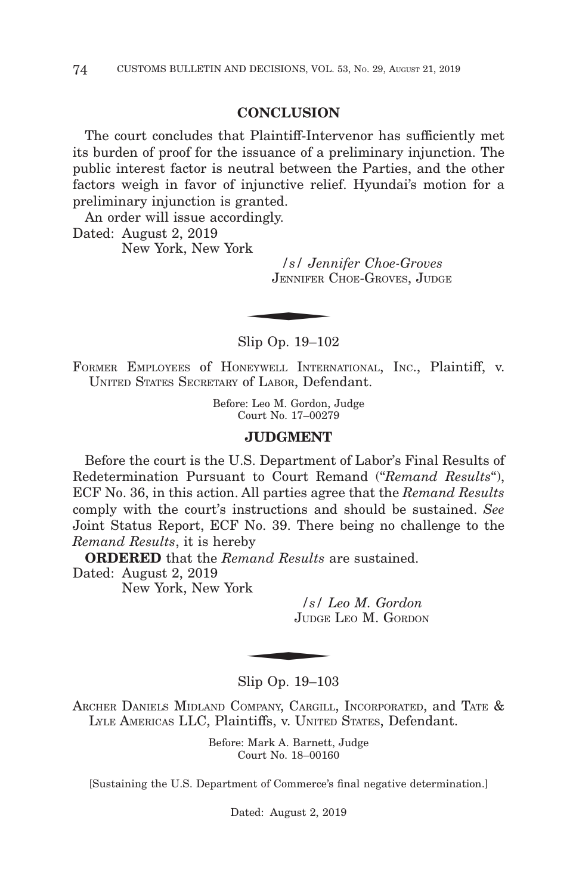## **CONCLUSION**

The court concludes that Plaintiff-Intervenor has sufficiently met its burden of proof for the issuance of a preliminary injunction. The public interest factor is neutral between the Parties, and the other factors weigh in favor of injunctive relief. Hyundai's motion for a preliminary injunction is granted.

An order will issue accordingly. Dated: August 2, 2019 New York, New York

*/s/ Jennifer Choe-Groves* JENNIFER CHOE-GROVES, JUDGE  $\frac{1}{s}$  /s/ Jeni<br>JENNIFER (

Slip Op. 19–102

FORMER EMPLOYEES of HONEYWELL INTERNATIONAL, INC., Plaintiff, v. UNITED STATES SECRETARY of LABOR, Defendant.

> Before: Leo M. Gordon, Judge Court No. 17–00279

## **JUDGMENT**

Before the court is the U.S. Department of Labor's Final Results of Redetermination Pursuant to Court Remand ("*Remand Results*"), ECF No. 36, in this action. All parties agree that the *Remand Results* comply with the court's instructions and should be sustained. *See* Joint Status Report, ECF No. 39. There being no challenge to the *Remand Results*, it is hereby

**ORDERED** that the *Remand Results* are sustained.

Dated: August 2, 2019

New York, New York

*/s/ Leo M. Gordon* JUDGE LEO M. GORDON  $\begin{array}{c|c}\n\text{sk} & /s / L \\
\hline\n\text{JUDGE} \\
\hline\n\end{array}$ 

Slip Op. 19–103

ARCHER DANIELS MIDLAND COMPANY, CARGILL, INCORPORATED, and TATE & LYLE AMERICAS LLC, Plaintiffs, v. UNITED STATES, Defendant.

> Before: Mark A. Barnett, Judge Court No. 18–00160

[Sustaining the U.S. Department of Commerce's final negative determination.]

Dated: August 2, 2019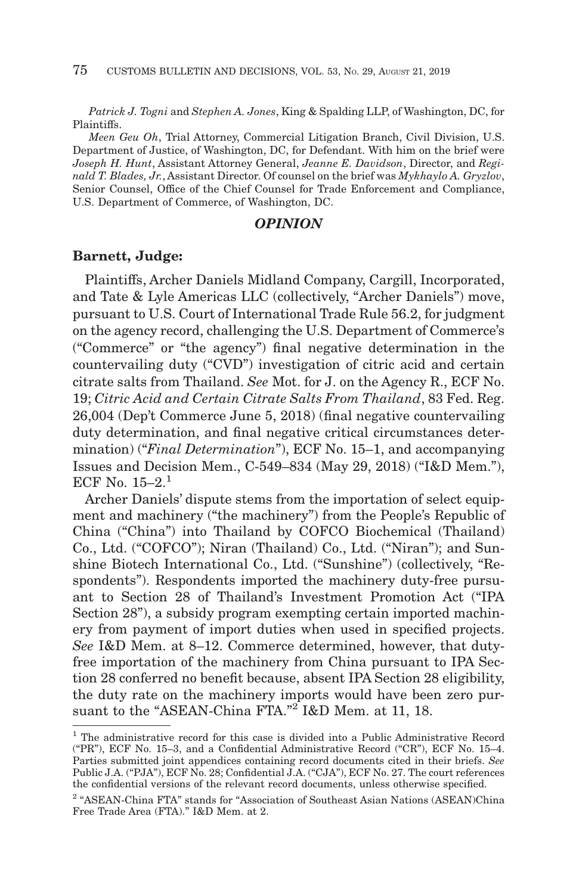*Patrick J. Togni* and *Stephen A. Jones*, King & Spalding LLP, of Washington, DC, for Plaintiffs.

*Meen Geu Oh*, Trial Attorney, Commercial Litigation Branch, Civil Division, U.S. Department of Justice, of Washington, DC, for Defendant. With him on the brief were *Joseph H. Hunt*, Assistant Attorney General, *Jeanne E. Davidson*, Director, and *Reginald T. Blades, Jr.*, Assistant Director. Of counsel on the brief was *Mykhaylo A. Gryzlov*, Senior Counsel, Office of the Chief Counsel for Trade Enforcement and Compliance, U.S. Department of Commerce, of Washington, DC.

# *OPINION*

## **Barnett, Judge:**

Plaintiffs, Archer Daniels Midland Company, Cargill, Incorporated, and Tate & Lyle Americas LLC (collectively, "Archer Daniels") move, pursuant to U.S. Court of International Trade Rule 56.2, for judgment on the agency record, challenging the U.S. Department of Commerce's ("Commerce" or "the agency") final negative determination in the countervailing duty ("CVD") investigation of citric acid and certain citrate salts from Thailand. *See* Mot. for J. on the Agency R., ECF No. 19; *Citric Acid and Certain Citrate Salts From Thailand*, 83 Fed. Reg. 26,004 (Dep't Commerce June 5, 2018) (final negative countervailing duty determination, and final negative critical circumstances determination) ("*Final Determination*"), ECF No. 15–1, and accompanying Issues and Decision Mem., C-549–834 (May 29, 2018) ("I&D Mem."), ECF No.  $15-2$ <sup>1</sup>

Archer Daniels' dispute stems from the importation of select equipment and machinery ("the machinery") from the People's Republic of China ("China") into Thailand by COFCO Biochemical (Thailand) Co., Ltd. ("COFCO"); Niran (Thailand) Co., Ltd. ("Niran"); and Sunshine Biotech International Co., Ltd. ("Sunshine") (collectively, "Respondents"). Respondents imported the machinery duty-free pursuant to Section 28 of Thailand's Investment Promotion Act ("IPA Section 28"), a subsidy program exempting certain imported machinery from payment of import duties when used in specified projects. *See* I&D Mem. at 8–12. Commerce determined, however, that dutyfree importation of the machinery from China pursuant to IPA Section 28 conferred no benefit because, absent IPA Section 28 eligibility, the duty rate on the machinery imports would have been zero pursuant to the "ASEAN-China FTA."<sup>2</sup> I&D Mem. at 11, 18.

<sup>&</sup>lt;sup>1</sup> The administrative record for this case is divided into a Public Administrative Record ("PR"), ECF No. 15–3, and a Confidential Administrative Record ("CR"), ECF No. 15–4. Parties submitted joint appendices containing record documents cited in their briefs. *See* Public J.A. ("PJA"), ECF No. 28; Confidential J.A. ("CJA"), ECF No. 27. The court references the confidential versions of the relevant record documents, unless otherwise specified.

<sup>2 &</sup>quot;ASEAN-China FTA" stands for "Association of Southeast Asian Nations (ASEAN)China Free Trade Area (FTA)." I&D Mem. at 2.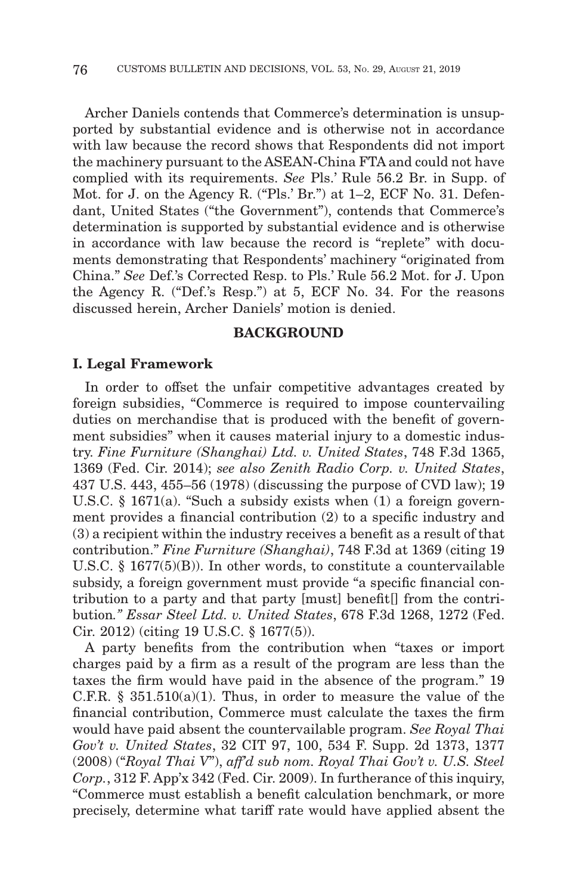Archer Daniels contends that Commerce's determination is unsupported by substantial evidence and is otherwise not in accordance with law because the record shows that Respondents did not import the machinery pursuant to the ASEAN-China FTA and could not have complied with its requirements. *See* Pls.' Rule 56.2 Br. in Supp. of Mot. for J. on the Agency R. ("Pls.' Br.") at 1–2, ECF No. 31. Defendant, United States ("the Government"), contends that Commerce's determination is supported by substantial evidence and is otherwise in accordance with law because the record is "replete" with documents demonstrating that Respondents' machinery "originated from China." *See* Def.'s Corrected Resp. to Pls.' Rule 56.2 Mot. for J. Upon the Agency R. ("Def.'s Resp.") at 5, ECF No. 34. For the reasons discussed herein, Archer Daniels' motion is denied.

# **BACKGROUND**

## **I. Legal Framework**

In order to offset the unfair competitive advantages created by foreign subsidies, "Commerce is required to impose countervailing duties on merchandise that is produced with the benefit of government subsidies" when it causes material injury to a domestic industry. *Fine Furniture (Shanghai) Ltd. v. United States*, 748 F.3d 1365, 1369 (Fed. Cir. 2014); *see also Zenith Radio Corp. v. United States*, 437 U.S. 443, 455–56 (1978) (discussing the purpose of CVD law); 19 U.S.C. § 1671(a). "Such a subsidy exists when (1) a foreign government provides a financial contribution (2) to a specific industry and (3) a recipient within the industry receives a benefit as a result of that contribution." *Fine Furniture (Shanghai)*, 748 F.3d at 1369 (citing 19 U.S.C. § 1677(5)(B)). In other words, to constitute a countervailable subsidy, a foreign government must provide "a specific financial contribution to a party and that party [must] benefit[] from the contribution*." Essar Steel Ltd. v. United States*, 678 F.3d 1268, 1272 (Fed. Cir. 2012) (citing 19 U.S.C. § 1677(5)).

A party benefits from the contribution when "taxes or import charges paid by a firm as a result of the program are less than the taxes the firm would have paid in the absence of the program." 19 C.F.R.  $\S$  351.510(a)(1). Thus, in order to measure the value of the financial contribution, Commerce must calculate the taxes the firm would have paid absent the countervailable program. *See Royal Thai Gov't v. United States*, 32 CIT 97, 100, 534 F. Supp. 2d 1373, 1377 (2008) ("*Royal Thai V*"), *aff'd sub nom. Royal Thai Gov't v. U.S. Steel Corp.*, 312 F. App'x 342 (Fed. Cir. 2009). In furtherance of this inquiry, "Commerce must establish a benefit calculation benchmark, or more precisely, determine what tariff rate would have applied absent the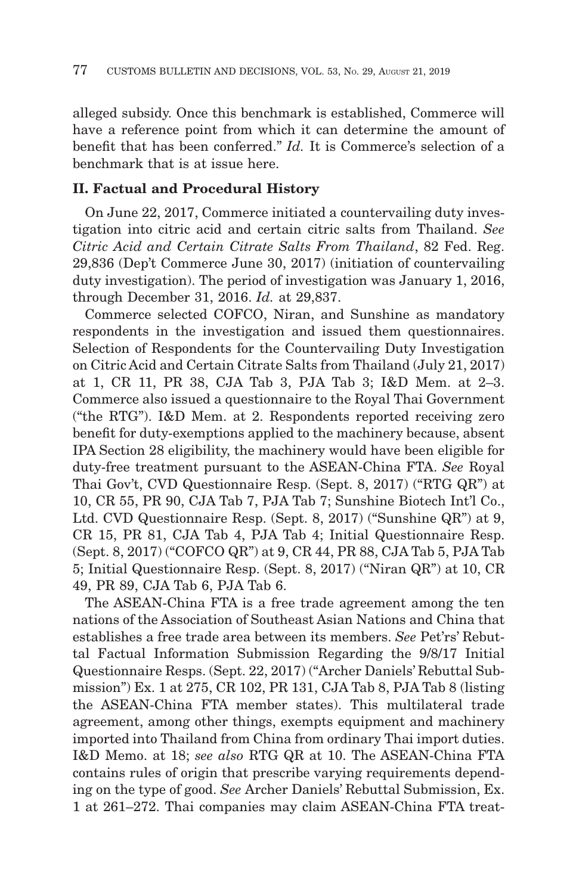alleged subsidy. Once this benchmark is established, Commerce will have a reference point from which it can determine the amount of benefit that has been conferred." *Id.* It is Commerce's selection of a benchmark that is at issue here.

## **II. Factual and Procedural History**

On June 22, 2017, Commerce initiated a countervailing duty investigation into citric acid and certain citric salts from Thailand. *See Citric Acid and Certain Citrate Salts From Thailand*, 82 Fed. Reg. 29,836 (Dep't Commerce June 30, 2017) (initiation of countervailing duty investigation). The period of investigation was January 1, 2016, through December 31, 2016. *Id.* at 29,837.

Commerce selected COFCO, Niran, and Sunshine as mandatory respondents in the investigation and issued them questionnaires. Selection of Respondents for the Countervailing Duty Investigation on Citric Acid and Certain Citrate Salts from Thailand (July 21, 2017) at 1, CR 11, PR 38, CJA Tab 3, PJA Tab 3; I&D Mem. at 2–3. Commerce also issued a questionnaire to the Royal Thai Government ("the RTG"). I&D Mem. at 2. Respondents reported receiving zero benefit for duty-exemptions applied to the machinery because, absent IPA Section 28 eligibility, the machinery would have been eligible for duty-free treatment pursuant to the ASEAN-China FTA. *See* Royal Thai Gov't, CVD Questionnaire Resp. (Sept. 8, 2017) ("RTG QR") at 10, CR 55, PR 90, CJA Tab 7, PJA Tab 7; Sunshine Biotech Int'l Co., Ltd. CVD Questionnaire Resp. (Sept. 8, 2017) ("Sunshine QR") at 9, CR 15, PR 81, CJA Tab 4, PJA Tab 4; Initial Questionnaire Resp. (Sept. 8, 2017) ("COFCO QR") at 9, CR 44, PR 88, CJA Tab 5, PJA Tab 5; Initial Questionnaire Resp. (Sept. 8, 2017) ("Niran QR") at 10, CR 49, PR 89, CJA Tab 6, PJA Tab 6.

The ASEAN-China FTA is a free trade agreement among the ten nations of the Association of Southeast Asian Nations and China that establishes a free trade area between its members. *See* Pet'rs' Rebuttal Factual Information Submission Regarding the 9/8/17 Initial Questionnaire Resps. (Sept. 22, 2017) ("Archer Daniels' Rebuttal Submission") Ex. 1 at 275, CR 102, PR 131, CJA Tab 8, PJA Tab 8 (listing the ASEAN-China FTA member states). This multilateral trade agreement, among other things, exempts equipment and machinery imported into Thailand from China from ordinary Thai import duties. I&D Memo. at 18; *see also* RTG QR at 10. The ASEAN-China FTA contains rules of origin that prescribe varying requirements depending on the type of good. *See* Archer Daniels' Rebuttal Submission, Ex. 1 at 261–272. Thai companies may claim ASEAN-China FTA treat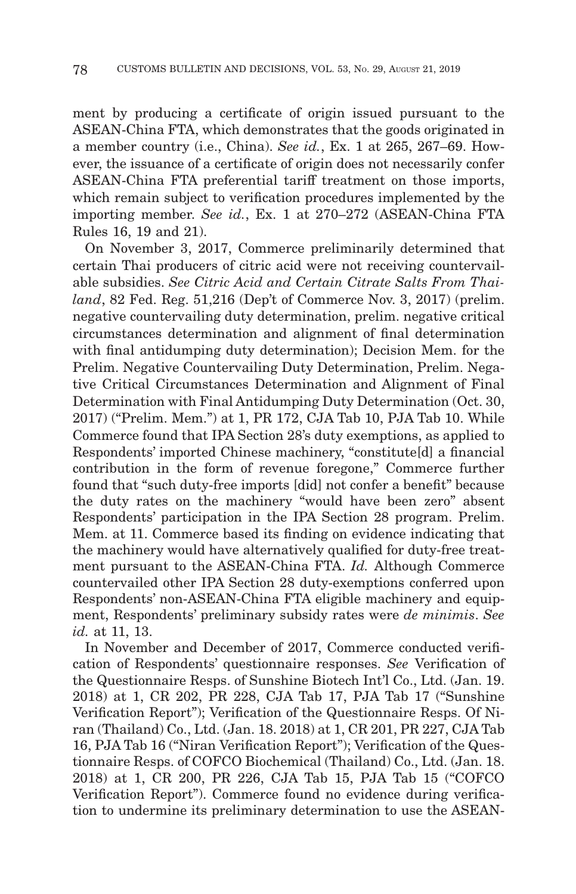ment by producing a certificate of origin issued pursuant to the ASEAN-China FTA, which demonstrates that the goods originated in a member country (i.e., China). *See id.*, Ex. 1 at 265, 267–69. However, the issuance of a certificate of origin does not necessarily confer ASEAN-China FTA preferential tariff treatment on those imports, which remain subject to verification procedures implemented by the importing member. *See id.*, Ex. 1 at 270–272 (ASEAN-China FTA Rules 16, 19 and 21).

On November 3, 2017, Commerce preliminarily determined that certain Thai producers of citric acid were not receiving countervailable subsidies. *See Citric Acid and Certain Citrate Salts From Thailand*, 82 Fed. Reg. 51,216 (Dep't of Commerce Nov. 3, 2017) (prelim. negative countervailing duty determination, prelim. negative critical circumstances determination and alignment of final determination with final antidumping duty determination); Decision Mem. for the Prelim. Negative Countervailing Duty Determination, Prelim. Negative Critical Circumstances Determination and Alignment of Final Determination with Final Antidumping Duty Determination (Oct. 30, 2017) ("Prelim. Mem.") at 1, PR 172, CJA Tab 10, PJA Tab 10. While Commerce found that IPA Section 28's duty exemptions, as applied to Respondents' imported Chinese machinery, "constitute[d] a financial contribution in the form of revenue foregone," Commerce further found that "such duty-free imports [did] not confer a benefit" because the duty rates on the machinery "would have been zero" absent Respondents' participation in the IPA Section 28 program. Prelim. Mem. at 11. Commerce based its finding on evidence indicating that the machinery would have alternatively qualified for duty-free treatment pursuant to the ASEAN-China FTA. *Id.* Although Commerce countervailed other IPA Section 28 duty-exemptions conferred upon Respondents' non-ASEAN-China FTA eligible machinery and equipment, Respondents' preliminary subsidy rates were *de minimis*. *See id.* at 11, 13.

In November and December of 2017, Commerce conducted verification of Respondents' questionnaire responses. *See* Verification of the Questionnaire Resps. of Sunshine Biotech Int'l Co., Ltd. (Jan. 19. 2018) at 1, CR 202, PR 228, CJA Tab 17, PJA Tab 17 ("Sunshine Verification Report"); Verification of the Questionnaire Resps. Of Niran (Thailand) Co., Ltd. (Jan. 18. 2018) at 1, CR 201, PR 227, CJA Tab 16, PJA Tab 16 ("Niran Verification Report"); Verification of the Questionnaire Resps. of COFCO Biochemical (Thailand) Co., Ltd. (Jan. 18. 2018) at 1, CR 200, PR 226, CJA Tab 15, PJA Tab 15 ("COFCO Verification Report"). Commerce found no evidence during verification to undermine its preliminary determination to use the ASEAN-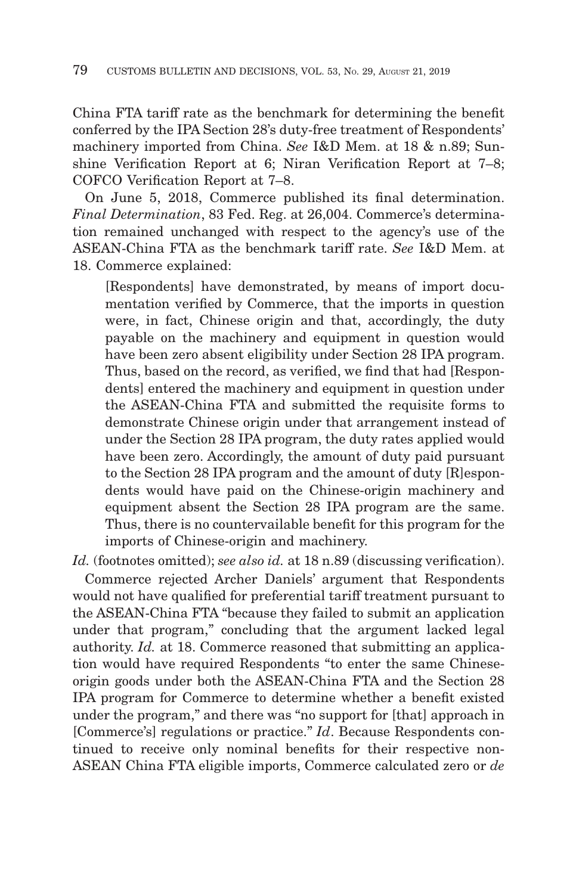China FTA tariff rate as the benchmark for determining the benefit conferred by the IPA Section 28's duty-free treatment of Respondents' machinery imported from China. *See* I&D Mem. at 18 & n.89; Sunshine Verification Report at 6; Niran Verification Report at 7–8; COFCO Verification Report at 7–8.

On June 5, 2018, Commerce published its final determination. *Final Determination*, 83 Fed. Reg. at 26,004. Commerce's determination remained unchanged with respect to the agency's use of the ASEAN-China FTA as the benchmark tariff rate. *See* I&D Mem. at 18. Commerce explained:

[Respondents] have demonstrated, by means of import documentation verified by Commerce, that the imports in question were, in fact, Chinese origin and that, accordingly, the duty payable on the machinery and equipment in question would have been zero absent eligibility under Section 28 IPA program. Thus, based on the record, as verified, we find that had [Respondents] entered the machinery and equipment in question under the ASEAN-China FTA and submitted the requisite forms to demonstrate Chinese origin under that arrangement instead of under the Section 28 IPA program, the duty rates applied would have been zero. Accordingly, the amount of duty paid pursuant to the Section 28 IPA program and the amount of duty [R]espondents would have paid on the Chinese-origin machinery and equipment absent the Section 28 IPA program are the same. Thus, there is no countervailable benefit for this program for the imports of Chinese-origin and machinery.

Id. (footnotes omitted); *see also id.* at 18 n.89 (discussing verification). Commerce rejected Archer Daniels' argument that Respondents would not have qualified for preferential tariff treatment pursuant to the ASEAN-China FTA "because they failed to submit an application under that program," concluding that the argument lacked legal authority. *Id.* at 18. Commerce reasoned that submitting an application would have required Respondents "to enter the same Chineseorigin goods under both the ASEAN-China FTA and the Section 28 IPA program for Commerce to determine whether a benefit existed under the program," and there was "no support for [that] approach in [Commerce's] regulations or practice." *Id*. Because Respondents continued to receive only nominal benefits for their respective non-ASEAN China FTA eligible imports, Commerce calculated zero or *de*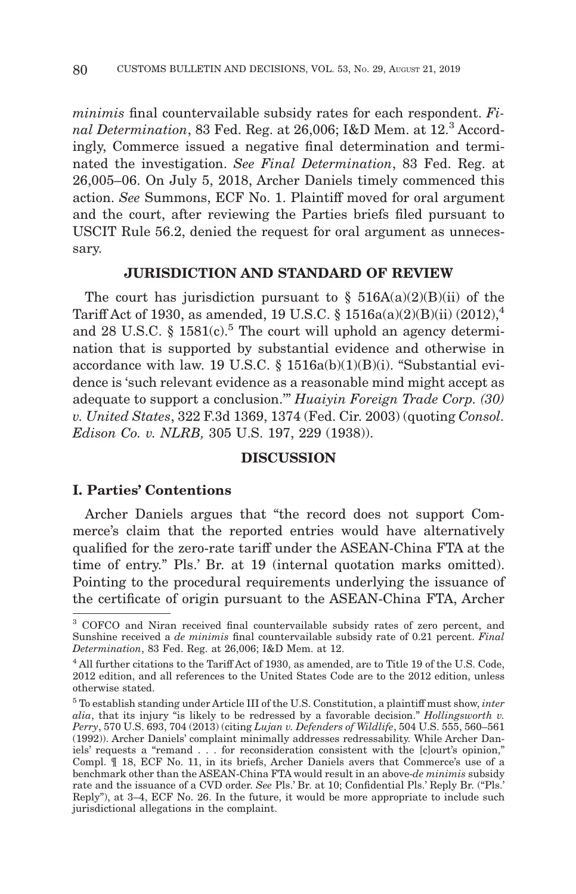*minimis* final countervailable subsidy rates for each respondent. *Final Determination*, 83 Fed. Reg. at 26,006; I&D Mem. at 12.<sup>3</sup> Accordingly, Commerce issued a negative final determination and terminated the investigation. *See Final Determination*, 83 Fed. Reg. at 26,005–06. On July 5, 2018, Archer Daniels timely commenced this action. *See* Summons, ECF No. 1. Plaintiff moved for oral argument and the court, after reviewing the Parties briefs filed pursuant to USCIT Rule 56.2, denied the request for oral argument as unnecessary.

# **JURISDICTION AND STANDARD OF REVIEW**

The court has jurisdiction pursuant to  $\S$  516A(a)(2)(B)(ii) of the Tariff Act of 1930, as amended, 19 U.S.C. § 1516a(a)(2)(B)(ii) (2012),<sup>4</sup> and 28 U.S.C.  $\S$  1581(c).<sup>5</sup> The court will uphold an agency determination that is supported by substantial evidence and otherwise in accordance with law. 19 U.S.C. § 1516a(b)(1)(B)(i). "Substantial evidence is 'such relevant evidence as a reasonable mind might accept as adequate to support a conclusion.'" *Huaiyin Foreign Trade Corp. (30) v. United States*, 322 F.3d 1369, 1374 (Fed. Cir. 2003) (quoting *Consol. Edison Co. v. NLRB,* 305 U.S. 197, 229 (1938)).

# **DISCUSSION**

# **I. Parties' Contentions**

Archer Daniels argues that "the record does not support Commerce's claim that the reported entries would have alternatively qualified for the zero-rate tariff under the ASEAN-China FTA at the time of entry." Pls.' Br. at 19 (internal quotation marks omitted). Pointing to the procedural requirements underlying the issuance of the certificate of origin pursuant to the ASEAN-China FTA, Archer

<sup>3</sup> COFCO and Niran received final countervailable subsidy rates of zero percent, and Sunshine received a *de minimis* final countervailable subsidy rate of 0.21 percent. *Final Determination*, 83 Fed. Reg. at 26,006; I&D Mem. at 12.

<sup>&</sup>lt;sup>4</sup> All further citations to the Tariff Act of 1930, as amended, are to Title 19 of the U.S. Code, 2012 edition, and all references to the United States Code are to the 2012 edition, unless otherwise stated.

<sup>5</sup> To establish standing under Article III of the U.S. Constitution, a plaintiff must show, *inter alia*, that its injury "is likely to be redressed by a favorable decision." *Hollingsworth v. Perry*, 570 U.S. 693, 704 (2013) (citing *Lujan v. Defenders of Wildlife*, 504 U.S. 555, 560–561 (1992)). Archer Daniels' complaint minimally addresses redressability. While Archer Daniels' requests a "remand . . . for reconsideration consistent with the [c]ourt's opinion," Compl. ¶ 18, ECF No. 11, in its briefs, Archer Daniels avers that Commerce's use of a benchmark other than the ASEAN-China FTA would result in an above-*de minimis* subsidy rate and the issuance of a CVD order. *See* Pls.' Br. at 10; Confidential Pls.' Reply Br. ("Pls.' Reply"), at 3–4, ECF No. 26. In the future, it would be more appropriate to include such jurisdictional allegations in the complaint.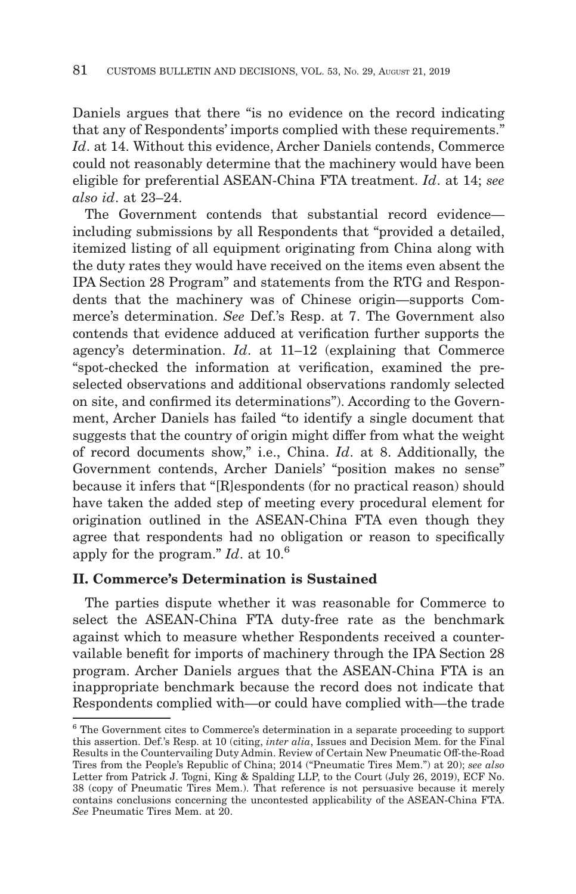Daniels argues that there "is no evidence on the record indicating that any of Respondents' imports complied with these requirements." *Id*. at 14. Without this evidence, Archer Daniels contends, Commerce could not reasonably determine that the machinery would have been eligible for preferential ASEAN-China FTA treatment. *Id*. at 14; *see also id*. at 23–24.

The Government contends that substantial record evidence including submissions by all Respondents that "provided a detailed, itemized listing of all equipment originating from China along with the duty rates they would have received on the items even absent the IPA Section 28 Program" and statements from the RTG and Respondents that the machinery was of Chinese origin—supports Commerce's determination. *See* Def.'s Resp. at 7. The Government also contends that evidence adduced at verification further supports the agency's determination. *Id*. at 11–12 (explaining that Commerce "spot-checked the information at verification, examined the preselected observations and additional observations randomly selected on site, and confirmed its determinations"). According to the Government, Archer Daniels has failed "to identify a single document that suggests that the country of origin might differ from what the weight of record documents show," i.e., China. *Id*. at 8. Additionally, the Government contends, Archer Daniels' "position makes no sense" because it infers that "[R]espondents (for no practical reason) should have taken the added step of meeting every procedural element for origination outlined in the ASEAN-China FTA even though they agree that respondents had no obligation or reason to specifically apply for the program." *Id*. at 10.<sup>6</sup>

# **II. Commerce's Determination is Sustained**

The parties dispute whether it was reasonable for Commerce to select the ASEAN-China FTA duty-free rate as the benchmark against which to measure whether Respondents received a countervailable benefit for imports of machinery through the IPA Section 28 program. Archer Daniels argues that the ASEAN-China FTA is an inappropriate benchmark because the record does not indicate that Respondents complied with—or could have complied with—the trade

<sup>6</sup> The Government cites to Commerce's determination in a separate proceeding to support this assertion. Def.'s Resp. at 10 (citing, *inter alia*, Issues and Decision Mem. for the Final Results in the Countervailing Duty Admin. Review of Certain New Pneumatic Off-the-Road Tires from the People's Republic of China; 2014 ("Pneumatic Tires Mem.") at 20); *see also* Letter from Patrick J. Togni, King & Spalding LLP, to the Court (July 26, 2019), ECF No. 38 (copy of Pneumatic Tires Mem.). That reference is not persuasive because it merely contains conclusions concerning the uncontested applicability of the ASEAN-China FTA. *See* Pneumatic Tires Mem. at 20.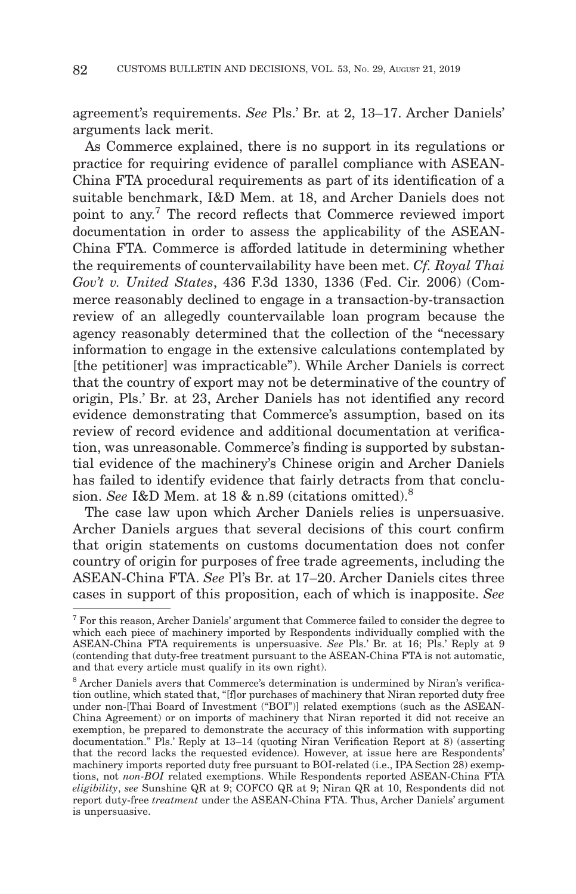agreement's requirements. *See* Pls.' Br. at 2, 13–17. Archer Daniels' arguments lack merit.

As Commerce explained, there is no support in its regulations or practice for requiring evidence of parallel compliance with ASEAN-China FTA procedural requirements as part of its identification of a suitable benchmark, I&D Mem. at 18, and Archer Daniels does not point to any.7 The record reflects that Commerce reviewed import documentation in order to assess the applicability of the ASEAN-China FTA. Commerce is afforded latitude in determining whether the requirements of countervailability have been met. *Cf. Royal Thai Gov't v. United States*, 436 F.3d 1330, 1336 (Fed. Cir. 2006) (Commerce reasonably declined to engage in a transaction-by-transaction review of an allegedly countervailable loan program because the agency reasonably determined that the collection of the "necessary information to engage in the extensive calculations contemplated by [the petitioner] was impracticable"). While Archer Daniels is correct that the country of export may not be determinative of the country of origin, Pls.' Br. at 23, Archer Daniels has not identified any record evidence demonstrating that Commerce's assumption, based on its review of record evidence and additional documentation at verification, was unreasonable. Commerce's finding is supported by substantial evidence of the machinery's Chinese origin and Archer Daniels has failed to identify evidence that fairly detracts from that conclusion. *See* I&D Mem. at 18 & n.89 (citations omitted).8

The case law upon which Archer Daniels relies is unpersuasive. Archer Daniels argues that several decisions of this court confirm that origin statements on customs documentation does not confer country of origin for purposes of free trade agreements, including the ASEAN-China FTA. *See* Pl's Br. at 17–20. Archer Daniels cites three cases in support of this proposition, each of which is inapposite. *See*

 $7$  For this reason, Archer Daniels' argument that Commerce failed to consider the degree to which each piece of machinery imported by Respondents individually complied with the ASEAN-China FTA requirements is unpersuasive. *See* Pls.' Br. at 16; Pls.' Reply at 9 (contending that duty-free treatment pursuant to the ASEAN-China FTA is not automatic, and that every article must qualify in its own right).

<sup>8</sup> Archer Daniels avers that Commerce's determination is undermined by Niran's verification outline, which stated that, "[f]or purchases of machinery that Niran reported duty free under non-[Thai Board of Investment ("BOI")] related exemptions (such as the ASEAN-China Agreement) or on imports of machinery that Niran reported it did not receive an exemption, be prepared to demonstrate the accuracy of this information with supporting documentation." Pls.' Reply at 13–14 (quoting Niran Verification Report at 8) (asserting that the record lacks the requested evidence). However, at issue here are Respondents' machinery imports reported duty free pursuant to BOI-related (i.e., IPA Section 28) exemptions, not *non-BOI* related exemptions. While Respondents reported ASEAN-China FTA *eligibility*, *see* Sunshine QR at 9; COFCO QR at 9; Niran QR at 10, Respondents did not report duty-free *treatment* under the ASEAN-China FTA. Thus, Archer Daniels' argument is unpersuasive.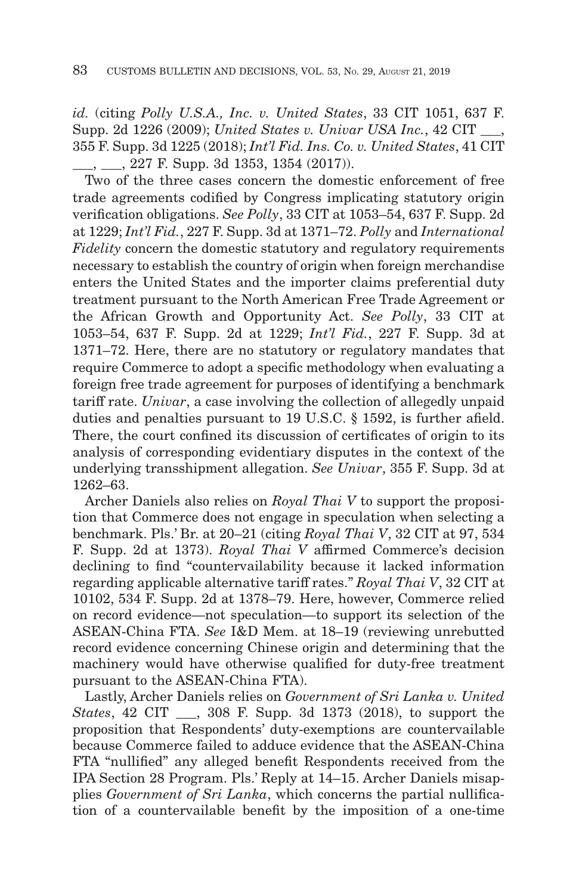*id.* (citing *Polly U.S.A., Inc. v. United States*, 33 CIT 1051, 637 F. Supp. 2d 1226 (2009); *United States v. Univar USA Inc.*, 42 CIT \_\_\_, 355 F. Supp. 3d 1225 (2018); *Int'l Fid. Ins. Co. v. United States*, 41 CIT \_\_\_, \_\_\_, 227 F. Supp. 3d 1353, 1354 (2017)).

Two of the three cases concern the domestic enforcement of free trade agreements codified by Congress implicating statutory origin verification obligations. *See Polly*, 33 CIT at 1053–54, 637 F. Supp. 2d at 1229; *Int'l Fid.*, 227 F. Supp. 3d at 1371–72. *Polly* and *International Fidelity* concern the domestic statutory and regulatory requirements necessary to establish the country of origin when foreign merchandise enters the United States and the importer claims preferential duty treatment pursuant to the North American Free Trade Agreement or the African Growth and Opportunity Act. *See Polly*, 33 CIT at 1053–54, 637 F. Supp. 2d at 1229; *Int'l Fid.*, 227 F. Supp. 3d at 1371–72. Here, there are no statutory or regulatory mandates that require Commerce to adopt a specific methodology when evaluating a foreign free trade agreement for purposes of identifying a benchmark tariff rate. *Univar*, a case involving the collection of allegedly unpaid duties and penalties pursuant to 19 U.S.C. § 1592, is further afield. There, the court confined its discussion of certificates of origin to its analysis of corresponding evidentiary disputes in the context of the underlying transshipment allegation. *See Univar*, 355 F. Supp. 3d at 1262–63.

Archer Daniels also relies on *Royal Thai V* to support the proposition that Commerce does not engage in speculation when selecting a benchmark. Pls.' Br. at 20–21 (citing *Royal Thai V*, 32 CIT at 97, 534 F. Supp. 2d at 1373). *Royal Thai V* affirmed Commerce's decision declining to find "countervailability because it lacked information regarding applicable alternative tariff rates." *Royal Thai V*, 32 CIT at 10102, 534 F. Supp. 2d at 1378–79. Here, however, Commerce relied on record evidence—not speculation—to support its selection of the ASEAN-China FTA. *See* I&D Mem. at 18–19 (reviewing unrebutted record evidence concerning Chinese origin and determining that the machinery would have otherwise qualified for duty-free treatment pursuant to the ASEAN-China FTA).

Lastly, Archer Daniels relies on *Government of Sri Lanka v. United States*, 42 CIT \_\_\_, 308 F. Supp. 3d 1373 (2018), to support the proposition that Respondents' duty-exemptions are countervailable because Commerce failed to adduce evidence that the ASEAN-China FTA "nullified" any alleged benefit Respondents received from the IPA Section 28 Program. Pls.' Reply at 14–15. Archer Daniels misapplies *Government of Sri Lanka*, which concerns the partial nullification of a countervailable benefit by the imposition of a one-time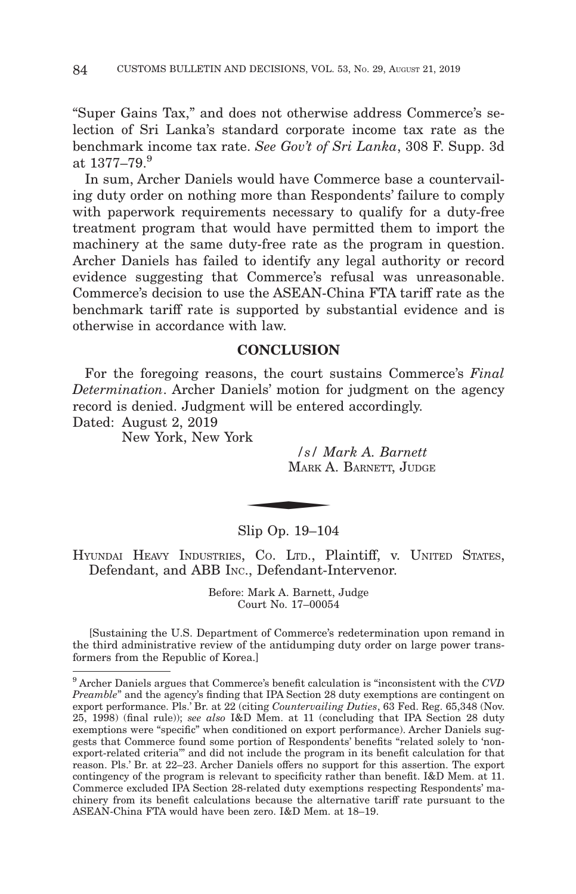"Super Gains Tax," and does not otherwise address Commerce's selection of Sri Lanka's standard corporate income tax rate as the benchmark income tax rate. *See Gov't of Sri Lanka*, 308 F. Supp. 3d at  $1377 - 79.9$ 

In sum, Archer Daniels would have Commerce base a countervailing duty order on nothing more than Respondents' failure to comply with paperwork requirements necessary to qualify for a duty-free treatment program that would have permitted them to import the machinery at the same duty-free rate as the program in question. Archer Daniels has failed to identify any legal authority or record evidence suggesting that Commerce's refusal was unreasonable. Commerce's decision to use the ASEAN-China FTA tariff rate as the benchmark tariff rate is supported by substantial evidence and is otherwise in accordance with law.

# **CONCLUSION**

For the foregoing reasons, the court sustains Commerce's *Final Determination*. Archer Daniels' motion for judgment on the agency record is denied. Judgment will be entered accordingly.

Dated: August 2, 2019

New York, New York

*/s/ Mark A. Barnett* MARK A. BARNETT, JUDGE  $\frac{s}{MAR}$ 

Slip Op. 19–104

HYUNDAI HEAVY INDUSTRIES, CO. LTD., Plaintiff, v. UNITED STATES, Defendant, and ABB INC., Defendant-Intervenor.

> Before: Mark A. Barnett, Judge Court No. 17–00054

[Sustaining the U.S. Department of Commerce's redetermination upon remand in the third administrative review of the antidumping duty order on large power transformers from the Republic of Korea.]

<sup>9</sup> Archer Daniels argues that Commerce's benefit calculation is "inconsistent with the *CVD Preamble*" and the agency's finding that IPA Section 28 duty exemptions are contingent on export performance. Pls.' Br. at 22 (citing *Countervailing Duties*, 63 Fed. Reg. 65,348 (Nov. 25, 1998) (final rule)); *see also* I&D Mem. at 11 (concluding that IPA Section 28 duty exemptions were "specific" when conditioned on export performance). Archer Daniels suggests that Commerce found some portion of Respondents' benefits "related solely to 'nonexport-related criteria'" and did not include the program in its benefit calculation for that reason. Pls.' Br. at 22–23. Archer Daniels offers no support for this assertion. The export contingency of the program is relevant to specificity rather than benefit. I&D Mem. at 11. Commerce excluded IPA Section 28-related duty exemptions respecting Respondents' machinery from its benefit calculations because the alternative tariff rate pursuant to the ASEAN-China FTA would have been zero. I&D Mem. at 18–19.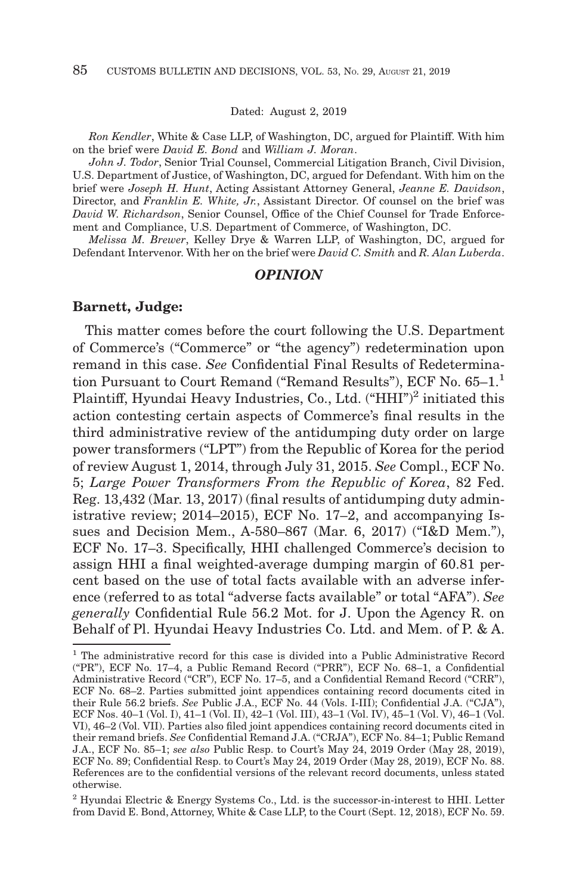Dated: August 2, 2019

*Ron Kendler*, White & Case LLP, of Washington, DC, argued for Plaintiff. With him on the brief were *David E. Bond* and *William J. Moran*.

*John J. Todor*, Senior Trial Counsel, Commercial Litigation Branch, Civil Division, U.S. Department of Justice, of Washington, DC, argued for Defendant. With him on the brief were *Joseph H. Hunt*, Acting Assistant Attorney General, *Jeanne E. Davidson*, Director, and *Franklin E. White, Jr.*, Assistant Director. Of counsel on the brief was *David W. Richardson*, Senior Counsel, Office of the Chief Counsel for Trade Enforcement and Compliance, U.S. Department of Commerce, of Washington, DC.

*Melissa M. Brewer*, Kelley Drye & Warren LLP, of Washington, DC, argued for Defendant Intervenor. With her on the brief were *David C. Smith* and *R. Alan Luberda*.

#### *OPINION*

#### **Barnett, Judge:**

This matter comes before the court following the U.S. Department of Commerce's ("Commerce" or "the agency") redetermination upon remand in this case. *See* Confidential Final Results of Redetermination Pursuant to Court Remand ("Remand Results"), ECF No. 65-1.<sup>1</sup> Plaintiff, Hyundai Heavy Industries, Co., Ltd. ("HHI")<sup>2</sup> initiated this action contesting certain aspects of Commerce's final results in the third administrative review of the antidumping duty order on large power transformers ("LPT") from the Republic of Korea for the period of review August 1, 2014, through July 31, 2015. *See* Compl., ECF No. 5; *Large Power Transformers From the Republic of Korea*, 82 Fed. Reg. 13,432 (Mar. 13, 2017) (final results of antidumping duty administrative review; 2014–2015), ECF No. 17–2, and accompanying Issues and Decision Mem., A-580–867 (Mar. 6, 2017) ("I&D Mem."), ECF No. 17–3. Specifically, HHI challenged Commerce's decision to assign HHI a final weighted-average dumping margin of 60.81 percent based on the use of total facts available with an adverse inference (referred to as total "adverse facts available" or total "AFA"). *See generally* Confidential Rule 56.2 Mot. for J. Upon the Agency R. on Behalf of Pl. Hyundai Heavy Industries Co. Ltd. and Mem. of P. & A.

<sup>1</sup> The administrative record for this case is divided into a Public Administrative Record ("PR"), ECF No. 17–4, a Public Remand Record ("PRR"), ECF No. 68–1, a Confidential Administrative Record ("CR"), ECF No. 17–5, and a Confidential Remand Record ("CRR"), ECF No. 68–2. Parties submitted joint appendices containing record documents cited in their Rule 56.2 briefs. *See* Public J.A., ECF No. 44 (Vols. I-III); Confidential J.A. ("CJA"), ECF Nos. 40–1 (Vol. I), 41–1 (Vol. II), 42–1 (Vol. III), 43–1 (Vol. IV), 45–1 (Vol. V), 46–1 (Vol. VI), 46–2 (Vol. VII). Parties also filed joint appendices containing record documents cited in their remand briefs. *See* Confidential Remand J.A. ("CRJA"), ECF No. 84–1; Public Remand J.A., ECF No. 85–1; *see also* Public Resp. to Court's May 24, 2019 Order (May 28, 2019), ECF No. 89; Confidential Resp. to Court's May 24, 2019 Order (May 28, 2019), ECF No. 88. References are to the confidential versions of the relevant record documents, unless stated otherwise.

<sup>2</sup> Hyundai Electric & Energy Systems Co., Ltd. is the successor-in-interest to HHI. Letter from David E. Bond, Attorney, White & Case LLP, to the Court (Sept. 12, 2018), ECF No. 59.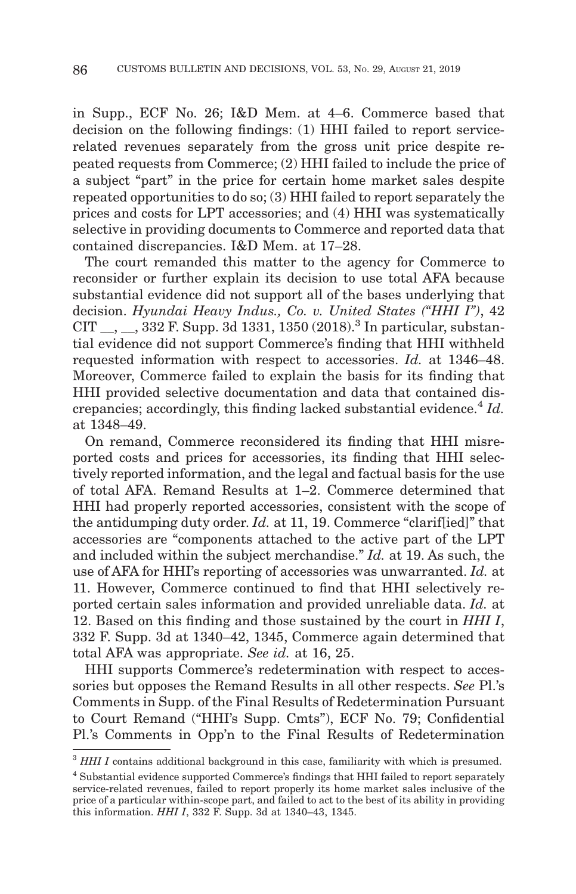in Supp., ECF No. 26; I&D Mem. at 4–6. Commerce based that decision on the following findings: (1) HHI failed to report servicerelated revenues separately from the gross unit price despite repeated requests from Commerce; (2) HHI failed to include the price of a subject "part" in the price for certain home market sales despite repeated opportunities to do so; (3) HHI failed to report separately the prices and costs for LPT accessories; and (4) HHI was systematically selective in providing documents to Commerce and reported data that contained discrepancies. I&D Mem. at 17–28.

The court remanded this matter to the agency for Commerce to reconsider or further explain its decision to use total AFA because substantial evidence did not support all of the bases underlying that decision. *Hyundai Heavy Indus., Co. v. United States ("HHI I")*, 42 CIT  $\_\_$ ,  $\_\_$ , 332 F. Supp. 3d 1331, 1350 (2018).<sup>3</sup> In particular, substantial evidence did not support Commerce's finding that HHI withheld requested information with respect to accessories. *Id.* at 1346–48. Moreover, Commerce failed to explain the basis for its finding that HHI provided selective documentation and data that contained discrepancies; accordingly, this finding lacked substantial evidence.<sup>4</sup> *Id.* at 1348–49.

On remand, Commerce reconsidered its finding that HHI misreported costs and prices for accessories, its finding that HHI selectively reported information, and the legal and factual basis for the use of total AFA. Remand Results at 1–2. Commerce determined that HHI had properly reported accessories, consistent with the scope of the antidumping duty order. *Id.* at 11, 19. Commerce "clarif[ied]" that accessories are "components attached to the active part of the LPT and included within the subject merchandise." *Id.* at 19. As such, the use of AFA for HHI's reporting of accessories was unwarranted. *Id.* at 11. However, Commerce continued to find that HHI selectively reported certain sales information and provided unreliable data. *Id.* at 12. Based on this finding and those sustained by the court in *HHI I*, 332 F. Supp. 3d at 1340–42, 1345, Commerce again determined that total AFA was appropriate. *See id.* at 16, 25.

HHI supports Commerce's redetermination with respect to accessories but opposes the Remand Results in all other respects. *See* Pl.'s Comments in Supp. of the Final Results of Redetermination Pursuant to Court Remand ("HHI's Supp. Cmts"), ECF No. 79; Confidential Pl.'s Comments in Opp'n to the Final Results of Redetermination

<sup>&</sup>lt;sup>3</sup> HHI I contains additional background in this case, familiarity with which is presumed.

<sup>4</sup> Substantial evidence supported Commerce's findings that HHI failed to report separately service-related revenues, failed to report properly its home market sales inclusive of the price of a particular within-scope part, and failed to act to the best of its ability in providing this information. *HHI I*, 332 F. Supp. 3d at 1340–43, 1345.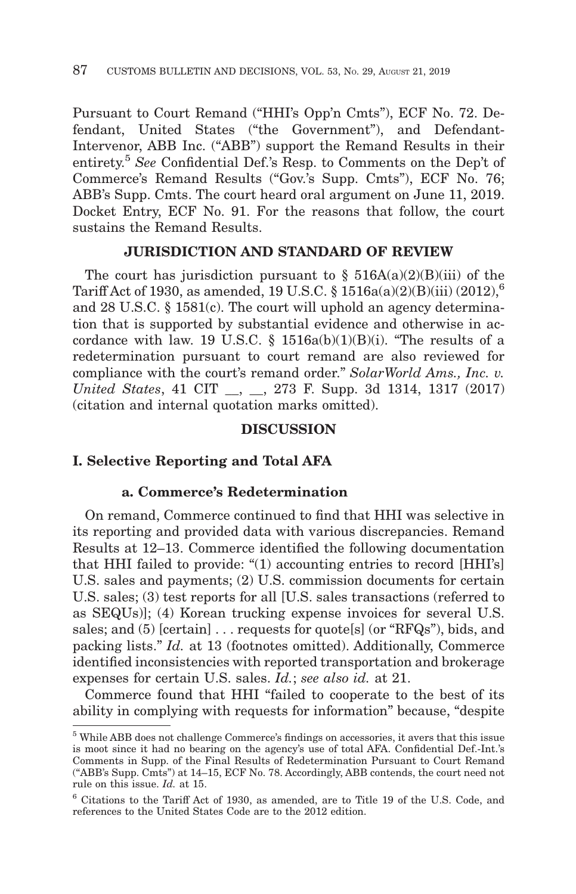Pursuant to Court Remand ("HHI's Opp'n Cmts"), ECF No. 72. Defendant, United States ("the Government"), and Defendant-Intervenor, ABB Inc. ("ABB") support the Remand Results in their entirety.5 *See* Confidential Def.'s Resp. to Comments on the Dep't of Commerce's Remand Results ("Gov.'s Supp. Cmts"), ECF No. 76; ABB's Supp. Cmts. The court heard oral argument on June 11, 2019. Docket Entry, ECF No. 91. For the reasons that follow, the court sustains the Remand Results.

# **JURISDICTION AND STANDARD OF REVIEW**

The court has jurisdiction pursuant to  $\S$  516A(a)(2)(B)(iii) of the Tariff Act of 1930, as amended, 19 U.S.C. § 1516a(a)(2)(B)(iii) (2012),<sup>6</sup> and 28 U.S.C. § 1581(c). The court will uphold an agency determination that is supported by substantial evidence and otherwise in accordance with law. 19 U.S.C. §  $1516a(b)(1)(B)(i)$ . "The results of a redetermination pursuant to court remand are also reviewed for compliance with the court's remand order." *SolarWorld Ams., Inc. v. United States*, 41 CIT \_\_, \_\_, 273 F. Supp. 3d 1314, 1317 (2017) (citation and internal quotation marks omitted).

# **DISCUSSION**

# **I. Selective Reporting and Total AFA**

## **a. Commerce's Redetermination**

On remand, Commerce continued to find that HHI was selective in its reporting and provided data with various discrepancies. Remand Results at 12–13. Commerce identified the following documentation that HHI failed to provide: "(1) accounting entries to record [HHI's] U.S. sales and payments; (2) U.S. commission documents for certain U.S. sales; (3) test reports for all [U.S. sales transactions (referred to as SEQUs)]; (4) Korean trucking expense invoices for several U.S. sales; and  $(5)$  [certain]  $\ldots$  requests for quote[s] (or "RFQs"), bids, and packing lists." *Id.* at 13 (footnotes omitted). Additionally, Commerce identified inconsistencies with reported transportation and brokerage expenses for certain U.S. sales. *Id.*; *see also id.* at 21.

Commerce found that HHI "failed to cooperate to the best of its ability in complying with requests for information" because, "despite

<sup>5</sup> While ABB does not challenge Commerce's findings on accessories, it avers that this issue is moot since it had no bearing on the agency's use of total AFA. Confidential Def.-Int.'s Comments in Supp. of the Final Results of Redetermination Pursuant to Court Remand ("ABB's Supp. Cmts") at 14–15, ECF No. 78. Accordingly, ABB contends, the court need not rule on this issue. *Id.* at 15.

<sup>6</sup> Citations to the Tariff Act of 1930, as amended, are to Title 19 of the U.S. Code, and references to the United States Code are to the 2012 edition.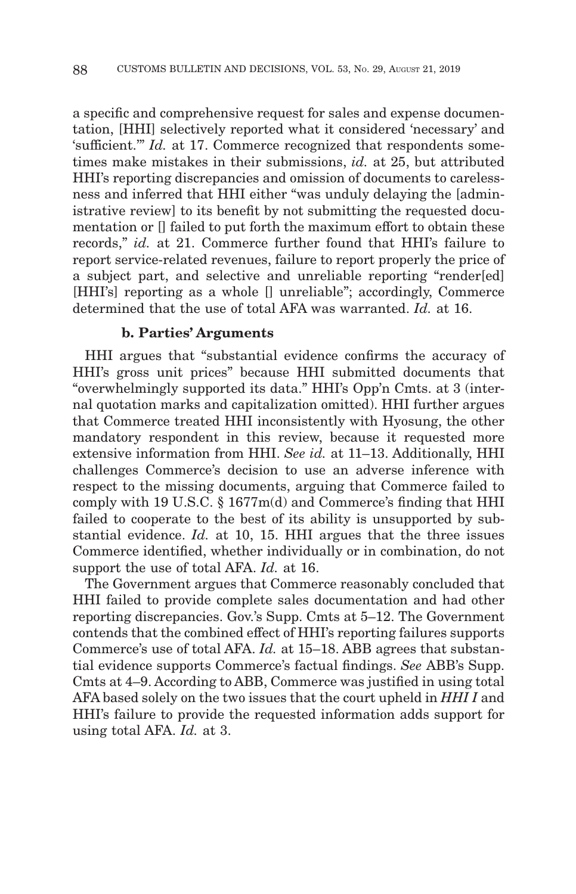a specific and comprehensive request for sales and expense documentation, [HHI] selectively reported what it considered 'necessary' and 'sufficient.'" *Id.* at 17. Commerce recognized that respondents sometimes make mistakes in their submissions, *id.* at 25, but attributed HHI's reporting discrepancies and omission of documents to carelessness and inferred that HHI either "was unduly delaying the [administrative review] to its benefit by not submitting the requested documentation or [] failed to put forth the maximum effort to obtain these records," *id.* at 21. Commerce further found that HHI's failure to report service-related revenues, failure to report properly the price of a subject part, and selective and unreliable reporting "render[ed] [HHI's] reporting as a whole [] unreliable"; accordingly, Commerce determined that the use of total AFA was warranted. *Id.* at 16.

## **b. Parties' Arguments**

HHI argues that "substantial evidence confirms the accuracy of HHI's gross unit prices" because HHI submitted documents that "overwhelmingly supported its data." HHI's Opp'n Cmts. at 3 (internal quotation marks and capitalization omitted). HHI further argues that Commerce treated HHI inconsistently with Hyosung, the other mandatory respondent in this review, because it requested more extensive information from HHI. *See id.* at 11–13. Additionally, HHI challenges Commerce's decision to use an adverse inference with respect to the missing documents, arguing that Commerce failed to comply with 19 U.S.C. § 1677m(d) and Commerce's finding that HHI failed to cooperate to the best of its ability is unsupported by substantial evidence. *Id.* at 10, 15. HHI argues that the three issues Commerce identified, whether individually or in combination, do not support the use of total AFA. *Id.* at 16.

The Government argues that Commerce reasonably concluded that HHI failed to provide complete sales documentation and had other reporting discrepancies. Gov.'s Supp. Cmts at 5–12. The Government contends that the combined effect of HHI's reporting failures supports Commerce's use of total AFA. *Id.* at 15–18. ABB agrees that substantial evidence supports Commerce's factual findings. *See* ABB's Supp. Cmts at 4–9. According to ABB, Commerce was justified in using total AFA based solely on the two issues that the court upheld in *HHI I* and HHI's failure to provide the requested information adds support for using total AFA. *Id.* at 3.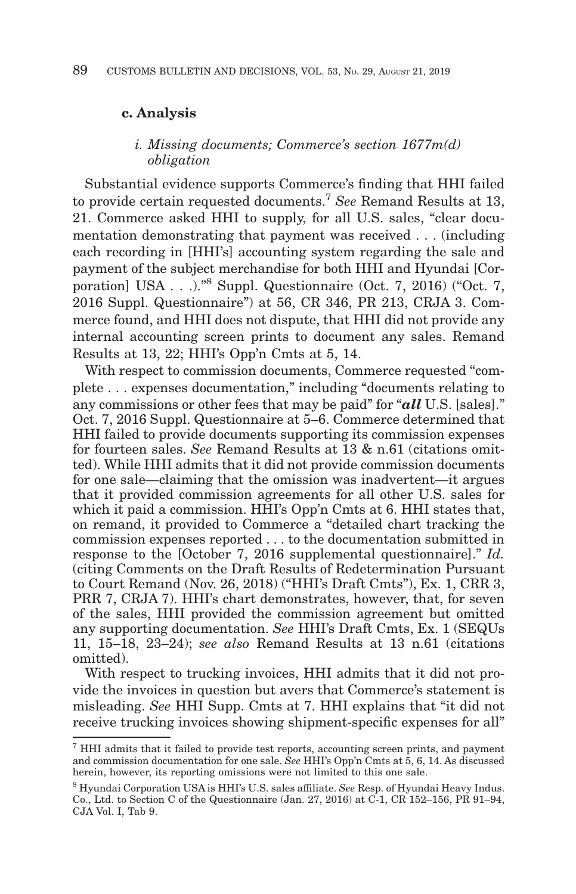## **c. Analysis**

## *i. Missing documents; Commerce's section 1677m(d) obligation*

Substantial evidence supports Commerce's finding that HHI failed to provide certain requested documents.7 *See* Remand Results at 13, 21. Commerce asked HHI to supply, for all U.S. sales, "clear documentation demonstrating that payment was received . . . (including each recording in [HHI's] accounting system regarding the sale and payment of the subject merchandise for both HHI and Hyundai [Corporation] USA . . .)."8 Suppl. Questionnaire (Oct. 7, 2016) ("Oct. 7, 2016 Suppl. Questionnaire") at 56, CR 346, PR 213, CRJA 3. Commerce found, and HHI does not dispute, that HHI did not provide any internal accounting screen prints to document any sales. Remand Results at 13, 22; HHI's Opp'n Cmts at 5, 14.

With respect to commission documents, Commerce requested "complete . . . expenses documentation," including "documents relating to any commissions or other fees that may be paid" for "*all* U.S. [sales]." Oct. 7, 2016 Suppl. Questionnaire at 5–6. Commerce determined that HHI failed to provide documents supporting its commission expenses for fourteen sales. *See* Remand Results at 13 & n.61 (citations omitted). While HHI admits that it did not provide commission documents for one sale—claiming that the omission was inadvertent—it argues that it provided commission agreements for all other U.S. sales for which it paid a commission. HHI's Opp'n Cmts at 6. HHI states that, on remand, it provided to Commerce a "detailed chart tracking the commission expenses reported . . . to the documentation submitted in response to the [October 7, 2016 supplemental questionnaire]." *Id.* (citing Comments on the Draft Results of Redetermination Pursuant to Court Remand (Nov. 26, 2018) ("HHI's Draft Cmts"), Ex. 1, CRR 3, PRR 7, CRJA 7). HHI's chart demonstrates, however, that, for seven of the sales, HHI provided the commission agreement but omitted any supporting documentation. *See* HHI's Draft Cmts, Ex. 1 (SEQUs 11, 15–18, 23–24); *see also* Remand Results at 13 n.61 (citations omitted).

With respect to trucking invoices, HHI admits that it did not provide the invoices in question but avers that Commerce's statement is misleading. *See* HHI Supp. Cmts at 7. HHI explains that "it did not receive trucking invoices showing shipment-specific expenses for all"

 $7$  HHI admits that it failed to provide test reports, accounting screen prints, and payment and commission documentation for one sale. *See* HHI's Opp'n Cmts at 5, 6, 14. As discussed herein, however, its reporting omissions were not limited to this one sale.

<sup>8</sup> Hyundai Corporation USA is HHI's U.S. sales affiliate. *See* Resp. of Hyundai Heavy Indus. Co., Ltd. to Section C of the Questionnaire (Jan. 27, 2016) at C-1, CR 152–156, PR 91–94, CJA Vol. I, Tab 9.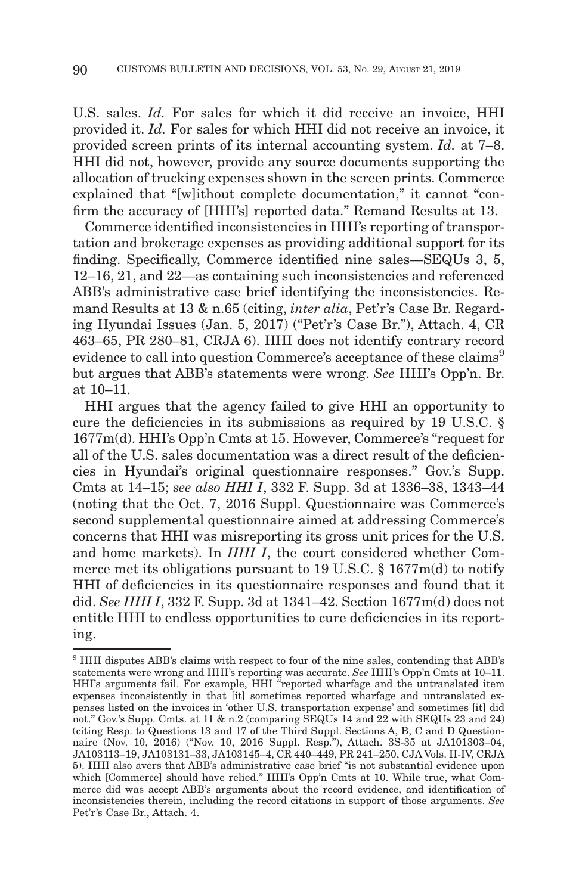U.S. sales. *Id.* For sales for which it did receive an invoice, HHI provided it. *Id.* For sales for which HHI did not receive an invoice, it provided screen prints of its internal accounting system. *Id.* at 7–8. HHI did not, however, provide any source documents supporting the allocation of trucking expenses shown in the screen prints. Commerce explained that "[w]ithout complete documentation," it cannot "confirm the accuracy of [HHI's] reported data." Remand Results at 13.

Commerce identified inconsistencies in HHI's reporting of transportation and brokerage expenses as providing additional support for its finding. Specifically, Commerce identified nine sales—SEQUs 3, 5, 12–16, 21, and 22—as containing such inconsistencies and referenced ABB's administrative case brief identifying the inconsistencies. Remand Results at 13 & n.65 (citing, *inter alia*, Pet'r's Case Br. Regarding Hyundai Issues (Jan. 5, 2017) ("Pet'r's Case Br."), Attach. 4, CR 463–65, PR 280–81, CRJA 6). HHI does not identify contrary record evidence to call into question Commerce's acceptance of these claims<sup>9</sup> but argues that ABB's statements were wrong. *See* HHI's Opp'n. Br. at 10–11.

HHI argues that the agency failed to give HHI an opportunity to cure the deficiencies in its submissions as required by 19 U.S.C. § 1677m(d). HHI's Opp'n Cmts at 15. However, Commerce's "request for all of the U.S. sales documentation was a direct result of the deficiencies in Hyundai's original questionnaire responses." Gov.'s Supp. Cmts at 14–15; *see also HHI I*, 332 F. Supp. 3d at 1336–38, 1343–44 (noting that the Oct. 7, 2016 Suppl. Questionnaire was Commerce's second supplemental questionnaire aimed at addressing Commerce's concerns that HHI was misreporting its gross unit prices for the U.S. and home markets). In *HHI I*, the court considered whether Commerce met its obligations pursuant to 19 U.S.C. § 1677m(d) to notify HHI of deficiencies in its questionnaire responses and found that it did. *See HHI I*, 332 F. Supp. 3d at 1341–42. Section 1677m(d) does not entitle HHI to endless opportunities to cure deficiencies in its reporting.

 $^9$  HHI disputes ABB's claims with respect to four of the nine sales, contending that ABB's statements were wrong and HHI's reporting was accurate. *See* HHI's Opp'n Cmts at 10–11. HHI's arguments fail. For example, HHI "reported wharfage and the untranslated item expenses inconsistently in that [it] sometimes reported wharfage and untranslated expenses listed on the invoices in 'other U.S. transportation expense' and sometimes [it] did not." Gov.'s Supp. Cmts. at 11 & n.2 (comparing SEQUs 14 and 22 with SEQUs 23 and 24) (citing Resp. to Questions 13 and 17 of the Third Suppl. Sections A, B, C and D Questionnaire (Nov. 10, 2016) ("Nov. 10, 2016 Suppl. Resp."), Attach. 3S-35 at JA101303–04, JA103113–19, JA103131–33, JA103145–4, CR 440–449, PR 241–250, CJA Vols. II-IV, CRJA 5). HHI also avers that ABB's administrative case brief "is not substantial evidence upon which [Commerce] should have relied." HHI's Opp'n Cmts at 10. While true, what Commerce did was accept ABB's arguments about the record evidence, and identification of inconsistencies therein, including the record citations in support of those arguments. *See* Pet'r's Case Br., Attach. 4.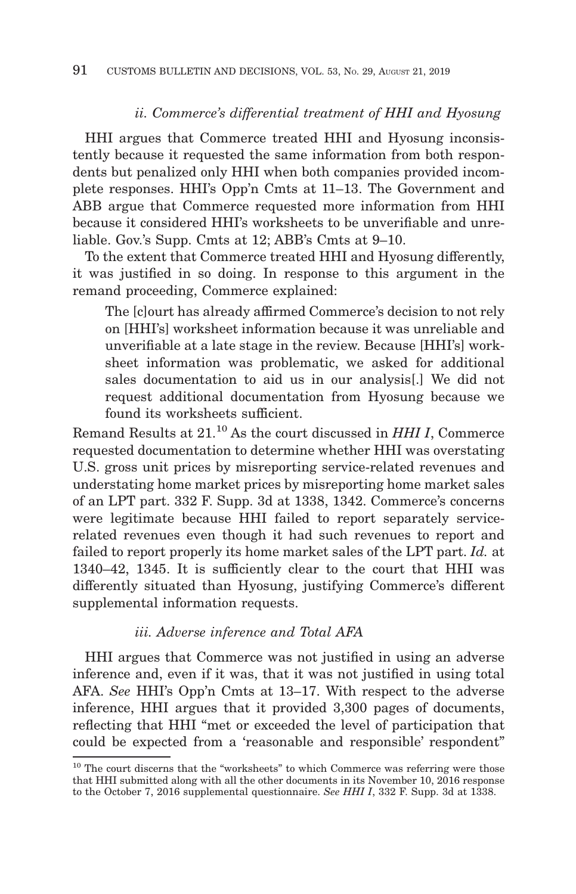# *ii. Commerce's differential treatment of HHI and Hyosung*

HHI argues that Commerce treated HHI and Hyosung inconsistently because it requested the same information from both respondents but penalized only HHI when both companies provided incomplete responses. HHI's Opp'n Cmts at 11–13. The Government and ABB argue that Commerce requested more information from HHI because it considered HHI's worksheets to be unverifiable and unreliable. Gov.'s Supp. Cmts at 12; ABB's Cmts at 9–10.

To the extent that Commerce treated HHI and Hyosung differently, it was justified in so doing. In response to this argument in the remand proceeding, Commerce explained:

The [c]ourt has already affirmed Commerce's decision to not rely on [HHI's] worksheet information because it was unreliable and unverifiable at a late stage in the review. Because [HHI's] worksheet information was problematic, we asked for additional sales documentation to aid us in our analysis[.] We did not request additional documentation from Hyosung because we found its worksheets sufficient.

Remand Results at 21.10 As the court discussed in *HHI I*, Commerce requested documentation to determine whether HHI was overstating U.S. gross unit prices by misreporting service-related revenues and understating home market prices by misreporting home market sales of an LPT part. 332 F. Supp. 3d at 1338, 1342. Commerce's concerns were legitimate because HHI failed to report separately servicerelated revenues even though it had such revenues to report and failed to report properly its home market sales of the LPT part. *Id.* at 1340–42, 1345. It is sufficiently clear to the court that HHI was differently situated than Hyosung, justifying Commerce's different supplemental information requests.

# *iii. Adverse inference and Total AFA*

HHI argues that Commerce was not justified in using an adverse inference and, even if it was, that it was not justified in using total AFA. *See* HHI's Opp'n Cmts at 13–17. With respect to the adverse inference, HHI argues that it provided 3,300 pages of documents, reflecting that HHI "met or exceeded the level of participation that could be expected from a 'reasonable and responsible' respondent"

 $^{\rm 10}$  The court discerns that the "worksheets" to which Commerce was referring were those that HHI submitted along with all the other documents in its November 10, 2016 response to the October 7, 2016 supplemental questionnaire. *See HHI I*, 332 F. Supp. 3d at 1338.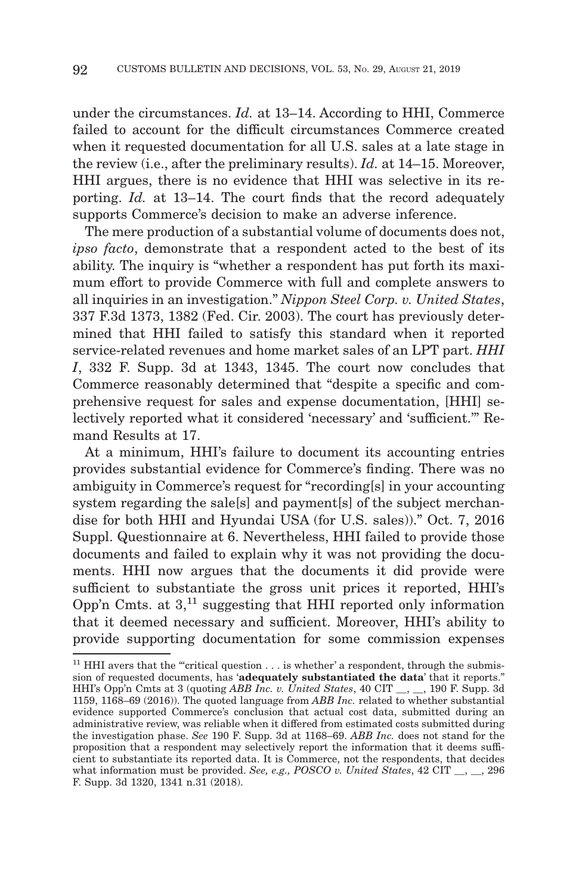under the circumstances. *Id.* at 13–14. According to HHI, Commerce failed to account for the difficult circumstances Commerce created when it requested documentation for all U.S. sales at a late stage in the review (i.e., after the preliminary results). *Id.* at 14–15. Moreover, HHI argues, there is no evidence that HHI was selective in its reporting. *Id.* at 13–14. The court finds that the record adequately supports Commerce's decision to make an adverse inference.

The mere production of a substantial volume of documents does not, *ipso facto*, demonstrate that a respondent acted to the best of its ability. The inquiry is "whether a respondent has put forth its maximum effort to provide Commerce with full and complete answers to all inquiries in an investigation." *Nippon Steel Corp. v. United States*, 337 F.3d 1373, 1382 (Fed. Cir. 2003). The court has previously determined that HHI failed to satisfy this standard when it reported service-related revenues and home market sales of an LPT part. *HHI I*, 332 F. Supp. 3d at 1343, 1345. The court now concludes that Commerce reasonably determined that "despite a specific and comprehensive request for sales and expense documentation, [HHI] selectively reported what it considered 'necessary' and 'sufficient.'" Remand Results at 17.

At a minimum, HHI's failure to document its accounting entries provides substantial evidence for Commerce's finding. There was no ambiguity in Commerce's request for "recording[s] in your accounting system regarding the sale[s] and payment[s] of the subject merchandise for both HHI and Hyundai USA (for U.S. sales))." Oct. 7, 2016 Suppl. Questionnaire at 6. Nevertheless, HHI failed to provide those documents and failed to explain why it was not providing the documents. HHI now argues that the documents it did provide were sufficient to substantiate the gross unit prices it reported, HHI's Opp'n Cmts. at  $3<sup>11</sup>$  suggesting that HHI reported only information that it deemed necessary and sufficient. Moreover, HHI's ability to provide supporting documentation for some commission expenses

<sup>&</sup>lt;sup>11</sup> HHI avers that the "critical question  $\dots$  is whether' a respondent, through the submission of requested documents, has '**adequately substantiated the data**' that it reports." HHI's Opp'n Cmts at 3 (quoting *ABB Inc. v. United States*, 40 CIT \_\_, \_\_, 190 F. Supp. 3d 1159, 1168–69 (2016)). The quoted language from *ABB Inc.* related to whether substantial evidence supported Commerce's conclusion that actual cost data, submitted during an administrative review, was reliable when it differed from estimated costs submitted during the investigation phase. *See* 190 F. Supp. 3d at 1168–69. *ABB Inc.* does not stand for the proposition that a respondent may selectively report the information that it deems sufficient to substantiate its reported data. It is Commerce, not the respondents, that decides what information must be provided. *See, e.g., POSCO v. United States*, 42 CIT  $\ldots$ , 296 F. Supp. 3d 1320, 1341 n.31 (2018).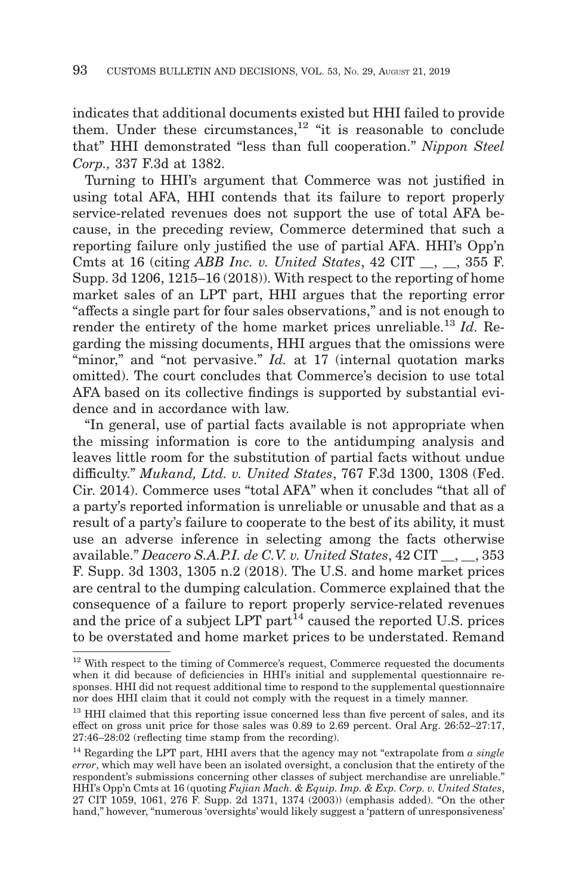indicates that additional documents existed but HHI failed to provide them. Under these circumstances,<sup>12</sup> "it is reasonable to conclude that" HHI demonstrated "less than full cooperation." *Nippon Steel Corp.,* 337 F.3d at 1382.

Turning to HHI's argument that Commerce was not justified in using total AFA, HHI contends that its failure to report properly service-related revenues does not support the use of total AFA because, in the preceding review, Commerce determined that such a reporting failure only justified the use of partial AFA. HHI's Opp'n Cmts at 16 (citing *ABB Inc. v. United States*, 42 CIT \_\_, \_\_, 355 F. Supp. 3d 1206, 1215–16 (2018)). With respect to the reporting of home market sales of an LPT part, HHI argues that the reporting error "affects a single part for four sales observations," and is not enough to render the entirety of the home market prices unreliable.13 *Id.* Regarding the missing documents, HHI argues that the omissions were "minor," and "not pervasive." *Id.* at 17 (internal quotation marks omitted). The court concludes that Commerce's decision to use total AFA based on its collective findings is supported by substantial evidence and in accordance with law.

"In general, use of partial facts available is not appropriate when the missing information is core to the antidumping analysis and leaves little room for the substitution of partial facts without undue difficulty." *Mukand, Ltd. v. United States*, 767 F.3d 1300, 1308 (Fed. Cir. 2014). Commerce uses "total AFA" when it concludes "that all of a party's reported information is unreliable or unusable and that as a result of a party's failure to cooperate to the best of its ability, it must use an adverse inference in selecting among the facts otherwise available." *Deacero S.A.P.I. de C.V. v. United States*, 42 CIT \_\_, \_\_, 353 F. Supp. 3d 1303, 1305 n.2 (2018). The U.S. and home market prices are central to the dumping calculation. Commerce explained that the consequence of a failure to report properly service-related revenues and the price of a subject  $LPT$  part<sup>14</sup> caused the reported U.S. prices to be overstated and home market prices to be understated. Remand

<sup>&</sup>lt;sup>12</sup> With respect to the timing of Commerce's request, Commerce requested the documents when it did because of deficiencies in HHI's initial and supplemental questionnaire responses. HHI did not request additional time to respond to the supplemental questionnaire nor does HHI claim that it could not comply with the request in a timely manner.

<sup>&</sup>lt;sup>13</sup> HHI claimed that this reporting issue concerned less than five percent of sales, and its effect on gross unit price for those sales was 0.89 to 2.69 percent. Oral Arg. 26:52–27:17, 27:46–28:02 (reflecting time stamp from the recording).

<sup>14</sup> Regarding the LPT part, HHI avers that the agency may not "extrapolate from *a single error*, which may well have been an isolated oversight, a conclusion that the entirety of the respondent's submissions concerning other classes of subject merchandise are unreliable." HHI's Opp'n Cmts at 16 (quoting *Fujian Mach. & Equip. Imp. & Exp. Corp. v. United States*, 27 CIT 1059, 1061, 276 F. Supp. 2d 1371, 1374 (2003)) (emphasis added). "On the other hand," however, "numerous 'oversights' would likely suggest a 'pattern of unresponsiveness'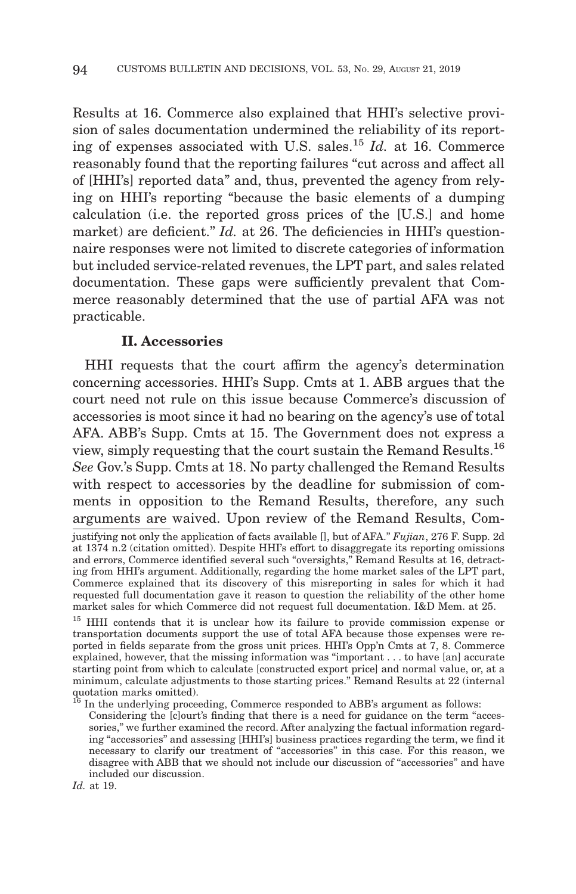Results at 16. Commerce also explained that HHI's selective provision of sales documentation undermined the reliability of its reporting of expenses associated with U.S. sales.15 *Id.* at 16. Commerce reasonably found that the reporting failures "cut across and affect all of [HHI's] reported data" and, thus, prevented the agency from relying on HHI's reporting "because the basic elements of a dumping calculation (i.e. the reported gross prices of the [U.S.] and home market) are deficient." *Id.* at 26. The deficiencies in HHI's questionnaire responses were not limited to discrete categories of information but included service-related revenues, the LPT part, and sales related documentation. These gaps were sufficiently prevalent that Commerce reasonably determined that the use of partial AFA was not practicable.

# **II. Accessories**

HHI requests that the court affirm the agency's determination concerning accessories. HHI's Supp. Cmts at 1. ABB argues that the court need not rule on this issue because Commerce's discussion of accessories is moot since it had no bearing on the agency's use of total AFA. ABB's Supp. Cmts at 15. The Government does not express a view, simply requesting that the court sustain the Remand Results.16 *See* Gov.'s Supp. Cmts at 18. No party challenged the Remand Results with respect to accessories by the deadline for submission of comments in opposition to the Remand Results, therefore, any such arguments are waived. Upon review of the Remand Results, Com-

justifying not only the application of facts available [], but of AFA." *Fujian*, 276 F. Supp. 2d at 1374 n.2 (citation omitted). Despite HHI's effort to disaggregate its reporting omissions and errors, Commerce identified several such "oversights," Remand Results at 16, detracting from HHI's argument. Additionally, regarding the home market sales of the LPT part, Commerce explained that its discovery of this misreporting in sales for which it had requested full documentation gave it reason to question the reliability of the other home market sales for which Commerce did not request full documentation. I&D Mem. at 25.

<sup>&</sup>lt;sup>15</sup> HHI contends that it is unclear how its failure to provide commission expense or transportation documents support the use of total AFA because those expenses were reported in fields separate from the gross unit prices. HHI's Opp'n Cmts at 7, 8. Commerce explained, however, that the missing information was "important . . . to have [an] accurate starting point from which to calculate [constructed export price] and normal value, or, at a minimum, calculate adjustments to those starting prices." Remand Results at 22 (internal quotation marks omitted).

In the underlying proceeding, Commerce responded to ABB's argument as follows:

Considering the [c]ourt's finding that there is a need for guidance on the term "accessories," we further examined the record. After analyzing the factual information regarding "accessories" and assessing [HHI's] business practices regarding the term, we find it necessary to clarify our treatment of "accessories" in this case. For this reason, we disagree with ABB that we should not include our discussion of "accessories" and have included our discussion.

*Id.* at 19.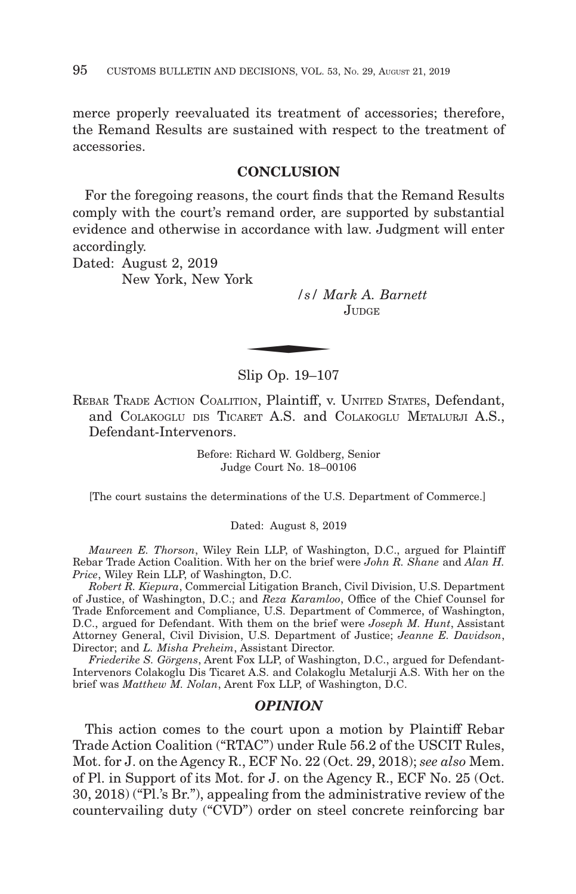merce properly reevaluated its treatment of accessories; therefore, the Remand Results are sustained with respect to the treatment of accessories.

## **CONCLUSION**

For the foregoing reasons, the court finds that the Remand Results comply with the court's remand order, are supported by substantial evidence and otherwise in accordance with law. Judgment will enter accordingly.

Dated: August 2, 2019 New York, New York

*/s/ Mark A. Barnett* JUDGE.  $\frac{1}{s}$  /s/ M

Slip Op. 19–107

REBAR TRADE ACTION COALITION, Plaintiff, v. UNITED STATES, Defendant, and COLAKOGLU DIS TICARET A.S. and COLAKOGLU METALURJI A.S., Defendant-Intervenors.

> Before: Richard W. Goldberg, Senior Judge Court No. 18–00106

[The court sustains the determinations of the U.S. Department of Commerce.]

Dated: August 8, 2019

*Maureen E. Thorson*, Wiley Rein LLP, of Washington, D.C., argued for Plaintiff Rebar Trade Action Coalition. With her on the brief were *John R. Shane* and *Alan H. Price*, Wiley Rein LLP, of Washington, D.C.

*Robert R. Kiepura*, Commercial Litigation Branch, Civil Division, U.S. Department of Justice, of Washington, D.C.; and *Reza Karamloo*, Office of the Chief Counsel for Trade Enforcement and Compliance, U.S. Department of Commerce, of Washington, D.C., argued for Defendant. With them on the brief were *Joseph M. Hunt*, Assistant Attorney General, Civil Division, U.S. Department of Justice; *Jeanne E. Davidson*, Director; and *L. Misha Preheim*, Assistant Director.

*Friederike S. Görgens*, Arent Fox LLP, of Washington, D.C., argued for Defendant-Intervenors Colakoglu Dis Ticaret A.S. and Colakoglu Metalurji A.S. With her on the brief was *Matthew M. Nolan*, Arent Fox LLP, of Washington, D.C.

## *OPINION*

This action comes to the court upon a motion by Plaintiff Rebar Trade Action Coalition ("RTAC") under Rule 56.2 of the USCIT Rules, Mot. for J. on the Agency R., ECF No. 22 (Oct. 29, 2018); *see also* Mem. of Pl. in Support of its Mot. for J. on the Agency R., ECF No. 25 (Oct. 30, 2018) ("Pl.'s Br."), appealing from the administrative review of the countervailing duty ("CVD") order on steel concrete reinforcing bar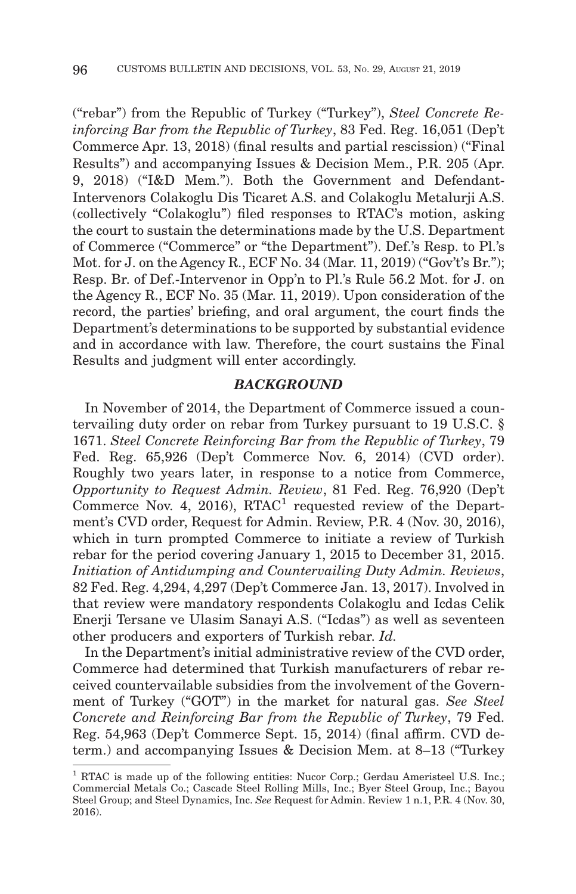("rebar") from the Republic of Turkey ("Turkey"), *Steel Concrete Reinforcing Bar from the Republic of Turkey*, 83 Fed. Reg. 16,051 (Dep't Commerce Apr. 13, 2018) (final results and partial rescission) ("Final Results") and accompanying Issues & Decision Mem., P.R. 205 (Apr. 9, 2018) ("I&D Mem."). Both the Government and Defendant-Intervenors Colakoglu Dis Ticaret A.S. and Colakoglu Metalurji A.S. (collectively "Colakoglu") filed responses to RTAC's motion, asking the court to sustain the determinations made by the U.S. Department of Commerce ("Commerce" or "the Department"). Def.'s Resp. to Pl.'s Mot. for J. on the Agency R., ECF No. 34 (Mar. 11, 2019) ("Gov't's Br."); Resp. Br. of Def.-Intervenor in Opp'n to Pl.'s Rule 56.2 Mot. for J. on the Agency R., ECF No. 35 (Mar. 11, 2019). Upon consideration of the record, the parties' briefing, and oral argument, the court finds the Department's determinations to be supported by substantial evidence and in accordance with law. Therefore, the court sustains the Final Results and judgment will enter accordingly.

## *BACKGROUND*

In November of 2014, the Department of Commerce issued a countervailing duty order on rebar from Turkey pursuant to 19 U.S.C. § 1671. *Steel Concrete Reinforcing Bar from the Republic of Turkey*, 79 Fed. Reg. 65,926 (Dep't Commerce Nov. 6, 2014) (CVD order). Roughly two years later, in response to a notice from Commerce, *Opportunity to Request Admin. Review*, 81 Fed. Reg. 76,920 (Dep't Commerce Nov. 4, 2016), RTAC<sup>1</sup> requested review of the Department's CVD order, Request for Admin. Review, P.R. 4 (Nov. 30, 2016), which in turn prompted Commerce to initiate a review of Turkish rebar for the period covering January 1, 2015 to December 31, 2015. *Initiation of Antidumping and Countervailing Duty Admin. Reviews*, 82 Fed. Reg. 4,294, 4,297 (Dep't Commerce Jan. 13, 2017). Involved in that review were mandatory respondents Colakoglu and Icdas Celik Enerji Tersane ve Ulasim Sanayi A.S. ("Icdas") as well as seventeen other producers and exporters of Turkish rebar. *Id.*

In the Department's initial administrative review of the CVD order, Commerce had determined that Turkish manufacturers of rebar received countervailable subsidies from the involvement of the Government of Turkey ("GOT") in the market for natural gas. *See Steel Concrete and Reinforcing Bar from the Republic of Turkey*, 79 Fed. Reg. 54,963 (Dep't Commerce Sept. 15, 2014) (final affirm. CVD determ.) and accompanying Issues & Decision Mem. at 8–13 ("Turkey

<sup>&</sup>lt;sup>1</sup> RTAC is made up of the following entities: Nucor Corp.; Gerdau Ameristeel U.S. Inc.; Commercial Metals Co.; Cascade Steel Rolling Mills, Inc.; Byer Steel Group, Inc.; Bayou Steel Group; and Steel Dynamics, Inc. *See* Request for Admin. Review 1 n.1, P.R. 4 (Nov. 30, 2016).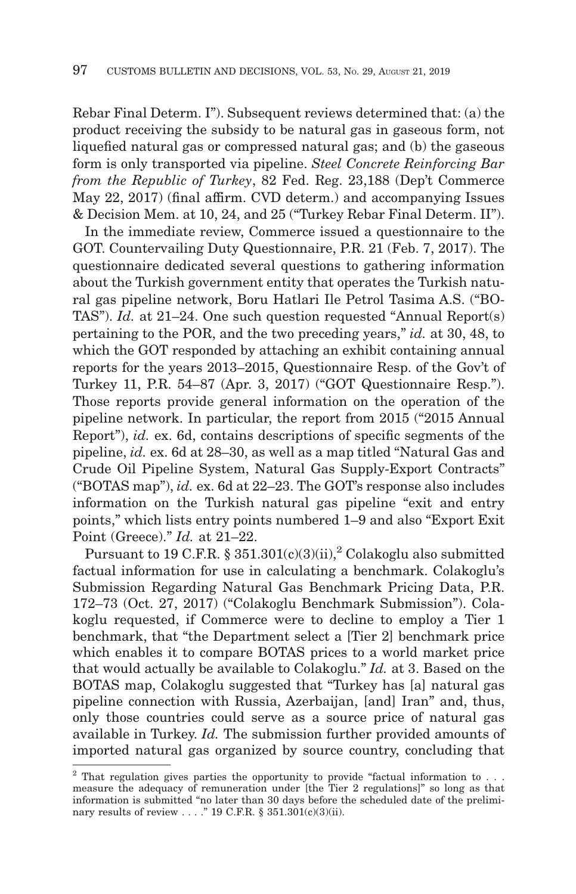Rebar Final Determ. I"). Subsequent reviews determined that: (a) the product receiving the subsidy to be natural gas in gaseous form, not liquefied natural gas or compressed natural gas; and (b) the gaseous form is only transported via pipeline. *Steel Concrete Reinforcing Bar from the Republic of Turkey*, 82 Fed. Reg. 23,188 (Dep't Commerce May 22, 2017) (final affirm. CVD determ.) and accompanying Issues & Decision Mem. at 10, 24, and 25 ("Turkey Rebar Final Determ. II").

In the immediate review, Commerce issued a questionnaire to the GOT. Countervailing Duty Questionnaire, P.R. 21 (Feb. 7, 2017). The questionnaire dedicated several questions to gathering information about the Turkish government entity that operates the Turkish natural gas pipeline network, Boru Hatlari Ile Petrol Tasima A.S. ("BO-TAS"). *Id.* at 21–24. One such question requested "Annual Report(s) pertaining to the POR, and the two preceding years," *id.* at 30, 48, to which the GOT responded by attaching an exhibit containing annual reports for the years 2013–2015, Questionnaire Resp. of the Gov't of Turkey 11, P.R. 54–87 (Apr. 3, 2017) ("GOT Questionnaire Resp."). Those reports provide general information on the operation of the pipeline network. In particular, the report from 2015 ("2015 Annual Report"), *id.* ex. 6d, contains descriptions of specific segments of the pipeline, *id.* ex. 6d at 28–30, as well as a map titled "Natural Gas and Crude Oil Pipeline System, Natural Gas Supply-Export Contracts" ("BOTAS map"), *id.* ex. 6d at 22–23. The GOT's response also includes information on the Turkish natural gas pipeline "exit and entry points," which lists entry points numbered 1–9 and also "Export Exit Point (Greece)." *Id.* at 21–22.

Pursuant to 19 C.F.R. § 351.301(c)(3)(ii),<sup>2</sup> Colakoglu also submitted factual information for use in calculating a benchmark. Colakoglu's Submission Regarding Natural Gas Benchmark Pricing Data, P.R. 172–73 (Oct. 27, 2017) ("Colakoglu Benchmark Submission"). Colakoglu requested, if Commerce were to decline to employ a Tier 1 benchmark, that "the Department select a [Tier 2] benchmark price which enables it to compare BOTAS prices to a world market price that would actually be available to Colakoglu." *Id.* at 3. Based on the BOTAS map, Colakoglu suggested that "Turkey has [a] natural gas pipeline connection with Russia, Azerbaijan, [and] Iran" and, thus, only those countries could serve as a source price of natural gas available in Turkey. *Id.* The submission further provided amounts of imported natural gas organized by source country, concluding that

 $2$  That regulation gives parties the opportunity to provide "factual information to . . . measure the adequacy of remuneration under [the Tier 2 regulations]" so long as that information is submitted "no later than 30 days before the scheduled date of the preliminary results of review . . . ." 19 C.F.R. § 351.301(c)(3)(ii).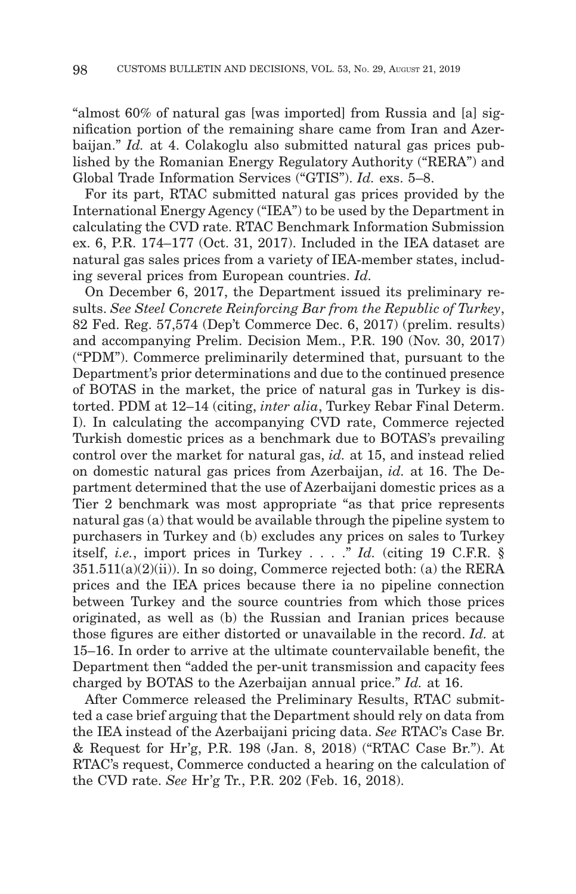"almost 60% of natural gas [was imported] from Russia and [a] signification portion of the remaining share came from Iran and Azerbaijan." *Id.* at 4. Colakoglu also submitted natural gas prices published by the Romanian Energy Regulatory Authority ("RERA") and Global Trade Information Services ("GTIS"). *Id.* exs. 5–8.

For its part, RTAC submitted natural gas prices provided by the International Energy Agency ("IEA") to be used by the Department in calculating the CVD rate. RTAC Benchmark Information Submission ex. 6, P.R. 174–177 (Oct. 31, 2017). Included in the IEA dataset are natural gas sales prices from a variety of IEA-member states, including several prices from European countries. *Id.*

On December 6, 2017, the Department issued its preliminary results. *See Steel Concrete Reinforcing Bar from the Republic of Turkey*, 82 Fed. Reg. 57,574 (Dep't Commerce Dec. 6, 2017) (prelim. results) and accompanying Prelim. Decision Mem., P.R. 190 (Nov. 30, 2017) ("PDM"). Commerce preliminarily determined that, pursuant to the Department's prior determinations and due to the continued presence of BOTAS in the market, the price of natural gas in Turkey is distorted. PDM at 12–14 (citing, *inter alia*, Turkey Rebar Final Determ. I). In calculating the accompanying CVD rate, Commerce rejected Turkish domestic prices as a benchmark due to BOTAS's prevailing control over the market for natural gas, *id.* at 15, and instead relied on domestic natural gas prices from Azerbaijan, *id.* at 16. The Department determined that the use of Azerbaijani domestic prices as a Tier 2 benchmark was most appropriate "as that price represents natural gas (a) that would be available through the pipeline system to purchasers in Turkey and (b) excludes any prices on sales to Turkey itself, *i.e.*, import prices in Turkey . . . ." *Id.* (citing 19 C.F.R. §  $351.511(a)(2)(ii)$ . In so doing, Commerce rejected both: (a) the RERA prices and the IEA prices because there ia no pipeline connection between Turkey and the source countries from which those prices originated, as well as (b) the Russian and Iranian prices because those figures are either distorted or unavailable in the record. *Id.* at 15–16. In order to arrive at the ultimate countervailable benefit, the Department then "added the per-unit transmission and capacity fees charged by BOTAS to the Azerbaijan annual price." *Id.* at 16.

After Commerce released the Preliminary Results, RTAC submitted a case brief arguing that the Department should rely on data from the IEA instead of the Azerbaijani pricing data. *See* RTAC's Case Br. & Request for Hr'g, P.R. 198 (Jan. 8, 2018) ("RTAC Case Br."). At RTAC's request, Commerce conducted a hearing on the calculation of the CVD rate. *See* Hr'g Tr., P.R. 202 (Feb. 16, 2018).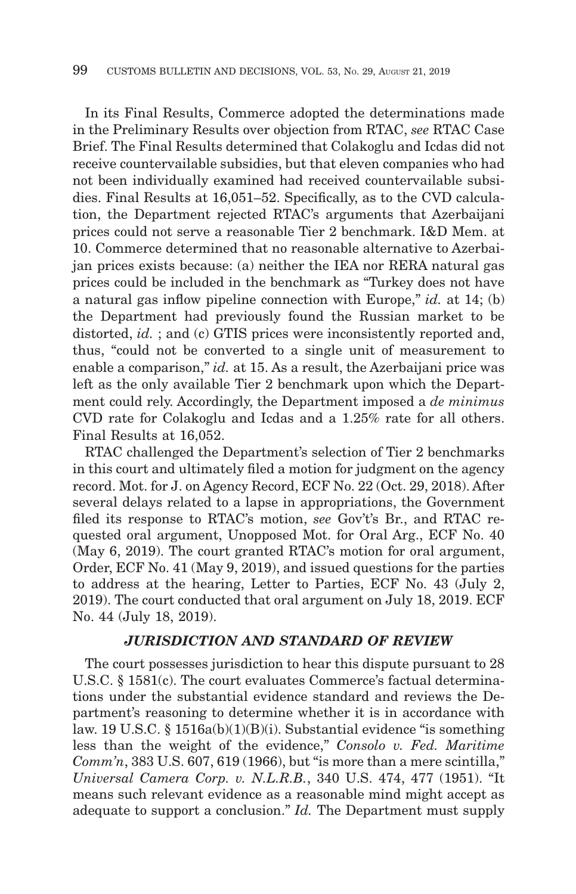In its Final Results, Commerce adopted the determinations made in the Preliminary Results over objection from RTAC, *see* RTAC Case Brief. The Final Results determined that Colakoglu and Icdas did not receive countervailable subsidies, but that eleven companies who had not been individually examined had received countervailable subsidies. Final Results at 16,051–52. Specifically, as to the CVD calculation, the Department rejected RTAC's arguments that Azerbaijani prices could not serve a reasonable Tier 2 benchmark. I&D Mem. at 10. Commerce determined that no reasonable alternative to Azerbaijan prices exists because: (a) neither the IEA nor RERA natural gas prices could be included in the benchmark as "Turkey does not have a natural gas inflow pipeline connection with Europe," *id.* at 14; (b) the Department had previously found the Russian market to be distorted, *id.* ; and (c) GTIS prices were inconsistently reported and, thus, "could not be converted to a single unit of measurement to enable a comparison," *id.* at 15. As a result, the Azerbaijani price was left as the only available Tier 2 benchmark upon which the Department could rely. Accordingly, the Department imposed a *de minimus* CVD rate for Colakoglu and Icdas and a 1.25% rate for all others. Final Results at 16,052.

RTAC challenged the Department's selection of Tier 2 benchmarks in this court and ultimately filed a motion for judgment on the agency record. Mot. for J. on Agency Record, ECF No. 22 (Oct. 29, 2018). After several delays related to a lapse in appropriations, the Government filed its response to RTAC's motion, *see* Gov't's Br., and RTAC requested oral argument, Unopposed Mot. for Oral Arg., ECF No. 40 (May 6, 2019). The court granted RTAC's motion for oral argument, Order, ECF No. 41 (May 9, 2019), and issued questions for the parties to address at the hearing, Letter to Parties, ECF No. 43 (July 2, 2019). The court conducted that oral argument on July 18, 2019. ECF No. 44 (July 18, 2019).

# *JURISDICTION AND STANDARD OF REVIEW*

The court possesses jurisdiction to hear this dispute pursuant to 28 U.S.C. § 1581(c). The court evaluates Commerce's factual determinations under the substantial evidence standard and reviews the Department's reasoning to determine whether it is in accordance with law. 19 U.S.C. § 1516a(b)(1)(B)(i). Substantial evidence "is something less than the weight of the evidence," *Consolo v. Fed. Maritime Comm'n*, 383 U.S. 607, 619 (1966), but "is more than a mere scintilla," *Universal Camera Corp. v. N.L.R.B.*, 340 U.S. 474, 477 (1951). "It means such relevant evidence as a reasonable mind might accept as adequate to support a conclusion." *Id.* The Department must supply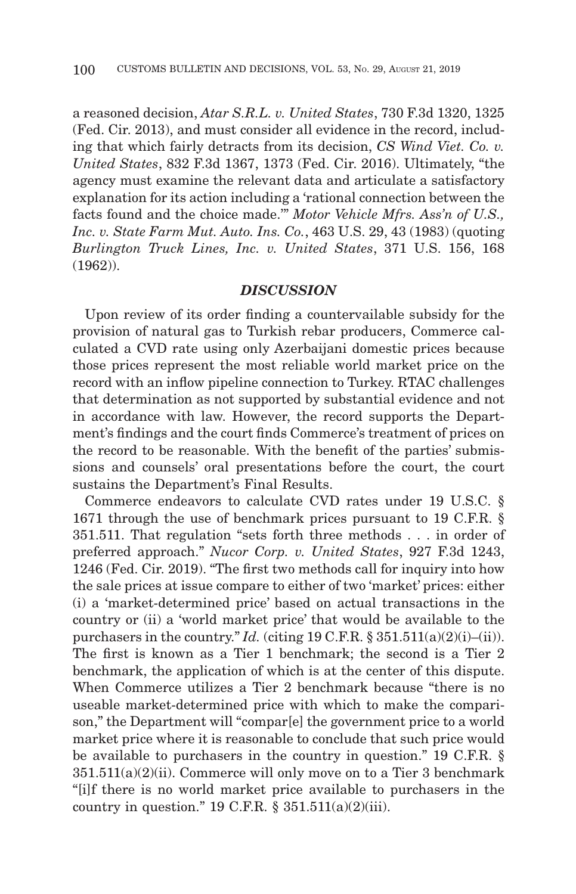a reasoned decision, *Atar S.R.L. v. United States*, 730 F.3d 1320, 1325 (Fed. Cir. 2013), and must consider all evidence in the record, including that which fairly detracts from its decision, *CS Wind Viet. Co. v. United States*, 832 F.3d 1367, 1373 (Fed. Cir. 2016). Ultimately, "the agency must examine the relevant data and articulate a satisfactory explanation for its action including a 'rational connection between the facts found and the choice made.'" *Motor Vehicle Mfrs. Ass'n of U.S., Inc. v. State Farm Mut. Auto. Ins. Co.*, 463 U.S. 29, 43 (1983) (quoting *Burlington Truck Lines, Inc. v. United States*, 371 U.S. 156, 168 (1962)).

# *DISCUSSION*

Upon review of its order finding a countervailable subsidy for the provision of natural gas to Turkish rebar producers, Commerce calculated a CVD rate using only Azerbaijani domestic prices because those prices represent the most reliable world market price on the record with an inflow pipeline connection to Turkey. RTAC challenges that determination as not supported by substantial evidence and not in accordance with law. However, the record supports the Department's findings and the court finds Commerce's treatment of prices on the record to be reasonable. With the benefit of the parties' submissions and counsels' oral presentations before the court, the court sustains the Department's Final Results.

Commerce endeavors to calculate CVD rates under 19 U.S.C. § 1671 through the use of benchmark prices pursuant to 19 C.F.R. § 351.511. That regulation "sets forth three methods . . . in order of preferred approach." *Nucor Corp. v. United States*, 927 F.3d 1243, 1246 (Fed. Cir. 2019). "The first two methods call for inquiry into how the sale prices at issue compare to either of two 'market' prices: either (i) a 'market-determined price' based on actual transactions in the country or (ii) a 'world market price' that would be available to the purchasers in the country." *Id.* (citing 19 C.F.R.  $\S 351.511(a)(2)(i)–(ii)$ ). The first is known as a Tier 1 benchmark; the second is a Tier 2 benchmark, the application of which is at the center of this dispute. When Commerce utilizes a Tier 2 benchmark because "there is no useable market-determined price with which to make the comparison," the Department will "compar[e] the government price to a world market price where it is reasonable to conclude that such price would be available to purchasers in the country in question." 19 C.F.R. §  $351.511(a)(2)(ii)$ . Commerce will only move on to a Tier 3 benchmark "[i]f there is no world market price available to purchasers in the country in question." 19 C.F.R.  $\S$  351.511(a)(2)(iii).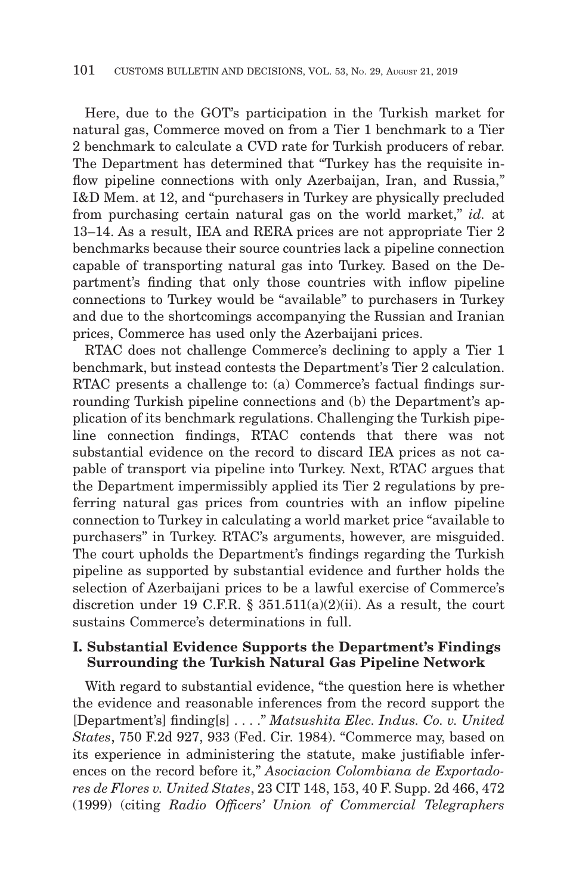Here, due to the GOT's participation in the Turkish market for natural gas, Commerce moved on from a Tier 1 benchmark to a Tier 2 benchmark to calculate a CVD rate for Turkish producers of rebar. The Department has determined that "Turkey has the requisite inflow pipeline connections with only Azerbaijan, Iran, and Russia," I&D Mem. at 12, and "purchasers in Turkey are physically precluded from purchasing certain natural gas on the world market," *id.* at 13–14. As a result, IEA and RERA prices are not appropriate Tier 2 benchmarks because their source countries lack a pipeline connection capable of transporting natural gas into Turkey. Based on the Department's finding that only those countries with inflow pipeline connections to Turkey would be "available" to purchasers in Turkey and due to the shortcomings accompanying the Russian and Iranian prices, Commerce has used only the Azerbaijani prices.

RTAC does not challenge Commerce's declining to apply a Tier 1 benchmark, but instead contests the Department's Tier 2 calculation. RTAC presents a challenge to: (a) Commerce's factual findings surrounding Turkish pipeline connections and (b) the Department's application of its benchmark regulations. Challenging the Turkish pipeline connection findings, RTAC contends that there was not substantial evidence on the record to discard IEA prices as not capable of transport via pipeline into Turkey. Next, RTAC argues that the Department impermissibly applied its Tier 2 regulations by preferring natural gas prices from countries with an inflow pipeline connection to Turkey in calculating a world market price "available to purchasers" in Turkey. RTAC's arguments, however, are misguided. The court upholds the Department's findings regarding the Turkish pipeline as supported by substantial evidence and further holds the selection of Azerbaijani prices to be a lawful exercise of Commerce's discretion under 19 C.F.R.  $\S$  351.511(a)(2)(ii). As a result, the court sustains Commerce's determinations in full.

# **I. Substantial Evidence Supports the Department's Findings Surrounding the Turkish Natural Gas Pipeline Network**

With regard to substantial evidence, "the question here is whether the evidence and reasonable inferences from the record support the [Department's] finding[s] . . . ." *Matsushita Elec. Indus. Co. v. United States*, 750 F.2d 927, 933 (Fed. Cir. 1984). "Commerce may, based on its experience in administering the statute, make justifiable inferences on the record before it," *Asociacion Colombiana de Exportadores de Flores v. United States*, 23 CIT 148, 153, 40 F. Supp. 2d 466, 472 (1999) (citing *Radio Officers' Union of Commercial Telegraphers*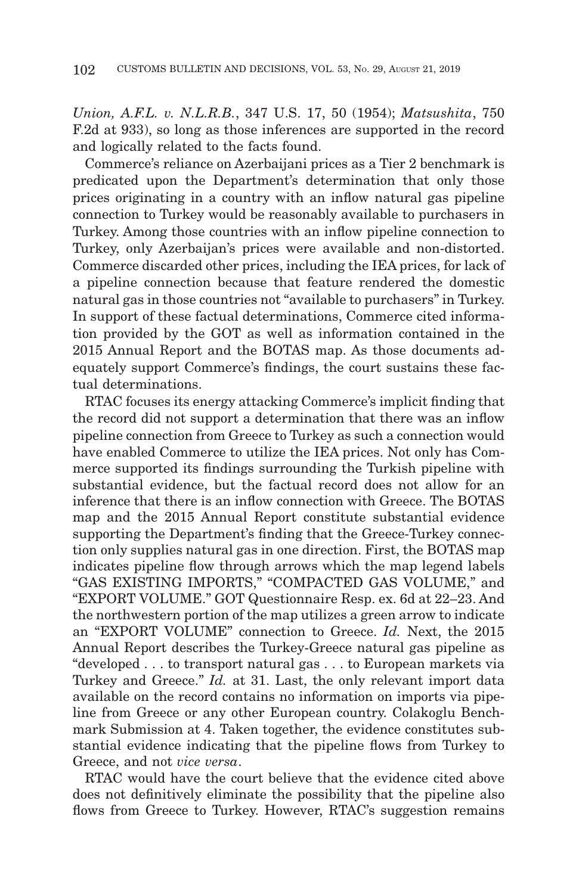*Union, A.F.L. v. N.L.R.B.*, 347 U.S. 17, 50 (1954); *Matsushita*, 750 F.2d at 933), so long as those inferences are supported in the record and logically related to the facts found.

Commerce's reliance on Azerbaijani prices as a Tier 2 benchmark is predicated upon the Department's determination that only those prices originating in a country with an inflow natural gas pipeline connection to Turkey would be reasonably available to purchasers in Turkey. Among those countries with an inflow pipeline connection to Turkey, only Azerbaijan's prices were available and non-distorted. Commerce discarded other prices, including the IEA prices, for lack of a pipeline connection because that feature rendered the domestic natural gas in those countries not "available to purchasers" in Turkey. In support of these factual determinations, Commerce cited information provided by the GOT as well as information contained in the 2015 Annual Report and the BOTAS map. As those documents adequately support Commerce's findings, the court sustains these factual determinations.

RTAC focuses its energy attacking Commerce's implicit finding that the record did not support a determination that there was an inflow pipeline connection from Greece to Turkey as such a connection would have enabled Commerce to utilize the IEA prices. Not only has Commerce supported its findings surrounding the Turkish pipeline with substantial evidence, but the factual record does not allow for an inference that there is an inflow connection with Greece. The BOTAS map and the 2015 Annual Report constitute substantial evidence supporting the Department's finding that the Greece-Turkey connection only supplies natural gas in one direction. First, the BOTAS map indicates pipeline flow through arrows which the map legend labels "GAS EXISTING IMPORTS," "COMPACTED GAS VOLUME," and "EXPORT VOLUME." GOT Questionnaire Resp. ex. 6d at 22–23. And the northwestern portion of the map utilizes a green arrow to indicate an "EXPORT VOLUME" connection to Greece. *Id.* Next, the 2015 Annual Report describes the Turkey-Greece natural gas pipeline as "developed . . . to transport natural gas . . . to European markets via Turkey and Greece." *Id.* at 31. Last, the only relevant import data available on the record contains no information on imports via pipeline from Greece or any other European country. Colakoglu Benchmark Submission at 4. Taken together, the evidence constitutes substantial evidence indicating that the pipeline flows from Turkey to Greece, and not *vice versa*.

RTAC would have the court believe that the evidence cited above does not definitively eliminate the possibility that the pipeline also flows from Greece to Turkey. However, RTAC's suggestion remains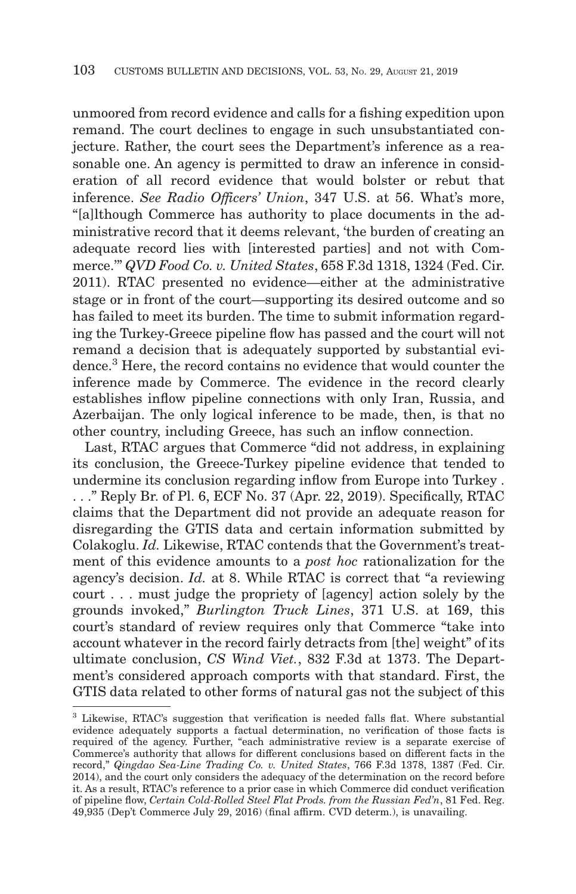unmoored from record evidence and calls for a fishing expedition upon remand. The court declines to engage in such unsubstantiated conjecture. Rather, the court sees the Department's inference as a reasonable one. An agency is permitted to draw an inference in consideration of all record evidence that would bolster or rebut that inference. *See Radio Officers' Union*, 347 U.S. at 56. What's more, "[a]lthough Commerce has authority to place documents in the administrative record that it deems relevant, 'the burden of creating an adequate record lies with [interested parties] and not with Commerce.'" *QVD Food Co. v. United States*, 658 F.3d 1318, 1324 (Fed. Cir. 2011). RTAC presented no evidence—either at the administrative stage or in front of the court—supporting its desired outcome and so has failed to meet its burden. The time to submit information regarding the Turkey-Greece pipeline flow has passed and the court will not remand a decision that is adequately supported by substantial evidence.<sup>3</sup> Here, the record contains no evidence that would counter the inference made by Commerce. The evidence in the record clearly establishes inflow pipeline connections with only Iran, Russia, and Azerbaijan. The only logical inference to be made, then, is that no other country, including Greece, has such an inflow connection.

Last, RTAC argues that Commerce "did not address, in explaining its conclusion, the Greece-Turkey pipeline evidence that tended to undermine its conclusion regarding inflow from Europe into Turkey . . . ." Reply Br. of Pl. 6, ECF No. 37 (Apr. 22, 2019). Specifically, RTAC claims that the Department did not provide an adequate reason for disregarding the GTIS data and certain information submitted by Colakoglu. *Id.* Likewise, RTAC contends that the Government's treatment of this evidence amounts to a *post hoc* rationalization for the agency's decision. *Id.* at 8. While RTAC is correct that "a reviewing court . . . must judge the propriety of [agency] action solely by the grounds invoked," *Burlington Truck Lines*, 371 U.S. at 169, this court's standard of review requires only that Commerce "take into account whatever in the record fairly detracts from [the] weight" of its ultimate conclusion, *CS Wind Viet.*, 832 F.3d at 1373. The Department's considered approach comports with that standard. First, the GTIS data related to other forms of natural gas not the subject of this

<sup>3</sup> Likewise, RTAC's suggestion that verification is needed falls flat. Where substantial evidence adequately supports a factual determination, no verification of those facts is required of the agency. Further, "each administrative review is a separate exercise of Commerce's authority that allows for different conclusions based on different facts in the record," *Qingdao Sea-Line Trading Co. v. United States*, 766 F.3d 1378, 1387 (Fed. Cir. 2014), and the court only considers the adequacy of the determination on the record before it. As a result, RTAC's reference to a prior case in which Commerce did conduct verification of pipeline flow, *Certain Cold-Rolled Steel Flat Prods. from the Russian Fed'n*, 81 Fed. Reg. 49,935 (Dep't Commerce July 29, 2016) (final affirm. CVD determ.), is unavailing.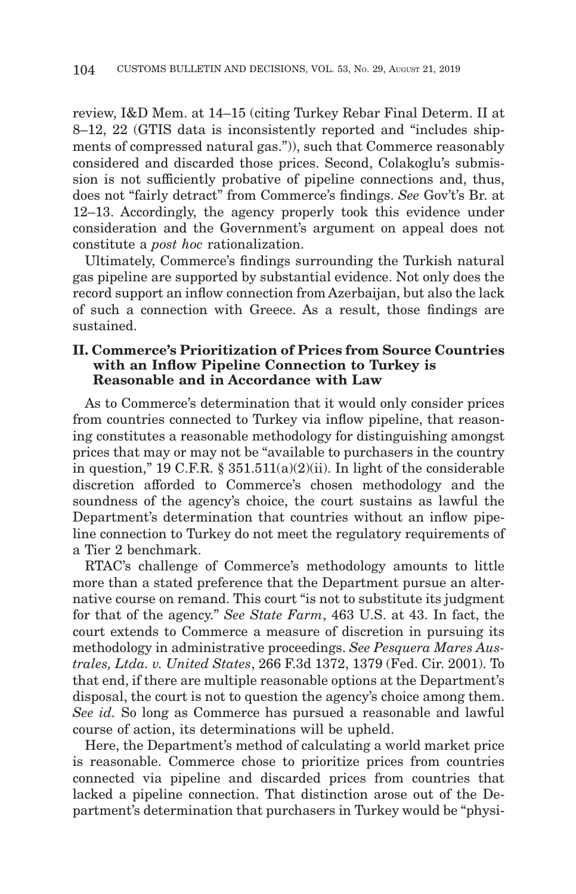review, I&D Mem. at 14–15 (citing Turkey Rebar Final Determ. II at 8–12, 22 (GTIS data is inconsistently reported and "includes shipments of compressed natural gas.")), such that Commerce reasonably considered and discarded those prices. Second, Colakoglu's submission is not sufficiently probative of pipeline connections and, thus, does not "fairly detract" from Commerce's findings. *See* Gov't's Br. at 12–13. Accordingly, the agency properly took this evidence under consideration and the Government's argument on appeal does not constitute a *post hoc* rationalization.

Ultimately, Commerce's findings surrounding the Turkish natural gas pipeline are supported by substantial evidence. Not only does the record support an inflow connection from Azerbaijan, but also the lack of such a connection with Greece. As a result, those findings are sustained.

# **II. Commerce's Prioritization of Prices from Source Countries with an Inflow Pipeline Connection to Turkey is Reasonable and in Accordance with Law**

As to Commerce's determination that it would only consider prices from countries connected to Turkey via inflow pipeline, that reasoning constitutes a reasonable methodology for distinguishing amongst prices that may or may not be "available to purchasers in the country in question," 19 C.F.R.  $\S$  351.511(a)(2)(ii). In light of the considerable discretion afforded to Commerce's chosen methodology and the soundness of the agency's choice, the court sustains as lawful the Department's determination that countries without an inflow pipeline connection to Turkey do not meet the regulatory requirements of a Tier 2 benchmark.

RTAC's challenge of Commerce's methodology amounts to little more than a stated preference that the Department pursue an alternative course on remand. This court "is not to substitute its judgment for that of the agency." *See State Farm*, 463 U.S. at 43. In fact, the court extends to Commerce a measure of discretion in pursuing its methodology in administrative proceedings. *See Pesquera Mares Australes, Ltda. v. United States*, 266 F.3d 1372, 1379 (Fed. Cir. 2001). To that end, if there are multiple reasonable options at the Department's disposal, the court is not to question the agency's choice among them. *See id.* So long as Commerce has pursued a reasonable and lawful course of action, its determinations will be upheld.

Here, the Department's method of calculating a world market price is reasonable. Commerce chose to prioritize prices from countries connected via pipeline and discarded prices from countries that lacked a pipeline connection. That distinction arose out of the Department's determination that purchasers in Turkey would be "physi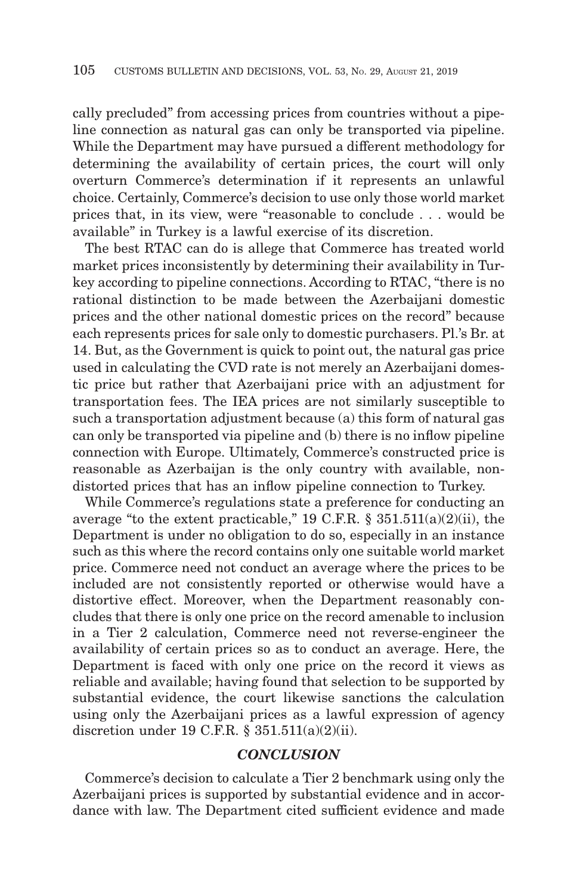cally precluded" from accessing prices from countries without a pipeline connection as natural gas can only be transported via pipeline. While the Department may have pursued a different methodology for determining the availability of certain prices, the court will only overturn Commerce's determination if it represents an unlawful choice. Certainly, Commerce's decision to use only those world market prices that, in its view, were "reasonable to conclude . . . would be available" in Turkey is a lawful exercise of its discretion.

The best RTAC can do is allege that Commerce has treated world market prices inconsistently by determining their availability in Turkey according to pipeline connections. According to RTAC, "there is no rational distinction to be made between the Azerbaijani domestic prices and the other national domestic prices on the record" because each represents prices for sale only to domestic purchasers. Pl.'s Br. at 14. But, as the Government is quick to point out, the natural gas price used in calculating the CVD rate is not merely an Azerbaijani domestic price but rather that Azerbaijani price with an adjustment for transportation fees. The IEA prices are not similarly susceptible to such a transportation adjustment because (a) this form of natural gas can only be transported via pipeline and (b) there is no inflow pipeline connection with Europe. Ultimately, Commerce's constructed price is reasonable as Azerbaijan is the only country with available, nondistorted prices that has an inflow pipeline connection to Turkey.

While Commerce's regulations state a preference for conducting an average "to the extent practicable," 19 C.F.R.  $\S$  351.511(a)(2)(ii), the Department is under no obligation to do so, especially in an instance such as this where the record contains only one suitable world market price. Commerce need not conduct an average where the prices to be included are not consistently reported or otherwise would have a distortive effect. Moreover, when the Department reasonably concludes that there is only one price on the record amenable to inclusion in a Tier 2 calculation, Commerce need not reverse-engineer the availability of certain prices so as to conduct an average. Here, the Department is faced with only one price on the record it views as reliable and available; having found that selection to be supported by substantial evidence, the court likewise sanctions the calculation using only the Azerbaijani prices as a lawful expression of agency discretion under 19 C.F.R. § 351.511(a)(2)(ii).

# *CONCLUSION*

Commerce's decision to calculate a Tier 2 benchmark using only the Azerbaijani prices is supported by substantial evidence and in accordance with law. The Department cited sufficient evidence and made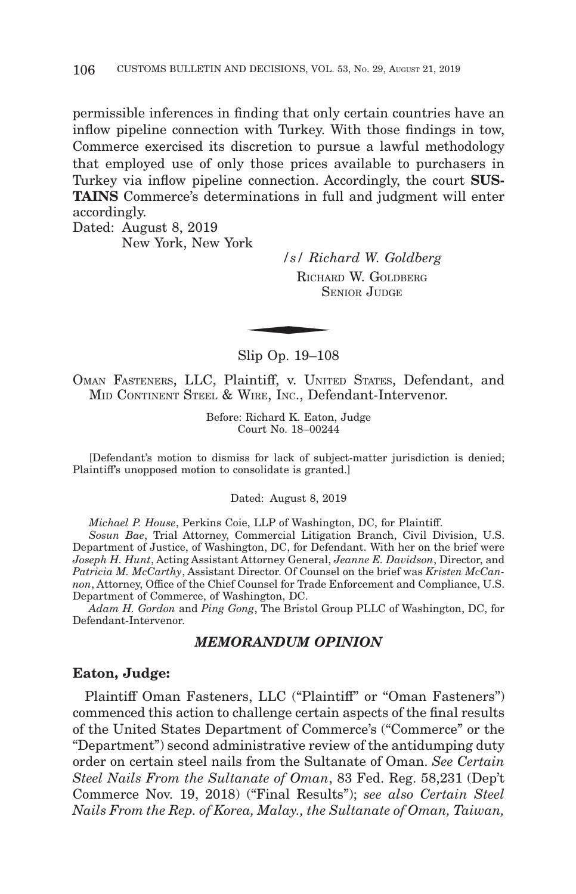permissible inferences in finding that only certain countries have an inflow pipeline connection with Turkey. With those findings in tow, Commerce exercised its discretion to pursue a lawful methodology that employed use of only those prices available to purchasers in Turkey via inflow pipeline connection. Accordingly, the court **SUS-TAINS** Commerce's determinations in full and judgment will enter accordingly.

Dated: August 8, 2019 New York, New York

*/s/ Richard W. Goldberg* RICHARD W. GOLDBERG SENIOR JIIDGE  $\frac{r}{s}$  /  $\frac{s}{R}$  Richard SF

Slip Op. 19–108

OMAN FASTENERS, LLC, Plaintiff, v. UNITED STATES, Defendant, and MID CONTINENT STEEL & WIRE, INC., Defendant-Intervenor.

> Before: Richard K. Eaton, Judge Court No. 18–00244

[Defendant's motion to dismiss for lack of subject-matter jurisdiction is denied; Plaintiff's unopposed motion to consolidate is granted.]

Dated: August 8, 2019

*Michael P. House*, Perkins Coie, LLP of Washington, DC, for Plaintiff.

*Sosun Bae*, Trial Attorney, Commercial Litigation Branch, Civil Division, U.S. Department of Justice, of Washington, DC, for Defendant. With her on the brief were *Joseph H. Hunt*, Acting Assistant Attorney General, *Jeanne E. Davidson*, Director, and *Patricia M. McCarthy*, Assistant Director. Of Counsel on the brief was *Kristen McCannon*, Attorney, Office of the Chief Counsel for Trade Enforcement and Compliance, U.S. Department of Commerce, of Washington, DC.

*Adam H. Gordon* and *Ping Gong*, The Bristol Group PLLC of Washington, DC, for Defendant-Intervenor.

## *MEMORANDUM OPINION*

## **Eaton, Judge:**

Plaintiff Oman Fasteners, LLC ("Plaintiff" or "Oman Fasteners") commenced this action to challenge certain aspects of the final results of the United States Department of Commerce's ("Commerce" or the "Department") second administrative review of the antidumping duty order on certain steel nails from the Sultanate of Oman. *See Certain Steel Nails From the Sultanate of Oman*, 83 Fed. Reg. 58,231 (Dep't Commerce Nov. 19, 2018) ("Final Results"); *see also Certain Steel Nails From the Rep. of Korea, Malay., the Sultanate of Oman, Taiwan,*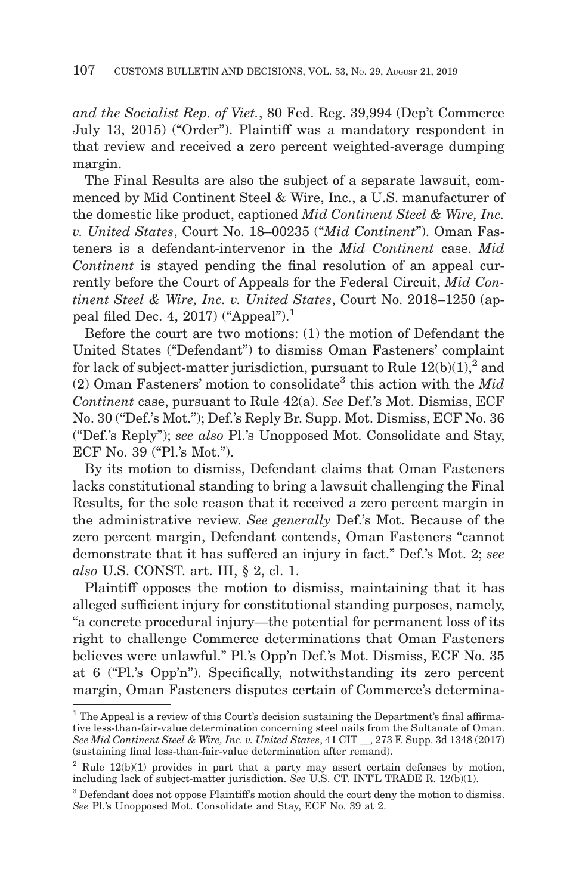*and the Socialist Rep. of Viet.*, 80 Fed. Reg. 39,994 (Dep't Commerce July 13, 2015) ("Order"). Plaintiff was a mandatory respondent in that review and received a zero percent weighted-average dumping margin.

The Final Results are also the subject of a separate lawsuit, commenced by Mid Continent Steel & Wire, Inc., a U.S. manufacturer of the domestic like product, captioned *Mid Continent Steel & Wire, Inc. v. United States*, Court No. 18–00235 ("*Mid Continent*"). Oman Fasteners is a defendant-intervenor in the *Mid Continent* case. *Mid Continent* is stayed pending the final resolution of an appeal currently before the Court of Appeals for the Federal Circuit, *Mid Continent Steel & Wire, Inc. v. United States*, Court No. 2018–1250 (appeal filed Dec. 4, 2017) ("Appeal").<sup>1</sup>

Before the court are two motions: (1) the motion of Defendant the United States ("Defendant") to dismiss Oman Fasteners' complaint for lack of subject-matter jurisdiction, pursuant to Rule  $12(b)(1)$ ,<sup>2</sup> and  $(2)$  Oman Fasteners' motion to consolidate<sup>3</sup> this action with the *Mid Continent* case, pursuant to Rule 42(a). *See* Def.'s Mot. Dismiss, ECF No. 30 ("Def.'s Mot."); Def.'s Reply Br. Supp. Mot. Dismiss, ECF No. 36 ("Def.'s Reply"); *see also* Pl.'s Unopposed Mot. Consolidate and Stay, ECF No. 39 ("Pl.'s Mot.").

By its motion to dismiss, Defendant claims that Oman Fasteners lacks constitutional standing to bring a lawsuit challenging the Final Results, for the sole reason that it received a zero percent margin in the administrative review. *See generally* Def.'s Mot. Because of the zero percent margin, Defendant contends, Oman Fasteners "cannot demonstrate that it has suffered an injury in fact." Def.'s Mot. 2; *see also* U.S. CONST. art. III, § 2, cl. 1.

Plaintiff opposes the motion to dismiss, maintaining that it has alleged sufficient injury for constitutional standing purposes, namely, "a concrete procedural injury—the potential for permanent loss of its right to challenge Commerce determinations that Oman Fasteners believes were unlawful." Pl.'s Opp'n Def.'s Mot. Dismiss, ECF No. 35 at 6 ("Pl.'s Opp'n"). Specifically, notwithstanding its zero percent margin, Oman Fasteners disputes certain of Commerce's determina-

<sup>&</sup>lt;sup>1</sup> The Appeal is a review of this Court's decision sustaining the Department's final affirmative less-than-fair-value determination concerning steel nails from the Sultanate of Oman. *See Mid Continent Steel & Wire, Inc. v. United States*, 41 CIT \_\_, 273 F. Supp. 3d 1348 (2017) (sustaining final less-than-fair-value determination after remand).

 $2 \text{ Rule } 12(b)(1)$  provides in part that a party may assert certain defenses by motion, including lack of subject-matter jurisdiction. *See* U.S. CT. INT'L TRADE R. 12(b)(1).

<sup>&</sup>lt;sup>3</sup> Defendant does not oppose Plaintiff's motion should the court deny the motion to dismiss. *See* Pl.'s Unopposed Mot. Consolidate and Stay, ECF No. 39 at 2.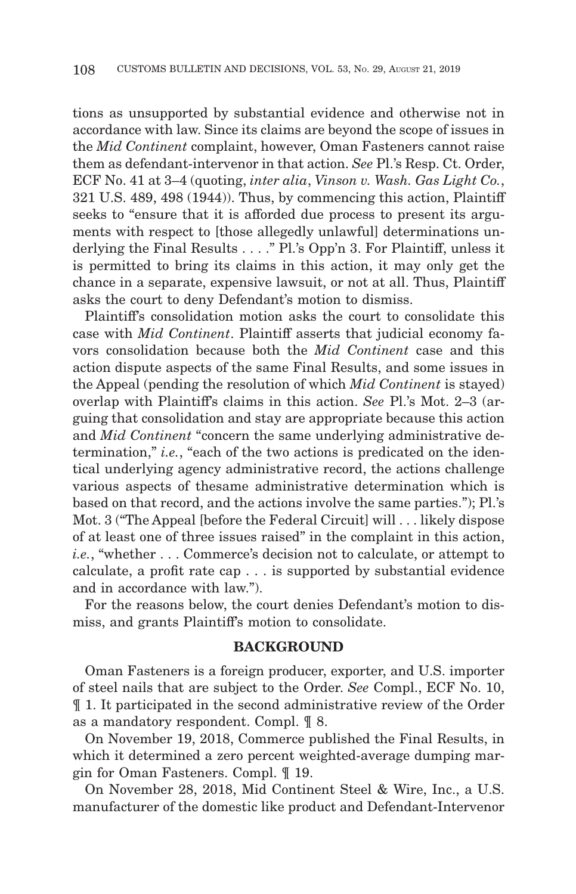tions as unsupported by substantial evidence and otherwise not in accordance with law. Since its claims are beyond the scope of issues in the *Mid Continent* complaint, however, Oman Fasteners cannot raise them as defendant-intervenor in that action. *See* Pl.'s Resp. Ct. Order, ECF No. 41 at 3–4 (quoting, *inter alia*, *Vinson v. Wash. Gas Light Co.*, 321 U.S. 489, 498 (1944)). Thus, by commencing this action, Plaintiff seeks to "ensure that it is afforded due process to present its arguments with respect to [those allegedly unlawful] determinations underlying the Final Results . . . ." Pl.'s Opp'n 3. For Plaintiff, unless it is permitted to bring its claims in this action, it may only get the chance in a separate, expensive lawsuit, or not at all. Thus, Plaintiff asks the court to deny Defendant's motion to dismiss.

Plaintiff's consolidation motion asks the court to consolidate this case with *Mid Continent*. Plaintiff asserts that judicial economy favors consolidation because both the *Mid Continent* case and this action dispute aspects of the same Final Results, and some issues in the Appeal (pending the resolution of which *Mid Continent* is stayed) overlap with Plaintiff's claims in this action. *See* Pl.'s Mot. 2–3 (arguing that consolidation and stay are appropriate because this action and *Mid Continent* "concern the same underlying administrative determination," *i.e.*, "each of the two actions is predicated on the identical underlying agency administrative record, the actions challenge various aspects of thesame administrative determination which is based on that record, and the actions involve the same parties."); Pl.'s Mot. 3 ("The Appeal [before the Federal Circuit] will . . . likely dispose of at least one of three issues raised" in the complaint in this action, *i.e.*, "whether . . . Commerce's decision not to calculate, or attempt to calculate, a profit rate cap . . . is supported by substantial evidence and in accordance with law.").

For the reasons below, the court denies Defendant's motion to dismiss, and grants Plaintiff's motion to consolidate.

## **BACKGROUND**

Oman Fasteners is a foreign producer, exporter, and U.S. importer of steel nails that are subject to the Order. *See* Compl., ECF No. 10, ¶ 1. It participated in the second administrative review of the Order as a mandatory respondent. Compl. ¶ 8.

On November 19, 2018, Commerce published the Final Results, in which it determined a zero percent weighted-average dumping margin for Oman Fasteners. Compl. ¶ 19.

On November 28, 2018, Mid Continent Steel & Wire, Inc., a U.S. manufacturer of the domestic like product and Defendant-Intervenor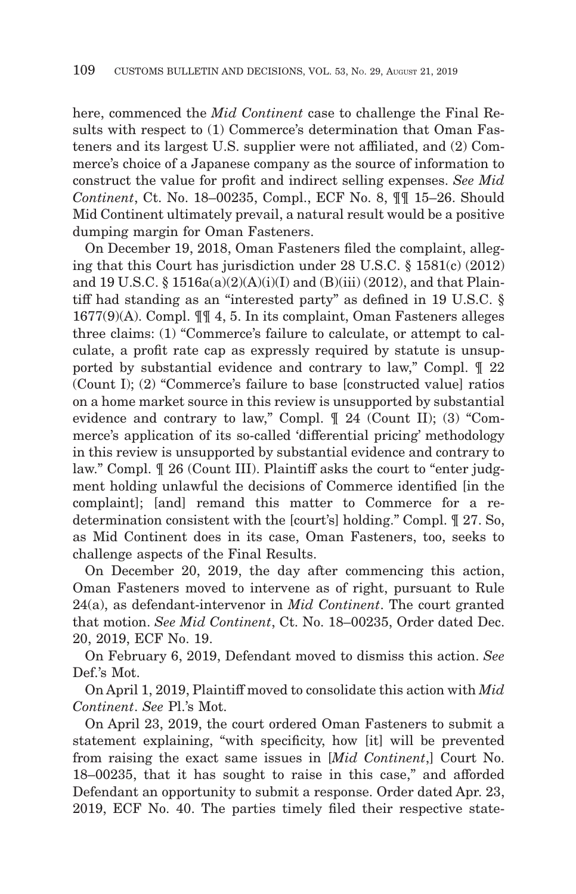here, commenced the *Mid Continent* case to challenge the Final Results with respect to (1) Commerce's determination that Oman Fasteners and its largest U.S. supplier were not affiliated, and (2) Commerce's choice of a Japanese company as the source of information to construct the value for profit and indirect selling expenses. *See Mid Continent*, Ct. No. 18–00235, Compl., ECF No. 8, ¶¶ 15–26. Should Mid Continent ultimately prevail, a natural result would be a positive dumping margin for Oman Fasteners.

On December 19, 2018, Oman Fasteners filed the complaint, alleging that this Court has jurisdiction under 28 U.S.C. § 1581(c) (2012) and 19 U.S.C. §  $1516a(a)(2)(A)(i)(I)$  and  $(B)(iii)(2012)$ , and that Plaintiff had standing as an "interested party" as defined in 19 U.S.C. § 1677(9)(A). Compl. ¶¶ 4, 5. In its complaint, Oman Fasteners alleges three claims: (1) "Commerce's failure to calculate, or attempt to calculate, a profit rate cap as expressly required by statute is unsupported by substantial evidence and contrary to law," Compl. ¶ 22 (Count I); (2) "Commerce's failure to base [constructed value] ratios on a home market source in this review is unsupported by substantial evidence and contrary to law," Compl. ¶ 24 (Count II); (3) "Commerce's application of its so-called 'differential pricing' methodology in this review is unsupported by substantial evidence and contrary to law." Compl. ¶ 26 (Count III). Plaintiff asks the court to "enter judgment holding unlawful the decisions of Commerce identified [in the complaint]; [and] remand this matter to Commerce for a redetermination consistent with the [court's] holding." Compl. ¶ 27. So, as Mid Continent does in its case, Oman Fasteners, too, seeks to challenge aspects of the Final Results.

On December 20, 2019, the day after commencing this action, Oman Fasteners moved to intervene as of right, pursuant to Rule 24(a), as defendant-intervenor in *Mid Continent*. The court granted that motion. *See Mid Continent*, Ct. No. 18–00235, Order dated Dec. 20, 2019, ECF No. 19.

On February 6, 2019, Defendant moved to dismiss this action. *See* Def.'s Mot.

On April 1, 2019, Plaintiff moved to consolidate this action with *Mid Continent*. *See* Pl.'s Mot.

On April 23, 2019, the court ordered Oman Fasteners to submit a statement explaining, "with specificity, how [it] will be prevented from raising the exact same issues in [*Mid Continent*,] Court No. 18–00235, that it has sought to raise in this case," and afforded Defendant an opportunity to submit a response. Order dated Apr. 23, 2019, ECF No. 40. The parties timely filed their respective state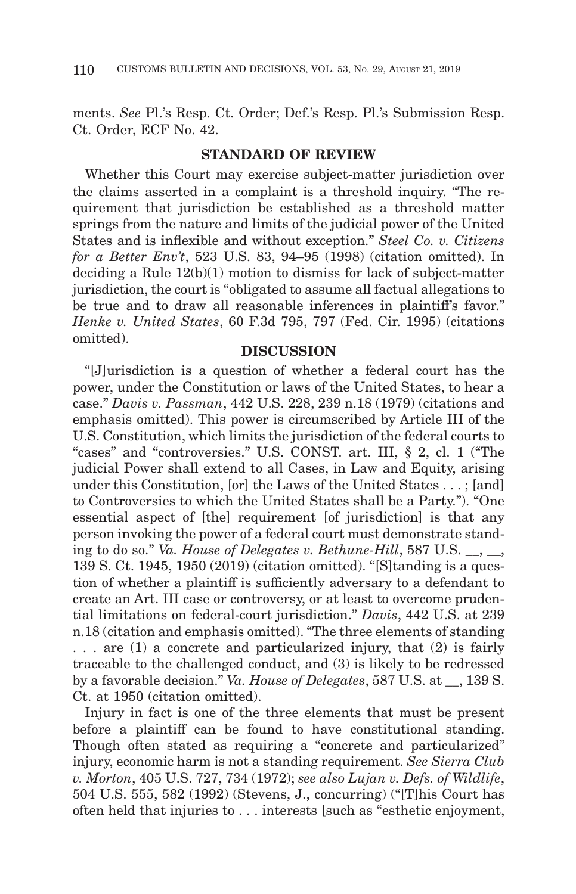ments. *See* Pl.'s Resp. Ct. Order; Def.'s Resp. Pl.'s Submission Resp. Ct. Order, ECF No. 42.

## **STANDARD OF REVIEW**

Whether this Court may exercise subject-matter jurisdiction over the claims asserted in a complaint is a threshold inquiry. "The requirement that jurisdiction be established as a threshold matter springs from the nature and limits of the judicial power of the United States and is inflexible and without exception." *Steel Co. v. Citizens for a Better Env't*, 523 U.S. 83, 94–95 (1998) (citation omitted). In deciding a Rule 12(b)(1) motion to dismiss for lack of subject-matter jurisdiction, the court is "obligated to assume all factual allegations to be true and to draw all reasonable inferences in plaintiff's favor." *Henke v. United States*, 60 F.3d 795, 797 (Fed. Cir. 1995) (citations omitted).

## **DISCUSSION**

"[J]urisdiction is a question of whether a federal court has the power, under the Constitution or laws of the United States, to hear a case." *Davis v. Passman*, 442 U.S. 228, 239 n.18 (1979) (citations and emphasis omitted). This power is circumscribed by Article III of the U.S. Constitution, which limits the jurisdiction of the federal courts to "cases" and "controversies." U.S. CONST. art. III, § 2, cl. 1 ("The judicial Power shall extend to all Cases, in Law and Equity, arising under this Constitution, [or] the Laws of the United States . . . ; [and] to Controversies to which the United States shall be a Party."). "One essential aspect of [the] requirement [of jurisdiction] is that any person invoking the power of a federal court must demonstrate standing to do so." *Va. House of Delegates v. Bethune-Hill*, 587 U.S. 139 S. Ct. 1945, 1950 (2019) (citation omitted). "[S]tanding is a question of whether a plaintiff is sufficiently adversary to a defendant to create an Art. III case or controversy, or at least to overcome prudential limitations on federal-court jurisdiction." *Davis*, 442 U.S. at 239 n.18 (citation and emphasis omitted). "The three elements of standing . . . are (1) a concrete and particularized injury, that (2) is fairly traceable to the challenged conduct, and (3) is likely to be redressed by a favorable decision." *Va. House of Delegates*, 587 U.S. at \_\_, 139 S. Ct. at 1950 (citation omitted).

Injury in fact is one of the three elements that must be present before a plaintiff can be found to have constitutional standing. Though often stated as requiring a "concrete and particularized" injury, economic harm is not a standing requirement. *See Sierra Club v. Morton*, 405 U.S. 727, 734 (1972); *see also Lujan v. Defs. of Wildlife*, 504 U.S. 555, 582 (1992) (Stevens, J., concurring) ("[T]his Court has often held that injuries to . . . interests [such as "esthetic enjoyment,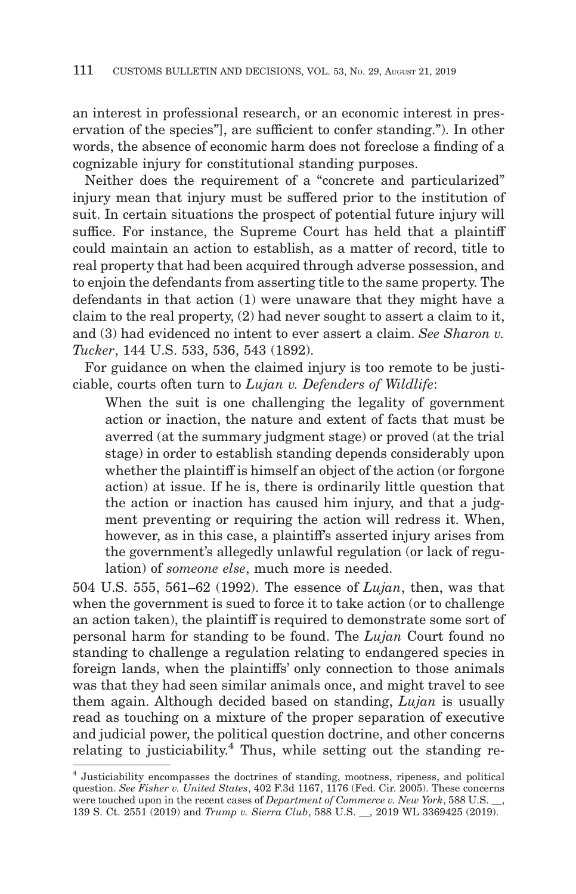an interest in professional research, or an economic interest in preservation of the species"], are sufficient to confer standing."). In other words, the absence of economic harm does not foreclose a finding of a cognizable injury for constitutional standing purposes.

Neither does the requirement of a "concrete and particularized" injury mean that injury must be suffered prior to the institution of suit. In certain situations the prospect of potential future injury will suffice. For instance, the Supreme Court has held that a plaintiff could maintain an action to establish, as a matter of record, title to real property that had been acquired through adverse possession, and to enjoin the defendants from asserting title to the same property. The defendants in that action (1) were unaware that they might have a claim to the real property, (2) had never sought to assert a claim to it, and (3) had evidenced no intent to ever assert a claim. *See Sharon v. Tucker*, 144 U.S. 533, 536, 543 (1892).

For guidance on when the claimed injury is too remote to be justiciable, courts often turn to *Lujan v. Defenders of Wildlife*:

When the suit is one challenging the legality of government action or inaction, the nature and extent of facts that must be averred (at the summary judgment stage) or proved (at the trial stage) in order to establish standing depends considerably upon whether the plaintiff is himself an object of the action (or forgone action) at issue. If he is, there is ordinarily little question that the action or inaction has caused him injury, and that a judgment preventing or requiring the action will redress it. When, however, as in this case, a plaintiff's asserted injury arises from the government's allegedly unlawful regulation (or lack of regulation) of *someone else*, much more is needed.

504 U.S. 555, 561–62 (1992). The essence of *Lujan*, then, was that when the government is sued to force it to take action (or to challenge an action taken), the plaintiff is required to demonstrate some sort of personal harm for standing to be found. The *Lujan* Court found no standing to challenge a regulation relating to endangered species in foreign lands, when the plaintiffs' only connection to those animals was that they had seen similar animals once, and might travel to see them again. Although decided based on standing, *Lujan* is usually read as touching on a mixture of the proper separation of executive and judicial power, the political question doctrine, and other concerns relating to justiciability.<sup>4</sup> Thus, while setting out the standing re-

<sup>4</sup> Justiciability encompasses the doctrines of standing, mootness, ripeness, and political question. *See Fisher v. United States*, 402 F.3d 1167, 1176 (Fed. Cir. 2005). These concerns were touched upon in the recent cases of *Department of Commerce v. New York*, 588 U.S. \_\_, 139 S. Ct. 2551 (2019) and *Trump v. Sierra Club*, 588 U.S. \_\_, 2019 WL 3369425 (2019).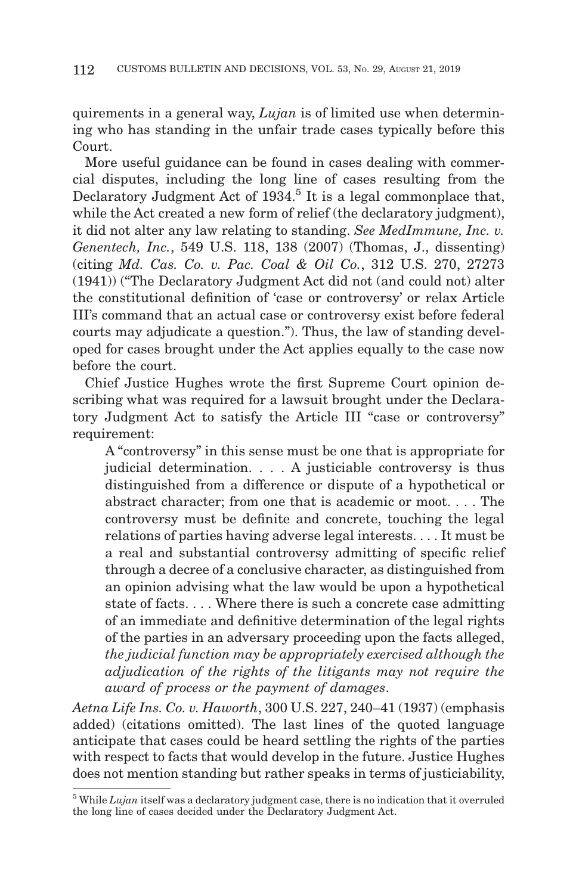quirements in a general way, *Lujan* is of limited use when determining who has standing in the unfair trade cases typically before this Court.

More useful guidance can be found in cases dealing with commercial disputes, including the long line of cases resulting from the Declaratory Judgment Act of  $1934$ <sup>5</sup> It is a legal commonplace that, while the Act created a new form of relief (the declaratory judgment), it did not alter any law relating to standing. *See MedImmune, Inc. v. Genentech, Inc.*, 549 U.S. 118, 138 (2007) (Thomas, J., dissenting) (citing *Md. Cas. Co. v. Pac. Coal & Oil Co.*, 312 U.S. 270, 27273 (1941)) ("The Declaratory Judgment Act did not (and could not) alter the constitutional definition of 'case or controversy' or relax Article III's command that an actual case or controversy exist before federal courts may adjudicate a question."). Thus, the law of standing developed for cases brought under the Act applies equally to the case now before the court.

Chief Justice Hughes wrote the first Supreme Court opinion describing what was required for a lawsuit brought under the Declaratory Judgment Act to satisfy the Article III "case or controversy" requirement:

A "controversy" in this sense must be one that is appropriate for judicial determination. . . . A justiciable controversy is thus distinguished from a difference or dispute of a hypothetical or abstract character; from one that is academic or moot. . . . The controversy must be definite and concrete, touching the legal relations of parties having adverse legal interests. . . . It must be a real and substantial controversy admitting of specific relief through a decree of a conclusive character, as distinguished from an opinion advising what the law would be upon a hypothetical state of facts. . . . Where there is such a concrete case admitting of an immediate and definitive determination of the legal rights of the parties in an adversary proceeding upon the facts alleged, *the judicial function may be appropriately exercised although the adjudication of the rights of the litigants may not require the award of process or the payment of damages*.

*Aetna Life Ins. Co. v. Haworth*, 300 U.S. 227, 240–41 (1937) (emphasis added) (citations omitted). The last lines of the quoted language anticipate that cases could be heard settling the rights of the parties with respect to facts that would develop in the future. Justice Hughes does not mention standing but rather speaks in terms of justiciability,

<sup>&</sup>lt;sup>5</sup> While *Lujan* itself was a declaratory judgment case, there is no indication that it overruled the long line of cases decided under the Declaratory Judgment Act.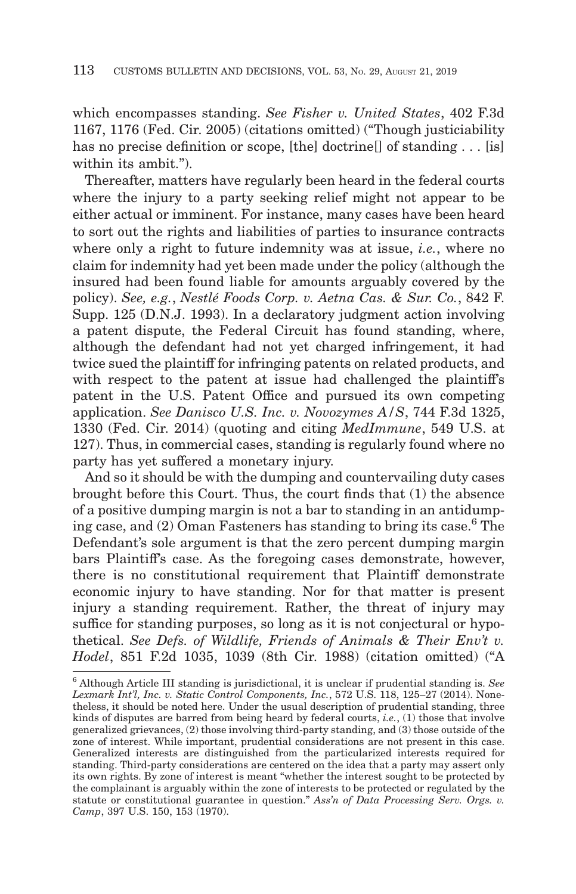which encompasses standing. *See Fisher v. United States*, 402 F.3d 1167, 1176 (Fed. Cir. 2005) (citations omitted) ("Though justiciability has no precise definition or scope, [the] doctrine<sup>[]</sup> of standing  $\dots$  [is] within its ambit.").

Thereafter, matters have regularly been heard in the federal courts where the injury to a party seeking relief might not appear to be either actual or imminent. For instance, many cases have been heard to sort out the rights and liabilities of parties to insurance contracts where only a right to future indemnity was at issue, *i.e.*, where no claim for indemnity had yet been made under the policy (although the insured had been found liable for amounts arguably covered by the policy). *See, e.g.*, *Nestlé Foods Corp. v. Aetna Cas. & Sur. Co.*, 842 F. Supp. 125 (D.N.J. 1993). In a declaratory judgment action involving a patent dispute, the Federal Circuit has found standing, where, although the defendant had not yet charged infringement, it had twice sued the plaintiff for infringing patents on related products, and with respect to the patent at issue had challenged the plaintiff's patent in the U.S. Patent Office and pursued its own competing application. *See Danisco U.S. Inc. v. Novozymes A/S*, 744 F.3d 1325, 1330 (Fed. Cir. 2014) (quoting and citing *MedImmune*, 549 U.S. at 127). Thus, in commercial cases, standing is regularly found where no party has yet suffered a monetary injury.

And so it should be with the dumping and countervailing duty cases brought before this Court. Thus, the court finds that (1) the absence of a positive dumping margin is not a bar to standing in an antidumping case, and  $(2)$  Oman Fasteners has standing to bring its case.<sup>6</sup> The Defendant's sole argument is that the zero percent dumping margin bars Plaintiff's case. As the foregoing cases demonstrate, however, there is no constitutional requirement that Plaintiff demonstrate economic injury to have standing. Nor for that matter is present injury a standing requirement. Rather, the threat of injury may suffice for standing purposes, so long as it is not conjectural or hypothetical. *See Defs. of Wildlife, Friends of Animals & Their Env't v. Hodel*, 851 F.2d 1035, 1039 (8th Cir. 1988) (citation omitted) ("A

<sup>6</sup> Although Article III standing is jurisdictional, it is unclear if prudential standing is. *See Lexmark Int'l, Inc. v. Static Control Components, Inc.*, 572 U.S. 118, 125–27 (2014). Nonetheless, it should be noted here. Under the usual description of prudential standing, three kinds of disputes are barred from being heard by federal courts, *i.e.*, (1) those that involve generalized grievances, (2) those involving third-party standing, and (3) those outside of the zone of interest. While important, prudential considerations are not present in this case. Generalized interests are distinguished from the particularized interests required for standing. Third-party considerations are centered on the idea that a party may assert only its own rights. By zone of interest is meant "whether the interest sought to be protected by the complainant is arguably within the zone of interests to be protected or regulated by the statute or constitutional guarantee in question." *Ass'n of Data Processing Serv. Orgs. v. Camp*, 397 U.S. 150, 153 (1970).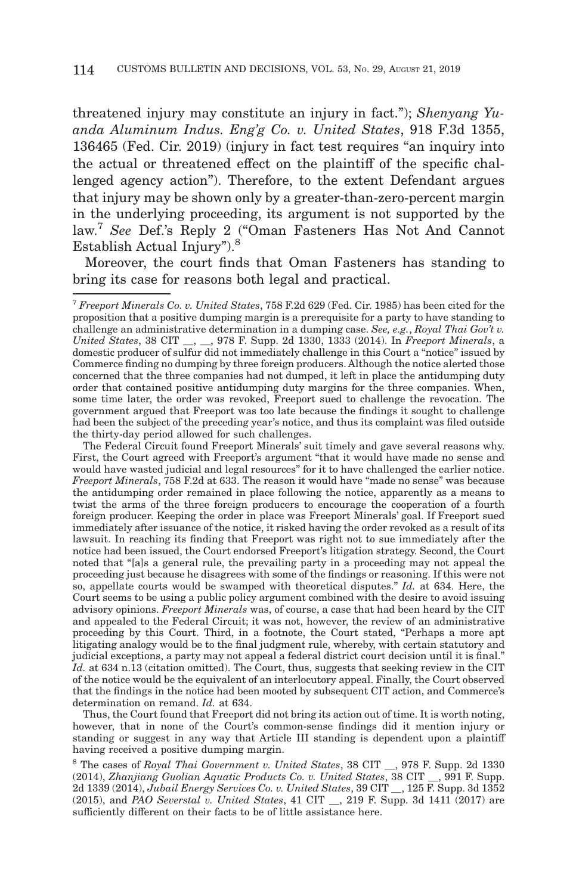threatened injury may constitute an injury in fact."); *Shenyang Yuanda Aluminum Indus. Eng'g Co. v. United States*, 918 F.3d 1355, 136465 (Fed. Cir. 2019) (injury in fact test requires "an inquiry into the actual or threatened effect on the plaintiff of the specific challenged agency action"). Therefore, to the extent Defendant argues that injury may be shown only by a greater-than-zero-percent margin in the underlying proceeding, its argument is not supported by the law.7 *See* Def.'s Reply 2 ("Oman Fasteners Has Not And Cannot Establish Actual Injury").8

Moreover, the court finds that Oman Fasteners has standing to bring its case for reasons both legal and practical.

 The Federal Circuit found Freeport Minerals' suit timely and gave several reasons why. First, the Court agreed with Freeport's argument "that it would have made no sense and would have wasted judicial and legal resources" for it to have challenged the earlier notice. *Freeport Minerals*, 758 F.2d at 633. The reason it would have "made no sense" was because the antidumping order remained in place following the notice, apparently as a means to twist the arms of the three foreign producers to encourage the cooperation of a fourth foreign producer. Keeping the order in place was Freeport Minerals' goal. If Freeport sued immediately after issuance of the notice, it risked having the order revoked as a result of its lawsuit. In reaching its finding that Freeport was right not to sue immediately after the notice had been issued, the Court endorsed Freeport's litigation strategy. Second, the Court noted that "[a]s a general rule, the prevailing party in a proceeding may not appeal the proceeding just because he disagrees with some of the findings or reasoning. If this were not so, appellate courts would be swamped with theoretical disputes." *Id.* at 634. Here, the Court seems to be using a public policy argument combined with the desire to avoid issuing advisory opinions. *Freeport Minerals* was, of course, a case that had been heard by the CIT and appealed to the Federal Circuit; it was not, however, the review of an administrative proceeding by this Court. Third, in a footnote, the Court stated, "Perhaps a more apt litigating analogy would be to the final judgment rule, whereby, with certain statutory and judicial exceptions, a party may not appeal a federal district court decision until it is final." Id. at 634 n.13 (citation omitted). The Court, thus, suggests that seeking review in the CIT of the notice would be the equivalent of an interlocutory appeal. Finally, the Court observed that the findings in the notice had been mooted by subsequent CIT action, and Commerce's determination on remand. *Id.* at 634.

 Thus, the Court found that Freeport did not bring its action out of time. It is worth noting, however, that in none of the Court's common-sense findings did it mention injury or standing or suggest in any way that Article III standing is dependent upon a plaintiff having received a positive dumping margin.

8 The cases of *Royal Thai Government v. United States*, 38 CIT \_\_, 978 F. Supp. 2d 1330 (2014), *Zhanjiang Guolian Aquatic Products Co. v. United States*, 38 CIT \_\_, 991 F. Supp. 2d 1339 (2014), *Jubail Energy Services Co. v. United States*, 39 CIT \_\_, 125 F. Supp. 3d 1352 (2015), and *PAO Severstal v. United States*, 41 CIT \_\_, 219 F. Supp. 3d 1411 (2017) are sufficiently different on their facts to be of little assistance here.

<sup>7</sup>*Freeport Minerals Co. v. United States*, 758 F.2d 629 (Fed. Cir. 1985) has been cited for the proposition that a positive dumping margin is a prerequisite for a party to have standing to challenge an administrative determination in a dumping case. *See, e.g.*, *Royal Thai Gov't v. United States*, 38 CIT \_\_, \_\_, 978 F. Supp. 2d 1330, 1333 (2014). In *Freeport Minerals*, a domestic producer of sulfur did not immediately challenge in this Court a "notice" issued by Commerce finding no dumping by three foreign producers. Although the notice alerted those concerned that the three companies had not dumped, it left in place the antidumping duty order that contained positive antidumping duty margins for the three companies. When, some time later, the order was revoked, Freeport sued to challenge the revocation. The government argued that Freeport was too late because the findings it sought to challenge had been the subject of the preceding year's notice, and thus its complaint was filed outside the thirty-day period allowed for such challenges.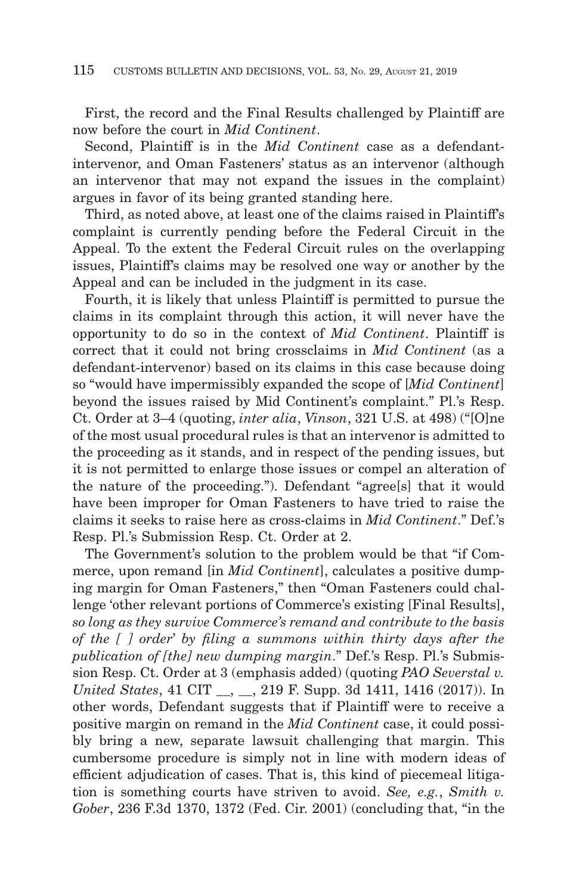First, the record and the Final Results challenged by Plaintiff are now before the court in *Mid Continent*.

Second, Plaintiff is in the *Mid Continent* case as a defendantintervenor, and Oman Fasteners' status as an intervenor (although an intervenor that may not expand the issues in the complaint) argues in favor of its being granted standing here.

Third, as noted above, at least one of the claims raised in Plaintiff's complaint is currently pending before the Federal Circuit in the Appeal. To the extent the Federal Circuit rules on the overlapping issues, Plaintiff's claims may be resolved one way or another by the Appeal and can be included in the judgment in its case.

Fourth, it is likely that unless Plaintiff is permitted to pursue the claims in its complaint through this action, it will never have the opportunity to do so in the context of *Mid Continent*. Plaintiff is correct that it could not bring crossclaims in *Mid Continent* (as a defendant-intervenor) based on its claims in this case because doing so "would have impermissibly expanded the scope of [*Mid Continent*] beyond the issues raised by Mid Continent's complaint." Pl.'s Resp. Ct. Order at 3–4 (quoting, *inter alia*, *Vinson*, 321 U.S. at 498) ("[O]ne of the most usual procedural rules is that an intervenor is admitted to the proceeding as it stands, and in respect of the pending issues, but it is not permitted to enlarge those issues or compel an alteration of the nature of the proceeding."). Defendant "agree[s] that it would have been improper for Oman Fasteners to have tried to raise the claims it seeks to raise here as cross-claims in *Mid Continent*." Def.'s Resp. Pl.'s Submission Resp. Ct. Order at 2.

The Government's solution to the problem would be that "if Commerce, upon remand [in *Mid Continent*], calculates a positive dumping margin for Oman Fasteners," then "Oman Fasteners could challenge 'other relevant portions of Commerce's existing [Final Results], *so long as they survive Commerce's remand and contribute to the basis of the [ ] order*' *by filing a summons within thirty days after the publication of [the] new dumping margin*." Def.'s Resp. Pl.'s Submission Resp. Ct. Order at 3 (emphasis added) (quoting *PAO Severstal v. United States*, 41 CIT \_\_, \_\_, 219 F. Supp. 3d 1411, 1416 (2017)). In other words, Defendant suggests that if Plaintiff were to receive a positive margin on remand in the *Mid Continent* case, it could possibly bring a new, separate lawsuit challenging that margin. This cumbersome procedure is simply not in line with modern ideas of efficient adjudication of cases. That is, this kind of piecemeal litigation is something courts have striven to avoid. *See, e.g.*, *Smith v. Gober*, 236 F.3d 1370, 1372 (Fed. Cir. 2001) (concluding that, "in the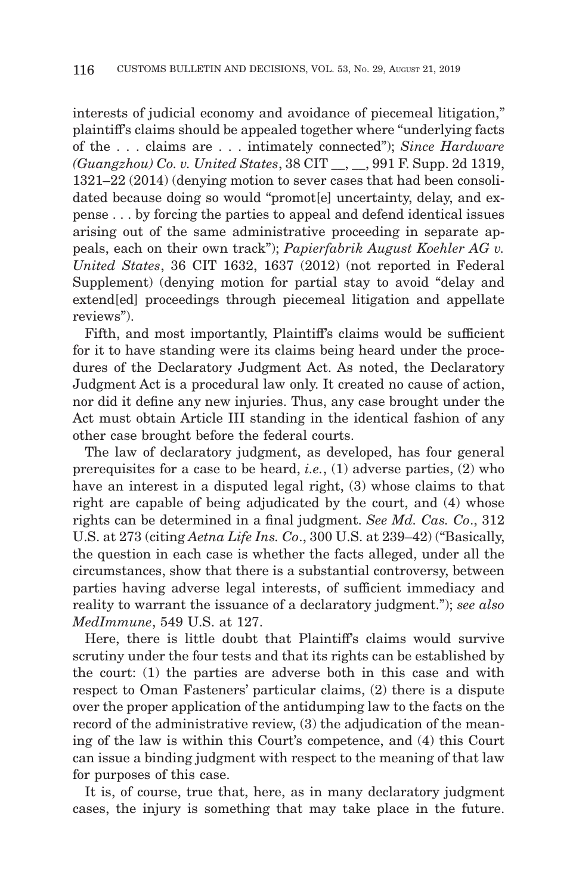interests of judicial economy and avoidance of piecemeal litigation," plaintiff's claims should be appealed together where "underlying facts of the . . . claims are . . . intimately connected"); *Since Hardware (Guangzhou) Co. v. United States*, 38 CIT \_\_, \_\_, 991 F. Supp. 2d 1319, 1321–22 (2014) (denying motion to sever cases that had been consolidated because doing so would "promot<sup>[e]</sup> uncertainty, delay, and expense . . . by forcing the parties to appeal and defend identical issues arising out of the same administrative proceeding in separate appeals, each on their own track"); *Papierfabrik August Koehler AG v. United States*, 36 CIT 1632, 1637 (2012) (not reported in Federal Supplement) (denying motion for partial stay to avoid "delay and extend[ed] proceedings through piecemeal litigation and appellate reviews").

Fifth, and most importantly, Plaintiff's claims would be sufficient for it to have standing were its claims being heard under the procedures of the Declaratory Judgment Act. As noted, the Declaratory Judgment Act is a procedural law only. It created no cause of action, nor did it define any new injuries. Thus, any case brought under the Act must obtain Article III standing in the identical fashion of any other case brought before the federal courts.

The law of declaratory judgment, as developed, has four general prerequisites for a case to be heard, *i.e.*, (1) adverse parties, (2) who have an interest in a disputed legal right, (3) whose claims to that right are capable of being adjudicated by the court, and (4) whose rights can be determined in a final judgment. *See Md. Cas. Co*., 312 U.S. at 273 (citing *Aetna Life Ins. Co*., 300 U.S. at 239–42) ("Basically, the question in each case is whether the facts alleged, under all the circumstances, show that there is a substantial controversy, between parties having adverse legal interests, of sufficient immediacy and reality to warrant the issuance of a declaratory judgment."); *see also MedImmune*, 549 U.S. at 127.

Here, there is little doubt that Plaintiff's claims would survive scrutiny under the four tests and that its rights can be established by the court: (1) the parties are adverse both in this case and with respect to Oman Fasteners' particular claims, (2) there is a dispute over the proper application of the antidumping law to the facts on the record of the administrative review, (3) the adjudication of the meaning of the law is within this Court's competence, and (4) this Court can issue a binding judgment with respect to the meaning of that law for purposes of this case.

It is, of course, true that, here, as in many declaratory judgment cases, the injury is something that may take place in the future.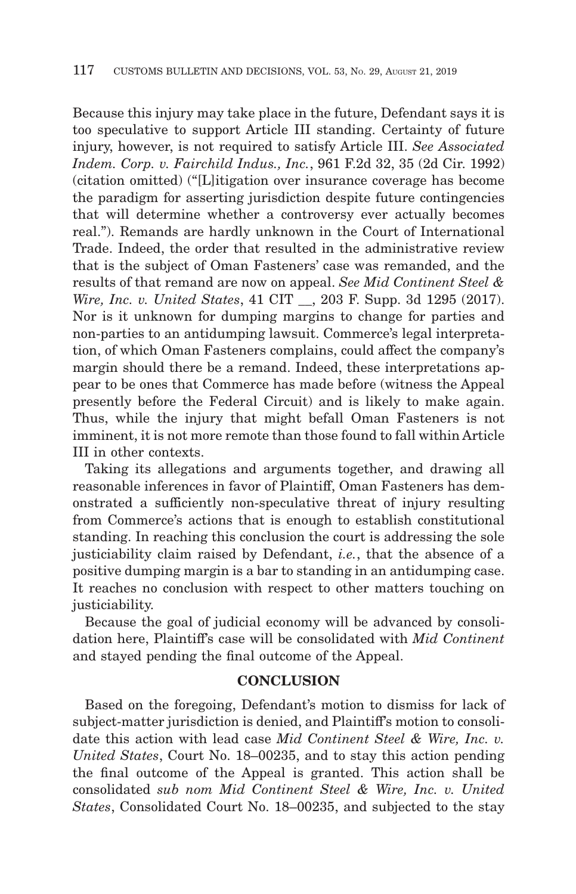Because this injury may take place in the future, Defendant says it is too speculative to support Article III standing. Certainty of future injury, however, is not required to satisfy Article III. *See Associated Indem. Corp. v. Fairchild Indus., Inc.*, 961 F.2d 32, 35 (2d Cir. 1992) (citation omitted) ("[L]itigation over insurance coverage has become the paradigm for asserting jurisdiction despite future contingencies that will determine whether a controversy ever actually becomes real."). Remands are hardly unknown in the Court of International Trade. Indeed, the order that resulted in the administrative review that is the subject of Oman Fasteners' case was remanded, and the results of that remand are now on appeal. *See Mid Continent Steel & Wire, Inc. v. United States*, 41 CIT \_\_, 203 F. Supp. 3d 1295 (2017). Nor is it unknown for dumping margins to change for parties and non-parties to an antidumping lawsuit. Commerce's legal interpretation, of which Oman Fasteners complains, could affect the company's margin should there be a remand. Indeed, these interpretations appear to be ones that Commerce has made before (witness the Appeal presently before the Federal Circuit) and is likely to make again. Thus, while the injury that might befall Oman Fasteners is not imminent, it is not more remote than those found to fall within Article III in other contexts.

Taking its allegations and arguments together, and drawing all reasonable inferences in favor of Plaintiff, Oman Fasteners has demonstrated a sufficiently non-speculative threat of injury resulting from Commerce's actions that is enough to establish constitutional standing. In reaching this conclusion the court is addressing the sole justiciability claim raised by Defendant, *i.e.*, that the absence of a positive dumping margin is a bar to standing in an antidumping case. It reaches no conclusion with respect to other matters touching on justiciability.

Because the goal of judicial economy will be advanced by consolidation here, Plaintiff's case will be consolidated with *Mid Continent* and stayed pending the final outcome of the Appeal.

# **CONCLUSION**

Based on the foregoing, Defendant's motion to dismiss for lack of subject-matter jurisdiction is denied, and Plaintiff's motion to consolidate this action with lead case *Mid Continent Steel & Wire, Inc. v. United States*, Court No. 18–00235, and to stay this action pending the final outcome of the Appeal is granted. This action shall be consolidated *sub nom Mid Continent Steel & Wire, Inc. v. United States*, Consolidated Court No. 18–00235, and subjected to the stay